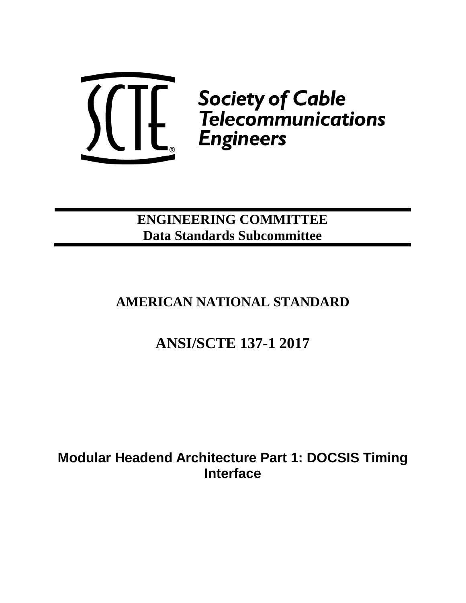

**ENGINEERING COMMITTEE Data Standards Subcommittee**

# **AMERICAN NATIONAL STANDARD**

# **ANSI/SCTE 137-1 2017**

**Modular Headend Architecture Part 1: DOCSIS Timing Interface**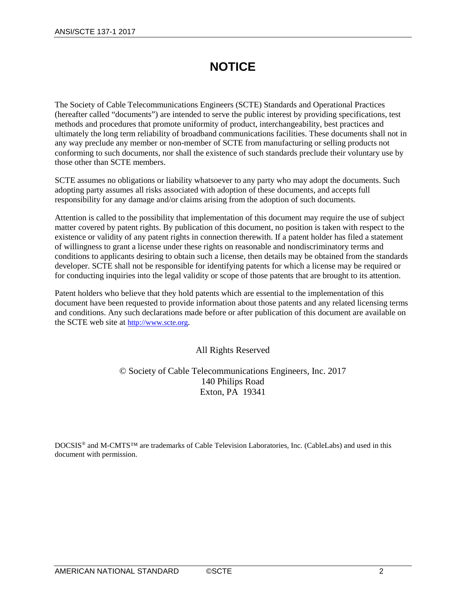## **NOTICE**

The Society of Cable Telecommunications Engineers (SCTE) Standards and Operational Practices (hereafter called "documents") are intended to serve the public interest by providing specifications, test methods and procedures that promote uniformity of product, interchangeability, best practices and ultimately the long term reliability of broadband communications facilities. These documents shall not in any way preclude any member or non-member of SCTE from manufacturing or selling products not conforming to such documents, nor shall the existence of such standards preclude their voluntary use by those other than SCTE members.

SCTE assumes no obligations or liability whatsoever to any party who may adopt the documents. Such adopting party assumes all risks associated with adoption of these documents, and accepts full responsibility for any damage and/or claims arising from the adoption of such documents.

Attention is called to the possibility that implementation of this document may require the use of subject matter covered by patent rights. By publication of this document, no position is taken with respect to the existence or validity of any patent rights in connection therewith. If a patent holder has filed a statement of willingness to grant a license under these rights on reasonable and nondiscriminatory terms and conditions to applicants desiring to obtain such a license, then details may be obtained from the standards developer. SCTE shall not be responsible for identifying patents for which a license may be required or for conducting inquiries into the legal validity or scope of those patents that are brought to its attention.

Patent holders who believe that they hold patents which are essential to the implementation of this document have been requested to provide information about those patents and any related licensing terms and conditions. Any such declarations made before or after publication of this document are available on the SCTE web site at [http://www.scte.org.](http://www.scte.org/)

All Rights Reserved

© Society of Cable Telecommunications Engineers, Inc. 2017 140 Philips Road Exton, PA 19341

DOCSIS® and M-CMTS™ are trademarks of Cable Television Laboratories, Inc. (CableLabs) and used in this document with permission.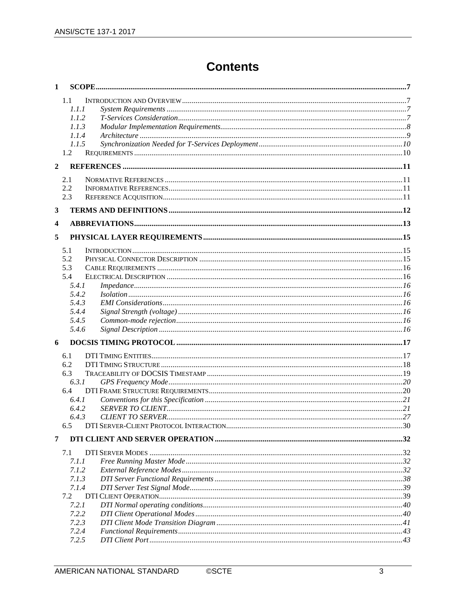## **Contents**

| 1              |            |  |
|----------------|------------|--|
|                | 1.1        |  |
|                | 1.1.1      |  |
|                | 1.1.2      |  |
|                | 1.1.3      |  |
|                | 1.1.4      |  |
|                | 1.1.5      |  |
|                | 1.2        |  |
| $\overline{2}$ |            |  |
|                |            |  |
|                | 2.1<br>2.2 |  |
|                | 2.3        |  |
|                |            |  |
| 3              |            |  |
| 4              |            |  |
| 5              |            |  |
|                | 5.1        |  |
|                | 5.2        |  |
|                | 5.3        |  |
|                | 5.4        |  |
|                | 5.4.1      |  |
|                | 5.4.2      |  |
|                | 5.4.3      |  |
|                | 5.4.4      |  |
|                | 5.4.5      |  |
|                | 5.4.6      |  |
| 6              |            |  |
|                | 6.1        |  |
|                | 6.2        |  |
|                | 6.3        |  |
|                | 6.3.1      |  |
|                | 6.4        |  |
|                | 6.4.1      |  |
|                | 6.4.2      |  |
|                | 6.4.3      |  |
|                | 6.5        |  |
| 7              |            |  |
|                | 7.1        |  |
|                | 7.1.1      |  |
|                | 7.1.2      |  |
|                | 7.1.3      |  |
|                | 7.1.4      |  |
|                | 7.2        |  |
|                | 7.2.1      |  |
|                | 7.2.2      |  |
|                | 7.2.3      |  |
|                | 7.2.4      |  |
|                | 7.2.5      |  |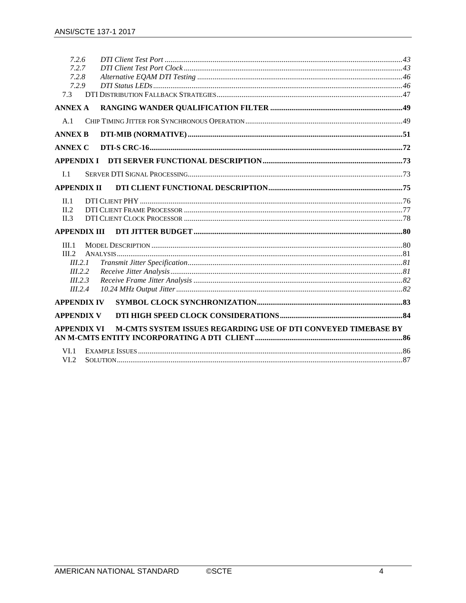| 7.2.6               |  |                                                                |  |
|---------------------|--|----------------------------------------------------------------|--|
| 7.2.7               |  |                                                                |  |
| 7.2.8               |  |                                                                |  |
| 7.2.9               |  |                                                                |  |
| 7.3                 |  |                                                                |  |
| <b>ANNEX A</b>      |  |                                                                |  |
| A.1                 |  |                                                                |  |
| <b>ANNEX B</b>      |  |                                                                |  |
| <b>ANNEX C</b>      |  |                                                                |  |
| <b>APPENDIX I</b>   |  |                                                                |  |
| I.1                 |  |                                                                |  |
| <b>APPENDIX II</b>  |  |                                                                |  |
| $\Pi.1$             |  |                                                                |  |
| $\Pi$ .2            |  |                                                                |  |
| II.3                |  |                                                                |  |
| <b>APPENDIX III</b> |  |                                                                |  |
| III.1               |  |                                                                |  |
| III.2               |  |                                                                |  |
| III.2.1             |  |                                                                |  |
| III.2.2             |  |                                                                |  |
| III.2.3             |  |                                                                |  |
| III.2.4             |  |                                                                |  |
| <b>APPENDIX IV</b>  |  |                                                                |  |
| <b>APPENDIX V</b>   |  |                                                                |  |
| <b>APPENDIX VI</b>  |  | M-CMTS SYSTEM ISSUES REGARDING USE OF DTI CONVEYED TIMEBASE BY |  |
|                     |  |                                                                |  |
| VI.1                |  |                                                                |  |
|                     |  |                                                                |  |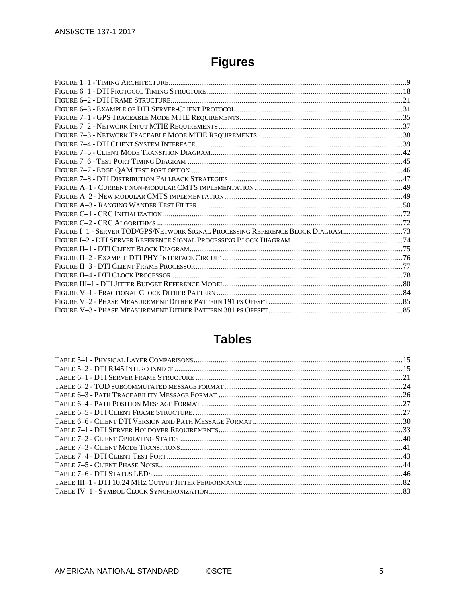# **Figures**

| FIGURE I-1 - SERVER TOD/GPS/NETWORK SIGNAL PROCESSING REFERENCE BLOCK DIAGRAM |  |
|-------------------------------------------------------------------------------|--|
|                                                                               |  |
|                                                                               |  |
|                                                                               |  |
|                                                                               |  |
|                                                                               |  |
|                                                                               |  |
|                                                                               |  |
|                                                                               |  |
|                                                                               |  |

## **Tables**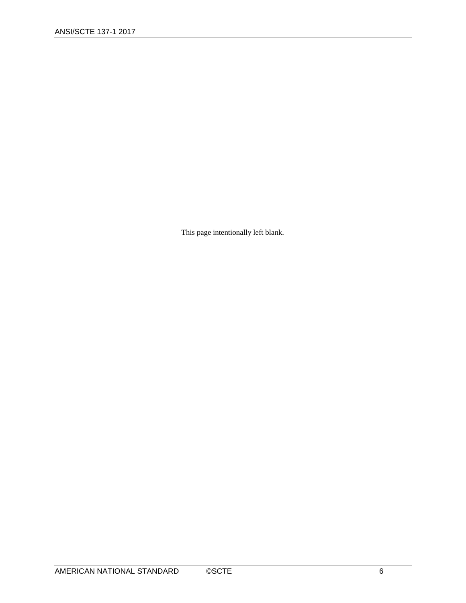This page intentionally left blank.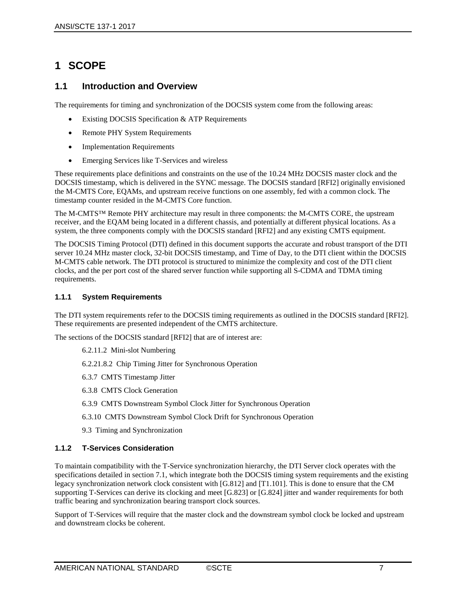## <span id="page-6-0"></span>**1 SCOPE**

### <span id="page-6-1"></span>**1.1 Introduction and Overview**

The requirements for timing and synchronization of the DOCSIS system come from the following areas:

- Existing DOCSIS Specification & ATP Requirements
- Remote PHY System Requirements
- **Implementation Requirements**
- Emerging Services like T-Services and wireless

These requirements place definitions and constraints on the use of the 10.24 MHz DOCSIS master clock and the DOCSIS timestamp, which is delivered in the SYNC message. The DOCSIS standard [\[RFI2\]](#page-10-4) originally envisioned the M-CMTS Core, EQAMs, and upstream receive functions on one assembly, fed with a common clock. The timestamp counter resided in the M-CMTS Core function.

The M-CMTS™ Remote PHY architecture may result in three components: the M-CMTS CORE, the upstream receiver, and the EQAM being located in a different chassis, and potentially at different physical locations. As a system, the three components comply with the DOCSIS standar[d \[RFI2\]](#page-10-4) and any existing CMTS equipment.

The DOCSIS Timing Protocol (DTI) defined in this document supports the accurate and robust transport of the DTI server 10.24 MHz master clock, 32-bit DOCSIS timestamp, and Time of Day, to the DTI client within the DOCSIS M-CMTS cable network. The DTI protocol is structured to minimize the complexity and cost of the DTI client clocks, and the per port cost of the shared server function while supporting all S-CDMA and TDMA timing requirements.

#### <span id="page-6-2"></span>**1.1.1 System Requirements**

The DTI system requirements refer to the DOCSIS timing requirements as outlined in the DOCSIS standard [\[RFI2\].](#page-10-4) These requirements are presented independent of the CMTS architecture.

The sections of the DOCSIS standard [\[RFI2\]](#page-10-4) that are of interest are:

6.2.11.2 Mini-slot Numbering

6.2.21.8.2 Chip Timing Jitter for Synchronous Operation

- 6.3.7 CMTS Timestamp Jitter
- 6.3.8 CMTS Clock Generation
- 6.3.9 CMTS Downstream Symbol Clock Jitter for Synchronous Operation
- 6.3.10 CMTS Downstream Symbol Clock Drift for Synchronous Operation
- 9.3 Timing and Synchronization

#### <span id="page-6-3"></span>**1.1.2 T-Services Consideration**

To maintain compatibility with the T-Service synchronization hierarchy, the DTI Server clock operates with the specifications detailed in sectio[n 7.1,](#page-31-1) which integrate both the DOCSIS timing system requirements and the existing legacy synchronization network clock consistent with [\[G.812\]](#page-10-5) and [\[T1.101\].](#page-10-6) This is done to ensure that the CM supporting T-Services can derive its clocking and mee[t \[G.823\]](#page-10-7) or [\[G.824\]](#page-10-8) jitter and wander requirements for both traffic bearing and synchronization bearing transport clock sources.

Support of T-Services will require that the master clock and the downstream symbol clock be locked and upstream and downstream clocks be coherent.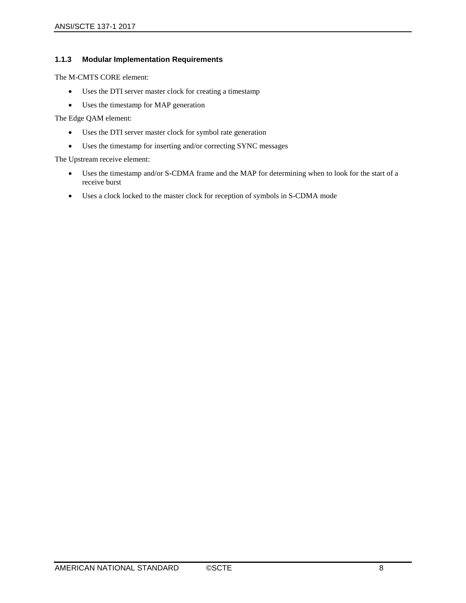#### <span id="page-7-0"></span>**1.1.3 Modular Implementation Requirements**

The M-CMTS CORE element:

- Uses the DTI server master clock for creating a timestamp
- Uses the timestamp for MAP generation

The Edge QAM element:

- Uses the DTI server master clock for symbol rate generation
- Uses the timestamp for inserting and/or correcting SYNC messages

The Upstream receive element:

- Uses the timestamp and/or S-CDMA frame and the MAP for determining when to look for the start of a receive burst
- Uses a clock locked to the master clock for reception of symbols in S-CDMA mode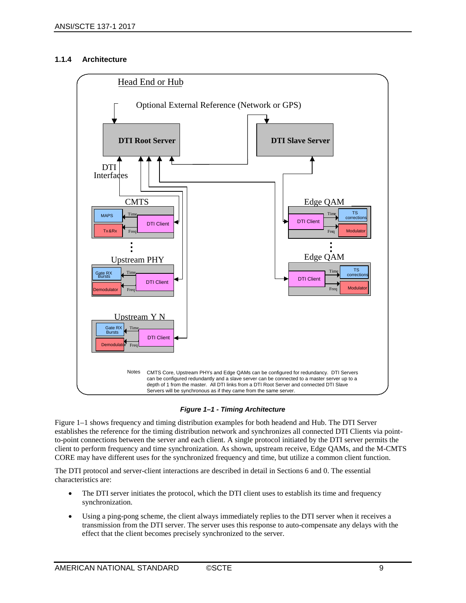### <span id="page-8-0"></span>**1.1.4 Architecture**





<span id="page-8-1"></span>[Figure](#page-8-1) 1–1 shows frequency and timing distribution examples for both headend and Hub. The DTI Server establishes the reference for the timing distribution network and synchronizes all connected DTI Clients via pointto-point connections between the server and each client. A single protocol initiated by the DTI server permits the client to perform frequency and time synchronization. As shown, upstream receive, Edge QAMs, and the M-CMTS CORE may have different uses for the synchronized frequency and time, but utilize a common client function.

The DTI protocol and server-client interactions are described in detail in Sections [6](#page-16-0) and [0.](#page-30-1) The essential characteristics are:

- The DTI server initiates the protocol, which the DTI client uses to establish its time and frequency synchronization.
- Using a ping-pong scheme, the client always immediately replies to the DTI server when it receives a transmission from the DTI server. The server uses this response to auto-compensate any delays with the effect that the client becomes precisely synchronized to the server.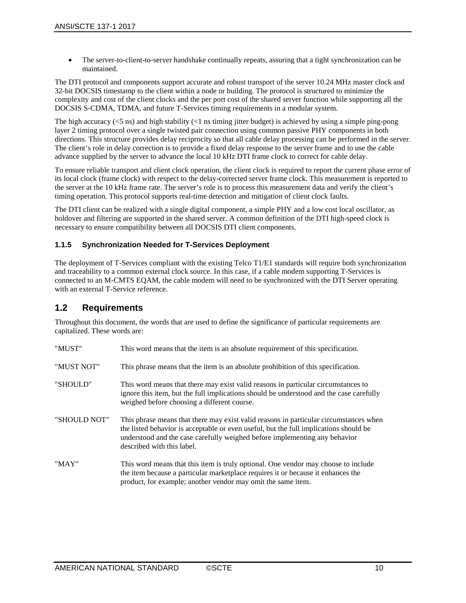• The server-to-client-to-server handshake continually repeats, assuring that a tight synchronization can be maintained.

The DTI protocol and components support accurate and robust transport of the server 10.24 MHz master clock and 32-bit DOCSIS timestamp to the client within a node or building. The protocol is structured to minimize the complexity and cost of the client clocks and the per port cost of the shared server function while supporting all the DOCSIS S-CDMA, TDMA, and future T-Services timing requirements in a modular system.

The high accuracy  $\langle$ <5 ns) and high stability  $\langle$ <1 ns timing jitter budget) is achieved by using a simple ping-pong layer 2 timing protocol over a single twisted pair connection using common passive PHY components in both directions. This structure provides delay reciprocity so that all cable delay processing can be performed in the server. The client's role in delay correction is to provide a fixed delay response to the server frame and to use the cable advance supplied by the server to advance the local 10 kHz DTI frame clock to correct for cable delay.

To ensure reliable transport and client clock operation, the client clock is required to report the current phase error of its local clock (frame clock) with respect to the delay-corrected server frame clock. This measurement is reported to the server at the 10 kHz frame rate. The server's role is to process this measurement data and verify the client's timing operation. This protocol supports real-time detection and mitigation of client clock faults.

The DTI client can be realized with a single digital component, a simple PHY and a low cost local oscillator, as holdover and filtering are supported in the shared server. A common definition of the DTI high-speed clock is necessary to ensure compatibility between all DOCSIS DTI client components.

#### <span id="page-9-0"></span>**1.1.5 Synchronization Needed for T-Services Deployment**

The deployment of T-Services compliant with the existing Telco T1/E1 standards will require both synchronization and traceability to a common external clock source. In this case, if a cable modem supporting T-Services is connected to an M-CMTS EQAM, the cable modem will need to be synchronized with the DTI Server operating with an external T-Service reference.

## <span id="page-9-1"></span>**1.2 Requirements**

Throughout this document, the words that are used to define the significance of particular requirements are capitalized. These words are:

| "MUST"       | This word means that the item is an absolute requirement of this specification.                                                                                                                                                                                                            |  |
|--------------|--------------------------------------------------------------------------------------------------------------------------------------------------------------------------------------------------------------------------------------------------------------------------------------------|--|
| "MUST NOT"   | This phrase means that the item is an absolute prohibition of this specification.                                                                                                                                                                                                          |  |
| "SHOULD"     | This word means that there may exist valid reasons in particular circumstances to<br>ignore this item, but the full implications should be understood and the case carefully<br>weighed before choosing a different course.                                                                |  |
| "SHOULD NOT" | This phrase means that there may exist valid reasons in particular circumstances when<br>the listed behavior is acceptable or even useful, but the full implications should be<br>understood and the case carefully weighed before implementing any behavior<br>described with this label. |  |
| "MAY"        | This word means that this item is truly optional. One vendor may choose to include<br>the item because a particular marketplace requires it or because it enhances the<br>product, for example; another vendor may omit the same item.                                                     |  |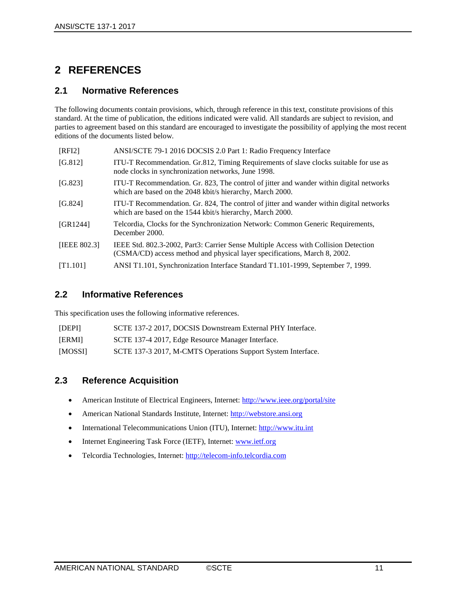## <span id="page-10-0"></span>**2 REFERENCES**

## <span id="page-10-1"></span>**2.1 Normative References**

The following documents contain provisions, which, through reference in this text, constitute provisions of this standard. At the time of publication, the editions indicated were valid. All standards are subject to revision, and parties to agreement based on this standard are encouraged to investigate the possibility of applying the most recent editions of the documents listed below.

<span id="page-10-8"></span><span id="page-10-7"></span><span id="page-10-5"></span><span id="page-10-4"></span>

| [RFI2]       | ANSI/SCTE 79-1 2016 DOCSIS 2.0 Part 1: Radio Frequency Interface                                                                                                 |
|--------------|------------------------------------------------------------------------------------------------------------------------------------------------------------------|
| [G.812]      | ITU-T Recommendation. Gr.812, Timing Requirements of slave clocks suitable for use as<br>node clocks in synchronization networks, June 1998.                     |
| [G.823]      | ITU-T Recommendation. Gr. 823, The control of jitter and wander within digital networks<br>which are based on the 2048 kbit/s hierarchy, March 2000.             |
| [G.824]      | ITU-T Recommendation. Gr. 824, The control of jitter and wander within digital networks<br>which are based on the 1544 kbit/s hierarchy, March 2000.             |
| [GR1244]     | Telcordia, Clocks for the Synchronization Network: Common Generic Requirements,<br>December 2000.                                                                |
| [IEEE 802.3] | IEEE Std. 802.3-2002, Part3: Carrier Sense Multiple Access with Collision Detection<br>(CSMA/CD) access method and physical layer specifications, March 8, 2002. |
| [T1.101]     | ANSI T1.101, Synchronization Interface Standard T1.101-1999, September 7, 1999.                                                                                  |

## <span id="page-10-9"></span><span id="page-10-6"></span><span id="page-10-2"></span>**2.2 Informative References**

This specification uses the following informative references.

| <b>DEPIL</b> | SCTE 137-2 2017, DOCSIS Downstream External PHY Interface.   |
|--------------|--------------------------------------------------------------|
| [ERMI]       | SCTE 137-4 2017, Edge Resource Manager Interface.            |
| [MOSSI]      | SCTE 137-3 2017, M-CMTS Operations Support System Interface. |

## <span id="page-10-3"></span>**2.3 Reference Acquisition**

- American Institute of Electrical Engineers, Internet:<http://www.ieee.org/portal/site>
- American National Standards Institute, Internet: [http://webstore.ansi.org](http://webstore.ansi.org/)
- International Telecommunications Union (ITU), Internet: [http://www.itu.int](http://www.itu.int/)
- Internet Engineering Task Force (IETF), Internet: [www.ietf.org](http://www.ietf.org/)
- Telcordia Technologies, Internet: [http://telecom-info.telcordia.com](http://telecom-info.telcordia.com/)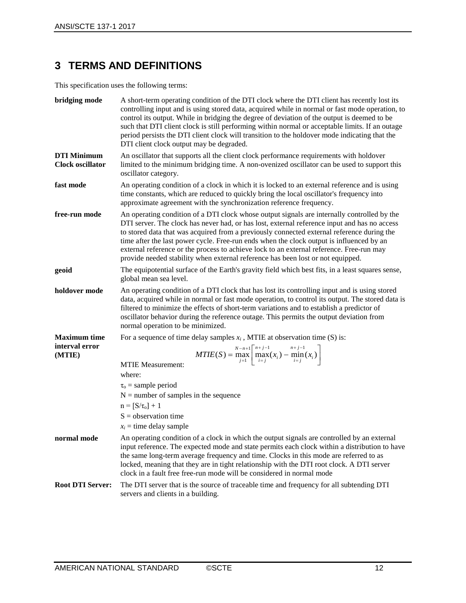## <span id="page-11-0"></span>**3 TERMS AND DEFINITIONS**

This specification uses the following terms:

| bridging mode                                 | A short-term operating condition of the DTI clock where the DTI client has recently lost its<br>controlling input and is using stored data, acquired while in normal or fast mode operation, to<br>control its output. While in bridging the degree of deviation of the output is deemed to be<br>such that DTI client clock is still performing within normal or acceptable limits. If an outage<br>period persists the DTI client clock will transition to the holdover mode indicating that the<br>DTI client clock output may be degraded.                       |  |  |
|-----------------------------------------------|----------------------------------------------------------------------------------------------------------------------------------------------------------------------------------------------------------------------------------------------------------------------------------------------------------------------------------------------------------------------------------------------------------------------------------------------------------------------------------------------------------------------------------------------------------------------|--|--|
| <b>DTI Minimum</b><br><b>Clock oscillator</b> | An oscillator that supports all the client clock performance requirements with holdover<br>limited to the minimum bridging time. A non-ovenized oscillator can be used to support this<br>oscillator category.                                                                                                                                                                                                                                                                                                                                                       |  |  |
| fast mode                                     | An operating condition of a clock in which it is locked to an external reference and is using<br>time constants, which are reduced to quickly bring the local oscillator's frequency into<br>approximate agreement with the synchronization reference frequency.                                                                                                                                                                                                                                                                                                     |  |  |
| free-run mode                                 | An operating condition of a DTI clock whose output signals are internally controlled by the<br>DTI server. The clock has never had, or has lost, external reference input and has no access<br>to stored data that was acquired from a previously connected external reference during the<br>time after the last power cycle. Free-run ends when the clock output is influenced by an<br>external reference or the process to achieve lock to an external reference. Free-run may<br>provide needed stability when external reference has been lost or not equipped. |  |  |
| geoid                                         | The equipotential surface of the Earth's gravity field which best fits, in a least squares sense,<br>global mean sea level.                                                                                                                                                                                                                                                                                                                                                                                                                                          |  |  |
| holdover mode                                 | An operating condition of a DTI clock that has lost its controlling input and is using stored<br>data, acquired while in normal or fast mode operation, to control its output. The stored data is<br>filtered to minimize the effects of short-term variations and to establish a predictor of<br>oscillator behavior during the reference outage. This permits the output deviation from<br>normal operation to be minimized.                                                                                                                                       |  |  |
| <b>Maximum</b> time                           | For a sequence of time delay samples $x_i$ , MTIE at observation time (S) is:                                                                                                                                                                                                                                                                                                                                                                                                                                                                                        |  |  |
| interval error<br>(MTIE)                      | $MTIE(S) = \max_{j=1}^{N-n+1} \left[ \max_{i=j}^{n+j-1} (x_i) - \min_{i=j}^{n+j-1} (x_i) \right]$<br><b>MTIE Measurement:</b>                                                                                                                                                                                                                                                                                                                                                                                                                                        |  |  |
|                                               | where:                                                                                                                                                                                                                                                                                                                                                                                                                                                                                                                                                               |  |  |
|                                               | $\tau_{o}$ = sample period                                                                                                                                                                                                                                                                                                                                                                                                                                                                                                                                           |  |  |
|                                               | $N =$ number of samples in the sequence<br>$n = [S/\tau_o] + 1$                                                                                                                                                                                                                                                                                                                                                                                                                                                                                                      |  |  |
|                                               | $S =$ observation time                                                                                                                                                                                                                                                                                                                                                                                                                                                                                                                                               |  |  |
|                                               | $x_i$ = time delay sample                                                                                                                                                                                                                                                                                                                                                                                                                                                                                                                                            |  |  |
| normal mode                                   | An operating condition of a clock in which the output signals are controlled by an external<br>input reference. The expected mode and state permits each clock within a distribution to have<br>the same long-term average frequency and time. Clocks in this mode are referred to as<br>locked, meaning that they are in tight relationship with the DTI root clock. A DTI server<br>clock in a fault free free-run mode will be considered in normal mode                                                                                                          |  |  |
| <b>Root DTI Server:</b>                       | The DTI server that is the source of traceable time and frequency for all subtending DTI<br>servers and clients in a building.                                                                                                                                                                                                                                                                                                                                                                                                                                       |  |  |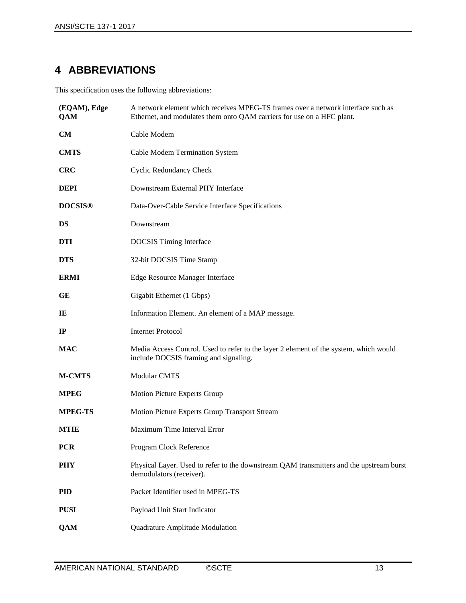## <span id="page-12-0"></span>**4 ABBREVIATIONS**

This specification uses the following abbreviations:

| (EQAM), Edge<br><b>QAM</b> | A network element which receives MPEG-TS frames over a network interface such as<br>Ethernet, and modulates them onto QAM carriers for use on a HFC plant. |  |
|----------------------------|------------------------------------------------------------------------------------------------------------------------------------------------------------|--|
| CM                         | Cable Modem                                                                                                                                                |  |
| <b>CMTS</b>                | Cable Modem Termination System                                                                                                                             |  |
| <b>CRC</b>                 | <b>Cyclic Redundancy Check</b>                                                                                                                             |  |
| <b>DEPI</b>                | Downstream External PHY Interface                                                                                                                          |  |
| <b>DOCSIS®</b>             | Data-Over-Cable Service Interface Specifications                                                                                                           |  |
| DS                         | Downstream                                                                                                                                                 |  |
| <b>DTI</b>                 | <b>DOCSIS</b> Timing Interface                                                                                                                             |  |
| <b>DTS</b>                 | 32-bit DOCSIS Time Stamp                                                                                                                                   |  |
| <b>ERMI</b>                | <b>Edge Resource Manager Interface</b>                                                                                                                     |  |
| GE                         | Gigabit Ethernet (1 Gbps)                                                                                                                                  |  |
| IE                         | Information Element. An element of a MAP message.                                                                                                          |  |
| IP                         | <b>Internet Protocol</b>                                                                                                                                   |  |
| <b>MAC</b>                 | Media Access Control. Used to refer to the layer 2 element of the system, which would<br>include DOCSIS framing and signaling.                             |  |
| <b>M-CMTS</b>              | <b>Modular CMTS</b>                                                                                                                                        |  |
| <b>MPEG</b>                | Motion Picture Experts Group                                                                                                                               |  |
| <b>MPEG-TS</b>             | Motion Picture Experts Group Transport Stream                                                                                                              |  |
| <b>MTIE</b>                | Maximum Time Interval Error                                                                                                                                |  |
| <b>PCR</b>                 | Program Clock Reference                                                                                                                                    |  |
| <b>PHY</b>                 | Physical Layer. Used to refer to the downstream QAM transmitters and the upstream burst<br>demodulators (receiver).                                        |  |
| <b>PID</b>                 | Packet Identifier used in MPEG-TS                                                                                                                          |  |
| <b>PUSI</b>                | Payload Unit Start Indicator                                                                                                                               |  |
| <b>QAM</b>                 | Quadrature Amplitude Modulation                                                                                                                            |  |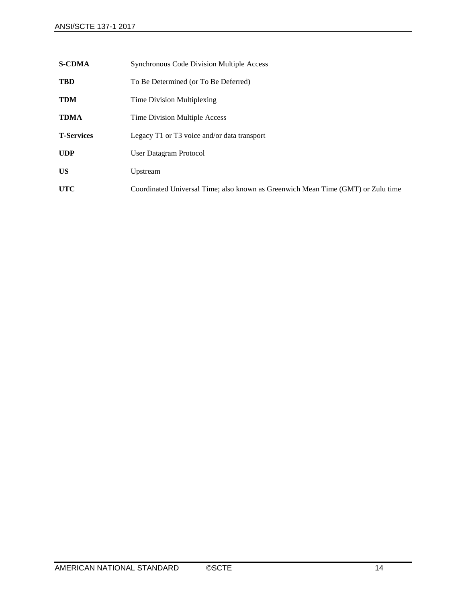| <b>S-CDMA</b>     | <b>Synchronous Code Division Multiple Access</b>                                 |  |
|-------------------|----------------------------------------------------------------------------------|--|
| <b>TBD</b>        | To Be Determined (or To Be Deferred)                                             |  |
| <b>TDM</b>        | Time Division Multiplexing                                                       |  |
| <b>TDMA</b>       | Time Division Multiple Access                                                    |  |
| <b>T-Services</b> | Legacy T1 or T3 voice and/or data transport                                      |  |
| <b>UDP</b>        | User Datagram Protocol                                                           |  |
| <b>US</b>         | Upstream                                                                         |  |
| <b>UTC</b>        | Coordinated Universal Time; also known as Greenwich Mean Time (GMT) or Zulu time |  |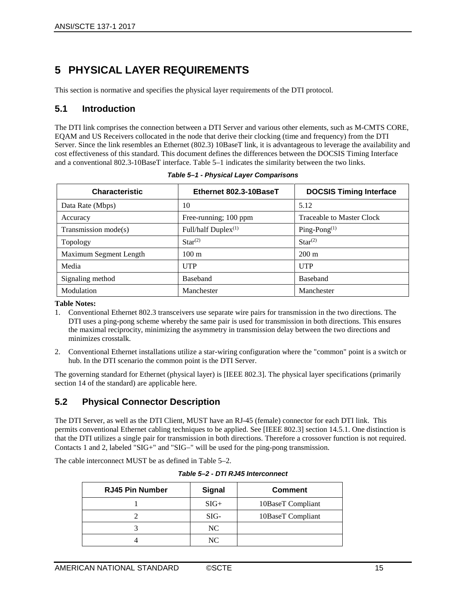## <span id="page-14-0"></span>**5 PHYSICAL LAYER REQUIREMENTS**

This section is normative and specifies the physical layer requirements of the DTI protocol.

## <span id="page-14-1"></span>**5.1 Introduction**

The DTI link comprises the connection between a DTI Server and various other elements, such as M-CMTS CORE, EQAM and US Receivers collocated in the node that derive their clocking (time and frequency) from the DTI Server. Since the link resembles an Ethernet (802.3) 10BaseT link, it is advantageous to leverage the availability and cost effectiveness of this standard. This document defines the differences between the DOCSIS Timing Interface and a conventional 802.3-10BaseT interface. [Table](#page-14-3) 5–1 indicates the similarity between the two links.

<span id="page-14-3"></span>

| <b>Characteristic</b>  | Ethernet 802.3-10BaseT | <b>DOCSIS Timing Interface</b>   |
|------------------------|------------------------|----------------------------------|
| Data Rate (Mbps)       | 10                     | 5.12                             |
| Accuracy               | Free-running; 100 ppm  | <b>Traceable to Master Clock</b> |
| Transmission mode(s)   | Full/half Duplex $(1)$ | Ping-Pong $^{(1)}$               |
| Topology               | $Star^{(2)}$           | $Star^{(2)}$                     |
| Maximum Segment Length | $100 \text{ m}$        | $200 \text{ m}$                  |
| Media                  | <b>UTP</b>             | <b>UTP</b>                       |
| Signaling method       | Baseband               | <b>Baseband</b>                  |
| Modulation             | Manchester             | Manchester                       |

*Table 5–1 - Physical Layer Comparisons*

#### **Table Notes:**

- 1. Conventional Ethernet 802.3 transceivers use separate wire pairs for transmission in the two directions. The DTI uses a ping-pong scheme whereby the same pair is used for transmission in both directions. This ensures the maximal reciprocity, minimizing the asymmetry in transmission delay between the two directions and minimizes crosstalk.
- 2. Conventional Ethernet installations utilize a star-wiring configuration where the "common" point is a switch or hub. In the DTI scenario the common point is the DTI Server.

The governing standard for Ethernet (physical layer) is [\[IEEE 802.3\].](#page-10-9) The physical layer specifications (primarily section 14 of the standard) are applicable here.

## <span id="page-14-2"></span>**5.2 Physical Connector Description**

The DTI Server, as well as the DTI Client, MUST have an RJ-45 (female) connector for each DTI link. This permits conventional Ethernet cabling techniques to be applied. See [\[IEEE 802.3\]](#page-10-9) section 14.5.1. One distinction is that the DTI utilizes a single pair for transmission in both directions. Therefore a crossover function is not required. Contacts 1 and 2, labeled "SIG+" and "SIG−" will be used for the ping-pong transmission.

<span id="page-14-4"></span>The cable interconnect MUST be as defined in [Table](#page-14-4) 5–2.

| <b>RJ45 Pin Number</b> | Signal | <b>Comment</b>    |
|------------------------|--------|-------------------|
|                        | $SIG+$ | 10BaseT Compliant |
|                        | $SIG-$ | 10BaseT Compliant |
|                        | NC.    |                   |
|                        | NC.    |                   |

*Table 5–2 - DTI RJ45 Interconnect*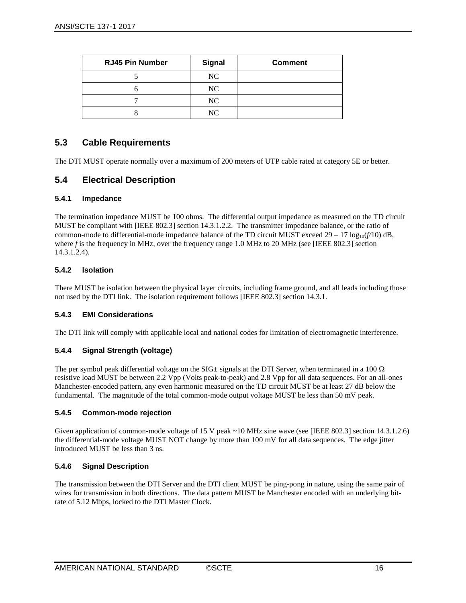| <b>RJ45 Pin Number</b> | <b>Signal</b> | <b>Comment</b> |
|------------------------|---------------|----------------|
|                        | NC            |                |
|                        | NC            |                |
|                        | NC            |                |
|                        | NC.           |                |

## <span id="page-15-0"></span>**5.3 Cable Requirements**

The DTI MUST operate normally over a maximum of 200 meters of UTP cable rated at category 5E or better.

## <span id="page-15-1"></span>**5.4 Electrical Description**

#### <span id="page-15-2"></span>**5.4.1 Impedance**

The termination impedance MUST be 100 ohms. The differential output impedance as measured on the TD circuit MUST be compliant with [\[IEEE 802.3\]](#page-10-9) section 14.3.1.2.2. The transmitter impedance balance, or the ratio of common-mode to differential-mode impedance balance of the TD circuit MUST exceed 29 − 17 log10(*f/*10) dB, where *f* is the frequency in MHz, over the frequency range 1.0 MHz to 20 MHz (see [\[IEEE 802.3\]](#page-10-9) section 14.3.1.2.4).

#### <span id="page-15-3"></span>**5.4.2 Isolation**

There MUST be isolation between the physical layer circuits, including frame ground, and all leads including those not used by the DTI link. The isolation requirement follows [\[IEEE 802.3\]](#page-10-9) section 14.3.1.

#### <span id="page-15-4"></span>**5.4.3 EMI Considerations**

The DTI link will comply with applicable local and national codes for limitation of electromagnetic interference.

#### <span id="page-15-5"></span>**5.4.4 Signal Strength (voltage)**

The per symbol peak differential voltage on the SIG $\pm$  signals at the DTI Server, when terminated in a 100  $\Omega$ resistive load MUST be between 2.2 Vpp (Volts peak-to-peak) and 2.8 Vpp for all data sequences. For an all-ones Manchester-encoded pattern, any even harmonic measured on the TD circuit MUST be at least 27 dB below the fundamental. The magnitude of the total common-mode output voltage MUST be less than 50 mV peak.

#### <span id="page-15-6"></span>**5.4.5 Common-mode rejection**

Given application of common-mode voltage of 15 V peak ~10 MHz sine wave (see [\[IEEE 802.3\]](#page-10-9) section 14.3.1.2.6) the differential-mode voltage MUST NOT change by more than 100 mV for all data sequences. The edge jitter introduced MUST be less than 3 ns.

#### <span id="page-15-7"></span>**5.4.6 Signal Description**

The transmission between the DTI Server and the DTI client MUST be ping-pong in nature, using the same pair of wires for transmission in both directions. The data pattern MUST be Manchester encoded with an underlying bitrate of 5.12 Mbps, locked to the DTI Master Clock.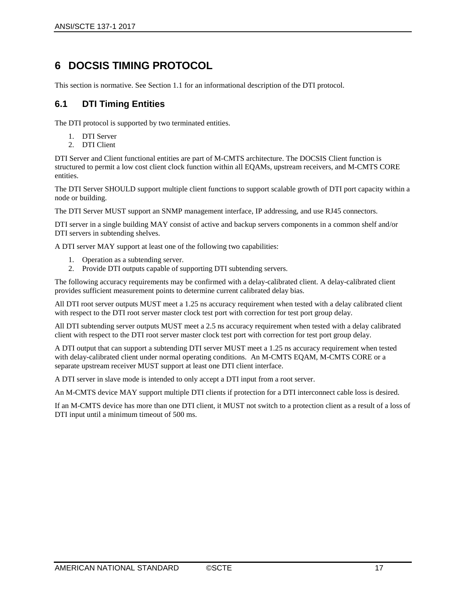## <span id="page-16-0"></span>**6 DOCSIS TIMING PROTOCOL**

This section is normative. See Section [1.1](#page-6-1) for an informational description of the DTI protocol.

## <span id="page-16-1"></span>**6.1 DTI Timing Entities**

The DTI protocol is supported by two terminated entities.

- 1. DTI Server
- 2. DTI Client

DTI Server and Client functional entities are part of M-CMTS architecture. The DOCSIS Client function is structured to permit a low cost client clock function within all EQAMs, upstream receivers, and M-CMTS CORE entities.

The DTI Server SHOULD support multiple client functions to support scalable growth of DTI port capacity within a node or building.

The DTI Server MUST support an SNMP management interface, IP addressing, and use RJ45 connectors.

DTI server in a single building MAY consist of active and backup servers components in a common shelf and/or DTI servers in subtending shelves.

A DTI server MAY support at least one of the following two capabilities:

- 1. Operation as a subtending server.
- 2. Provide DTI outputs capable of supporting DTI subtending servers.

The following accuracy requirements may be confirmed with a delay-calibrated client. A delay-calibrated client provides sufficient measurement points to determine current calibrated delay bias.

All DTI root server outputs MUST meet a 1.25 ns accuracy requirement when tested with a delay calibrated client with respect to the DTI root server master clock test port with correction for test port group delay.

All DTI subtending server outputs MUST meet a 2.5 ns accuracy requirement when tested with a delay calibrated client with respect to the DTI root server master clock test port with correction for test port group delay.

A DTI output that can support a subtending DTI server MUST meet a 1.25 ns accuracy requirement when tested with delay-calibrated client under normal operating conditions. An M-CMTS EQAM, M-CMTS CORE or a separate upstream receiver MUST support at least one DTI client interface.

A DTI server in slave mode is intended to only accept a DTI input from a root server.

An M-CMTS device MAY support multiple DTI clients if protection for a DTI interconnect cable loss is desired.

If an M-CMTS device has more than one DTI client, it MUST not switch to a protection client as a result of a loss of DTI input until a minimum timeout of 500 ms.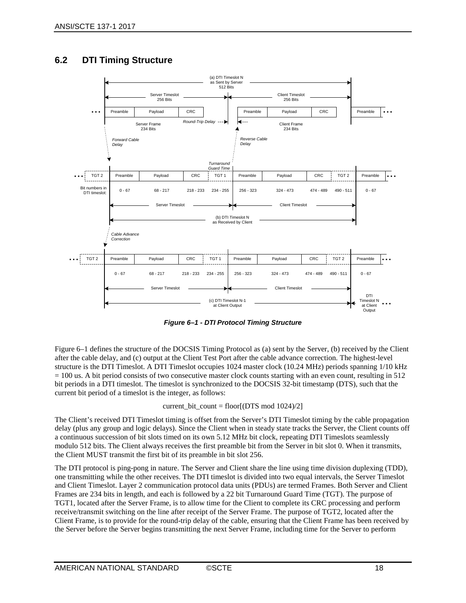## <span id="page-17-0"></span>**6.2 DTI Timing Structure**



*Figure 6–1 - DTI Protocol Timing Structure*

<span id="page-17-1"></span>[Figure](#page-17-1) 6–1 defines the structure of the DOCSIS Timing Protocol as (a) sent by the Server, (b) received by the Client after the cable delay, and (c) output at the Client Test Port after the cable advance correction. The highest-level structure is the DTI Timeslot. A DTI Timeslot occupies 1024 master clock (10.24 MHz) periods spanning 1/10 kHz  $= 100$  us. A bit period consists of two consecutive master clock counts starting with an even count, resulting in 512 bit periods in a DTI timeslot. The timeslot is synchronized to the DOCSIS 32-bit timestamp (DTS), such that the current bit period of a timeslot is the integer, as follows:

#### $current\_bit\_count = floor[(DTS \mod 1024)/2]$

The Client's received DTI Timeslot timing is offset from the Server's DTI Timeslot timing by the cable propagation delay (plus any group and logic delays). Since the Client when in steady state tracks the Server, the Client counts off a continuous succession of bit slots timed on its own 5.12 MHz bit clock, repeating DTI Timeslots seamlessly modulo 512 bits. The Client always receives the first preamble bit from the Server in bit slot 0. When it transmits, the Client MUST transmit the first bit of its preamble in bit slot 256.

The DTI protocol is ping-pong in nature. The Server and Client share the line using time division duplexing (TDD), one transmitting while the other receives. The DTI timeslot is divided into two equal intervals, the Server Timeslot and Client Timeslot. Layer 2 communication protocol data units (PDUs) are termed Frames. Both Server and Client Frames are 234 bits in length, and each is followed by a 22 bit Turnaround Guard Time (TGT). The purpose of TGT1, located after the Server Frame, is to allow time for the Client to complete its CRC processing and perform receive/transmit switching on the line after receipt of the Server Frame. The purpose of TGT2, located after the Client Frame, is to provide for the round-trip delay of the cable, ensuring that the Client Frame has been received by the Server before the Server begins transmitting the next Server Frame, including time for the Server to perform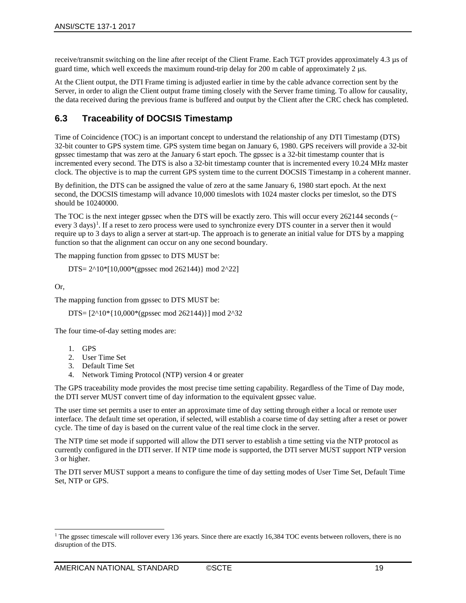receive/transmit switching on the line after receipt of the Client Frame. Each TGT provides approximately 4.3 µs of guard time, which well exceeds the maximum round-trip delay for 200 m cable of approximately 2 µs.

At the Client output, the DTI Frame timing is adjusted earlier in time by the cable advance correction sent by the Server, in order to align the Client output frame timing closely with the Server frame timing. To allow for causality, the data received during the previous frame is buffered and output by the Client after the CRC check has completed.

## <span id="page-18-0"></span>**6.3 Traceability of DOCSIS Timestamp**

Time of Coincidence (TOC) is an important concept to understand the relationship of any DTI Timestamp (DTS) 32-bit counter to GPS system time. GPS system time began on January 6, 1980. GPS receivers will provide a 32-bit gpssec timestamp that was zero at the January 6 start epoch. The gpssec is a 32-bit timestamp counter that is incremented every second. The DTS is also a 32-bit timestamp counter that is incremented every 10.24 MHz master clock. The objective is to map the current GPS system time to the current DOCSIS Timestamp in a coherent manner.

By definition, the DTS can be assigned the value of zero at the same January 6, 1980 start epoch. At the next second, the DOCSIS timestamp will advance 10,000 timeslots with 1024 master clocks per timeslot, so the DTS should be 10240000.

The TOC is the next integer gpssec when the DTS will be exactly zero. This will occur every 262144 seconds (~ every 3 days)<sup>[1](#page-18-1)</sup>. If a reset to zero process were used to synchronize every DTS counter in a server then it would require up to 3 days to align a server at start-up. The approach is to generate an initial value for DTS by a mapping function so that the alignment can occur on any one second boundary.

The mapping function from gpssec to DTS MUST be:

DTS= 2^10\*[10,000\*(gpssec mod 262144)} mod 2^22]

Or,

The mapping function from gpssec to DTS MUST be:

DTS= [2^10\*{10,000\*(gpssec mod 262144)}] mod 2^32

The four time-of-day setting modes are:

- 1. GPS
- 2. User Time Set
- 3. Default Time Set
- 4. Network Timing Protocol (NTP) version 4 or greater

The GPS traceability mode provides the most precise time setting capability. Regardless of the Time of Day mode, the DTI server MUST convert time of day information to the equivalent gpssec value.

The user time set permits a user to enter an approximate time of day setting through either a local or remote user interface. The default time set operation, if selected, will establish a coarse time of day setting after a reset or power cycle. The time of day is based on the current value of the real time clock in the server.

The NTP time set mode if supported will allow the DTI server to establish a time setting via the NTP protocol as currently configured in the DTI server. If NTP time mode is supported, the DTI server MUST support NTP version 3 or higher.

The DTI server MUST support a means to configure the time of day setting modes of User Time Set, Default Time Set, NTP or GPS.

<span id="page-18-1"></span><sup>&</sup>lt;sup>1</sup> The gpssec timescale will rollover every 136 years. Since there are exactly 16,384 TOC events between rollovers, there is no disruption of the DTS.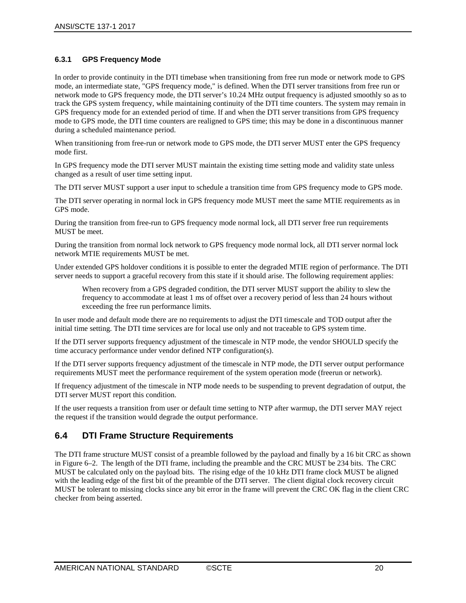### <span id="page-19-0"></span>**6.3.1 GPS Frequency Mode**

In order to provide continuity in the DTI timebase when transitioning from free run mode or network mode to GPS mode, an intermediate state, "GPS frequency mode," is defined. When the DTI server transitions from free run or network mode to GPS frequency mode, the DTI server's 10.24 MHz output frequency is adjusted smoothly so as to track the GPS system frequency, while maintaining continuity of the DTI time counters. The system may remain in GPS frequency mode for an extended period of time. If and when the DTI server transitions from GPS frequency mode to GPS mode, the DTI time counters are realigned to GPS time; this may be done in a discontinuous manner during a scheduled maintenance period.

When transitioning from free-run or network mode to GPS mode, the DTI server MUST enter the GPS frequency mode first.

In GPS frequency mode the DTI server MUST maintain the existing time setting mode and validity state unless changed as a result of user time setting input.

The DTI server MUST support a user input to schedule a transition time from GPS frequency mode to GPS mode.

The DTI server operating in normal lock in GPS frequency mode MUST meet the same MTIE requirements as in GPS mode.

During the transition from free-run to GPS frequency mode normal lock, all DTI server free run requirements MUST be meet.

During the transition from normal lock network to GPS frequency mode normal lock, all DTI server normal lock network MTIE requirements MUST be met.

Under extended GPS holdover conditions it is possible to enter the degraded MTIE region of performance. The DTI server needs to support a graceful recovery from this state if it should arise. The following requirement applies:

When recovery from a GPS degraded condition, the DTI server MUST support the ability to slew the frequency to accommodate at least 1 ms of offset over a recovery period of less than 24 hours without exceeding the free run performance limits.

In user mode and default mode there are no requirements to adjust the DTI timescale and TOD output after the initial time setting. The DTI time services are for local use only and not traceable to GPS system time.

If the DTI server supports frequency adjustment of the timescale in NTP mode, the vendor SHOULD specify the time accuracy performance under vendor defined NTP configuration(s).

If the DTI server supports frequency adjustment of the timescale in NTP mode, the DTI server output performance requirements MUST meet the performance requirement of the system operation mode (freerun or network).

If frequency adjustment of the timescale in NTP mode needs to be suspending to prevent degradation of output, the DTI server MUST report this condition.

If the user requests a transition from user or default time setting to NTP after warmup, the DTI server MAY reject the request if the transition would degrade the output performance.

## <span id="page-19-1"></span>**6.4 DTI Frame Structure Requirements**

The DTI frame structure MUST consist of a preamble followed by the payload and finally by a 16 bit CRC as shown in [Figure](#page-20-2) 6–2. The length of the DTI frame, including the preamble and the CRC MUST be 234 bits. The CRC MUST be calculated only on the payload bits. The rising edge of the 10 kHz DTI frame clock MUST be aligned with the leading edge of the first bit of the preamble of the DTI server. The client digital clock recovery circuit MUST be tolerant to missing clocks since any bit error in the frame will prevent the CRC OK flag in the client CRC checker from being asserted.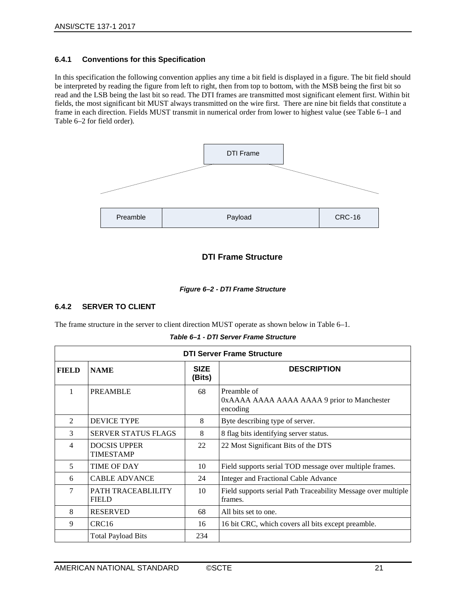#### <span id="page-20-0"></span>**6.4.1 Conventions for this Specification**

In this specification the following convention applies any time a bit field is displayed in a figure. The bit field should be interpreted by reading the figure from left to right, then from top to bottom, with the MSB being the first bit so read and the LSB being the last bit so read. The DTI frames are transmitted most significant element first. Within bit fields, the most significant bit MUST always transmitted on the wire first. There are nine bit fields that constitute a frame in each direction. Fields MUST transmit in numerical order from lower to highest value (see [Table](#page-20-3) 6–1 and [Table](#page-23-0) 6–2 for field order).



### **DTI Frame Structure**

#### *Figure 6–2 - DTI Frame Structure*

#### <span id="page-20-2"></span><span id="page-20-1"></span>**6.4.2 SERVER TO CLIENT**

<span id="page-20-3"></span>The frame structure in the server to client direction MUST operate as shown below in [Table](#page-20-3) 6–1.

| Table 6-1 - DTI Server Frame Structure |  |
|----------------------------------------|--|
|----------------------------------------|--|

| <b>DTI Server Frame Structure</b> |                                         |                       |                                                                          |  |
|-----------------------------------|-----------------------------------------|-----------------------|--------------------------------------------------------------------------|--|
| <b>FIELD</b>                      | <b>NAME</b>                             | <b>SIZE</b><br>(Bits) | <b>DESCRIPTION</b>                                                       |  |
|                                   | <b>PREAMBLE</b>                         | 68                    | Preamble of<br>0xAAAA AAAA AAAA AAAA 9 prior to Manchester<br>encoding   |  |
| $\mathfrak{D}$                    | <b>DEVICE TYPE</b>                      | 8                     | Byte describing type of server.                                          |  |
| 3                                 | <b>SERVER STATUS FLAGS</b>              | 8                     | 8 flag bits identifying server status.                                   |  |
| 4                                 | <b>DOCSIS UPPER</b><br><b>TIMESTAMP</b> | 22                    | 22 Most Significant Bits of the DTS                                      |  |
| 5                                 | <b>TIME OF DAY</b>                      | 10                    | Field supports serial TOD message over multiple frames.                  |  |
| 6                                 | <b>CABLE ADVANCE</b>                    | 24                    | Integer and Fractional Cable Advance                                     |  |
| 7                                 | PATH TRACEABLILITY<br><b>FIELD</b>      | 10                    | Field supports serial Path Traceability Message over multiple<br>frames. |  |
| 8                                 | <b>RESERVED</b>                         | 68                    | All bits set to one.                                                     |  |
| 9                                 | CRC <sub>16</sub>                       | 16                    | 16 bit CRC, which covers all bits except preamble.                       |  |
|                                   | <b>Total Payload Bits</b>               | 234                   |                                                                          |  |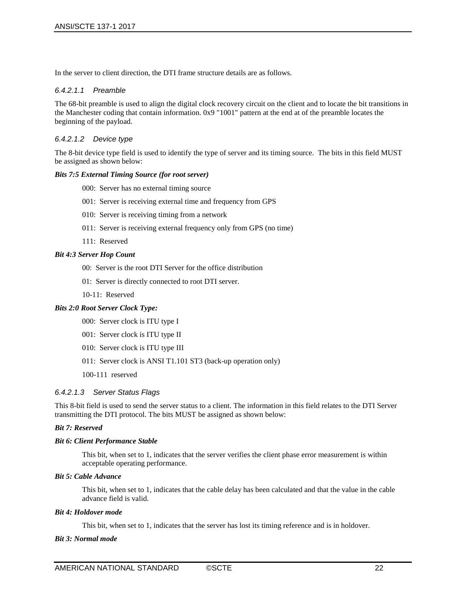In the server to client direction, the DTI frame structure details are as follows.

#### *6.4.2.1.1 Preamble*

The 68-bit preamble is used to align the digital clock recovery circuit on the client and to locate the bit transitions in the Manchester coding that contain information. 0x9 "1001" pattern at the end at of the preamble locates the beginning of the payload.

#### *6.4.2.1.2 Device type*

The 8-bit device type field is used to identify the type of server and its timing source. The bits in this field MUST be assigned as shown below:

#### *Bits 7:5 External Timing Source (for root server)*

- 000: Server has no external timing source
- 001: Server is receiving external time and frequency from GPS
- 010: Server is receiving timing from a network
- 011: Server is receiving external frequency only from GPS (no time)
- 111: Reserved

#### *Bit 4:3 Server Hop Count*

- 00: Server is the root DTI Server for the office distribution
- 01: Server is directly connected to root DTI server.
- 10-11: Reserved

#### *Bits 2:0 Root Server Clock Type:*

- 000: Server clock is ITU type I
- 001: Server clock is ITU type II
- 010: Server clock is ITU type III
- 011: Server clock is ANSI T1.101 ST3 (back-up operation only)
- 100-111 reserved

#### *6.4.2.1.3 Server Status Flags*

This 8-bit field is used to send the server status to a client. The information in this field relates to the DTI Server transmitting the DTI protocol. The bits MUST be assigned as shown below:

#### *Bit 7: Reserved*

#### *Bit 6: Client Performance Stable*

This bit, when set to 1, indicates that the server verifies the client phase error measurement is within acceptable operating performance.

#### *Bit 5: Cable Advance*

This bit, when set to 1, indicates that the cable delay has been calculated and that the value in the cable advance field is valid.

#### *Bit 4: Holdover mode*

This bit, when set to 1, indicates that the server has lost its timing reference and is in holdover.

#### *Bit 3: Normal mode*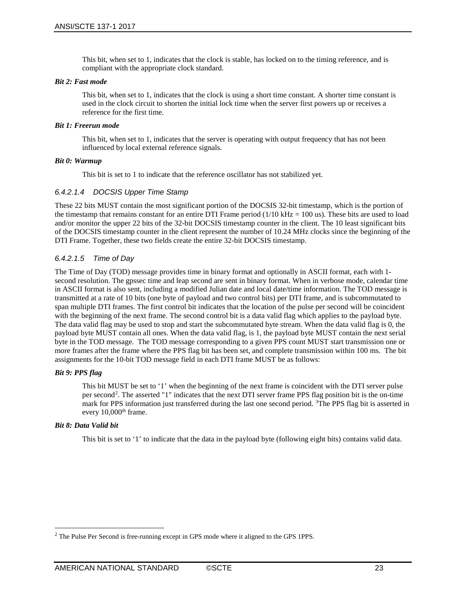This bit, when set to 1, indicates that the clock is stable, has locked on to the timing reference, and is compliant with the appropriate clock standard.

#### *Bit 2: Fast mode*

This bit, when set to 1, indicates that the clock is using a short time constant. A shorter time constant is used in the clock circuit to shorten the initial lock time when the server first powers up or receives a reference for the first time.

#### *Bit 1: Freerun mode*

This bit, when set to 1, indicates that the server is operating with output frequency that has not been influenced by local external reference signals.

#### *Bit 0: Warmup*

This bit is set to 1 to indicate that the reference oscillator has not stabilized yet.

#### *6.4.2.1.4 DOCSIS Upper Time Stamp*

These 22 bits MUST contain the most significant portion of the DOCSIS 32-bit timestamp, which is the portion of the timestamp that remains constant for an entire DTI Frame period  $(1/10 \text{ kHz} = 100 \text{ us})$ . These bits are used to load and/or monitor the upper 22 bits of the 32-bit DOCSIS timestamp counter in the client. The 10 least significant bits of the DOCSIS timestamp counter in the client represent the number of 10.24 MHz clocks since the beginning of the DTI Frame. Together, these two fields create the entire 32-bit DOCSIS timestamp.

#### *6.4.2.1.5 Time of Day*

The Time of Day (TOD) message provides time in binary format and optionally in ASCII format, each with 1 second resolution. The gpssec time and leap second are sent in binary format. When in verbose mode, calendar time in ASCII format is also sent, including a modified Julian date and local date/time information. The TOD message is transmitted at a rate of 10 bits (one byte of payload and two control bits) per DTI frame, and is subcommutated to span multiple DTI frames. The first control bit indicates that the location of the pulse per second will be coincident with the beginning of the next frame. The second control bit is a data valid flag which applies to the payload byte. The data valid flag may be used to stop and start the subcommutated byte stream. When the data valid flag is 0, the payload byte MUST contain all ones. When the data valid flag, is 1, the payload byte MUST contain the next serial byte in the TOD message. The TOD message corresponding to a given PPS count MUST start transmission one or more frames after the frame where the PPS flag bit has been set, and complete transmission within 100 ms. The bit assignments for the 10-bit TOD message field in each DTI frame MUST be as follows:

#### *Bit 9: PPS flag*

This bit MUST be set to '1' when the beginning of the next frame is coincident with the DTI server pulse per second<sup>[2](#page-22-0)</sup>. The asserted "1" indicates that the next DTI server frame PPS flag position bit is the on-time mark for PPS information just transferred during the last one second period. <sup>[3](#page-22-1)</sup>The PPS flag bit is asserted in every  $10,000$ <sup>th</sup> frame.

#### *Bit 8: Data Valid bit*

This bit is set to '1' to indicate that the data in the payload byte (following eight bits) contains valid data.

<span id="page-22-1"></span><span id="page-22-0"></span><sup>&</sup>lt;sup>2</sup> The Pulse Per Second is free-running except in GPS mode where it aligned to the GPS 1PPS.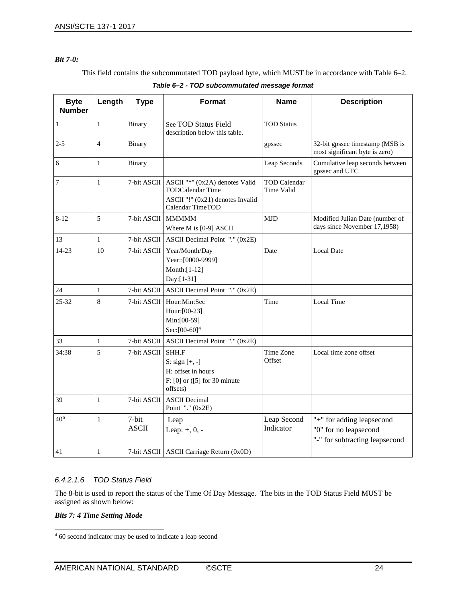#### *Bit 7-0:*

This field contains the subcommutated TOD payload byte, which MUST be in accordance with [Table](#page-23-0) 6–2.

<span id="page-23-0"></span>

| <b>Byte</b><br><b>Number</b> | Length         | <b>Type</b>           | Format                                                                                                            | <b>Name</b>                       | <b>Description</b>                                                                   |
|------------------------------|----------------|-----------------------|-------------------------------------------------------------------------------------------------------------------|-----------------------------------|--------------------------------------------------------------------------------------|
| $\mathbf{1}$                 | 1              | Binary                | See TOD Status Field<br>description below this table.                                                             | <b>TOD Status</b>                 |                                                                                      |
| $2 - 5$                      | $\overline{4}$ | Binary                |                                                                                                                   | gpssec                            | 32-bit gpssec timestamp (MSB is<br>most significant byte is zero)                    |
| 6                            | $\mathbf{1}$   | Binary                |                                                                                                                   | Leap Seconds                      | Cumulative leap seconds between<br>gpssec and UTC                                    |
| 7                            | 1              | 7-bit ASCII           | ASCII "*" (0x2A) denotes Valid<br><b>TODCalendar Time</b><br>ASCII "!" (0x21) denotes Invalid<br>Calendar TimeTOD | <b>TOD Calendar</b><br>Time Valid |                                                                                      |
| $8 - 12$                     | 5              | 7-bit ASCII           | <b>MMMMM</b><br>Where M is [0-9] ASCII                                                                            | <b>MJD</b>                        | Modified Julian Date (number of<br>days since November 17,1958)                      |
| 13                           | 1              | 7-bit ASCII           | ASCII Decimal Point "." (0x2E)                                                                                    |                                   |                                                                                      |
| 14-23                        | 10             | 7-bit ASCII           | Year/Month/Day<br>Year::[0000-9999]<br>Month:[1-12]<br>Day:[1-31]                                                 | Date                              | <b>Local Date</b>                                                                    |
| 24                           | 1              | 7-bit ASCII           | ASCII Decimal Point "." (0x2E)                                                                                    |                                   |                                                                                      |
| $25 - 32$                    | 8              |                       | 7-bit ASCII   Hour:Min:Sec<br>Hour: [00-23]<br>Min:[00-59]<br>Sec:[00-60] <sup>4</sup>                            | Time                              | Local Time                                                                           |
| 33                           | $\,1$          |                       | 7-bit ASCII   ASCII Decimal Point "." (0x2E)                                                                      |                                   |                                                                                      |
| 34:38                        | 5              | 7-bit ASCII           | SHH.F<br>S: $sign [+, -]$<br>H: offset in hours<br>F: $[0]$ or $([5]$ for 30 minute<br>offsets)                   | Time Zone<br>Offset               | Local time zone offset                                                               |
| 39                           | $\mathbf{1}$   | 7-bit ASCII           | <b>ASCII</b> Decimal<br>Point "." (0x2E)                                                                          |                                   |                                                                                      |
| 40 <sup>5</sup>              | $\mathbf{1}$   | 7-bit<br><b>ASCII</b> | Leap<br>Leap: $+, 0, -$                                                                                           | Leap Second<br>Indicator          | "+" for adding leapsecond<br>"0" for no leapsecond<br>"-" for subtracting leapsecond |
| 41                           | $\mathbf{1}$   |                       | 7-bit ASCII   ASCII Carriage Return (0x0D)                                                                        |                                   |                                                                                      |

## <span id="page-23-1"></span>*6.4.2.1.6 TOD Status Field*

The 8-bit is used to report the status of the Time Of Day Message. The bits in the TOD Status Field MUST be assigned as shown below:

#### *Bits 7: 4 Time Setting Mode*

<span id="page-23-3"></span><span id="page-23-2"></span> <sup>4</sup> 60 second indicator may be used to indicate a leap second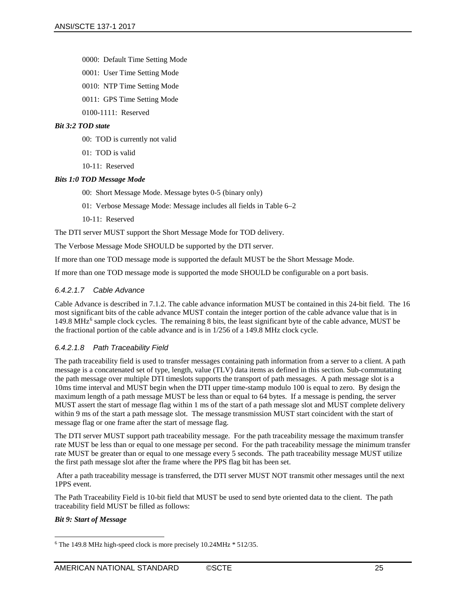- 0000: Default Time Setting Mode
- 0001: User Time Setting Mode
- 0010: NTP Time Setting Mode
- 0011: GPS Time Setting Mode
- 0100-1111: Reserved

#### *Bit 3:2 TOD state*

- 00: TOD is currently not valid
- 01: TOD is valid
- 10-11: Reserved

#### *Bits 1:0 TOD Message Mode*

- 00: Short Message Mode. Message bytes 0-5 (binary only)
- 01: Verbose Message Mode: Message includes all fields i[n Table](#page-23-0) 6–2
- 10-11: Reserved

The DTI server MUST support the Short Message Mode for TOD delivery.

The Verbose Message Mode SHOULD be supported by the DTI server.

If more than one TOD message mode is supported the default MUST be the Short Message Mode.

If more than one TOD message mode is supported the mode SHOULD be configurable on a port basis.

#### *6.4.2.1.7 Cable Advance*

Cable Advance is described in 7.1.2. The cable advance information MUST be contained in this 24-bit field. The 16 most significant bits of the cable advance MUST contain the integer portion of the cable advance value that is in 149.8 MHz[6](#page-24-0) sample clock cycles. The remaining 8 bits, the least significant byte of the cable advance, MUST be the fractional portion of the cable advance and is in 1/256 of a 149.8 MHz clock cycle.

#### *6.4.2.1.8 Path Traceability Field*

The path traceability field is used to transfer messages containing path information from a server to a client. A path message is a concatenated set of type, length, value (TLV) data items as defined in this section. Sub-commutating the path message over multiple DTI timeslots supports the transport of path messages. A path message slot is a 10ms time interval and MUST begin when the DTI upper time-stamp modulo 100 is equal to zero. By design the maximum length of a path message MUST be less than or equal to 64 bytes. If a message is pending, the server MUST assert the start of message flag within 1 ms of the start of a path message slot and MUST complete delivery within 9 ms of the start a path message slot. The message transmission MUST start coincident with the start of message flag or one frame after the start of message flag.

The DTI server MUST support path traceability message. For the path traceability message the maximum transfer rate MUST be less than or equal to one message per second. For the path traceability message the minimum transfer rate MUST be greater than or equal to one message every 5 seconds. The path traceability message MUST utilize the first path message slot after the frame where the PPS flag bit has been set.

After a path traceability message is transferred, the DTI server MUST NOT transmit other messages until the next 1PPS event.

The Path Traceability Field is 10-bit field that MUST be used to send byte oriented data to the client. The path traceability field MUST be filled as follows:

#### *Bit 9: Start of Message*

<span id="page-24-0"></span> <sup>6</sup> The 149.8 MHz high-speed clock is more precisely 10.24MHz \* 512/35.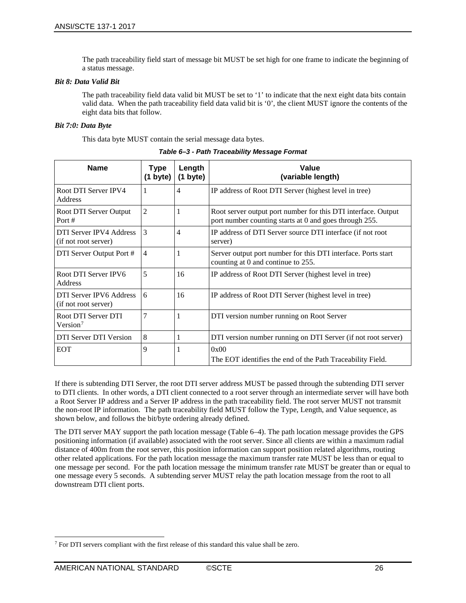The path traceability field start of message bit MUST be set high for one frame to indicate the beginning of a status message.

#### *Bit 8: Data Valid Bit*

The path traceability field data valid bit MUST be set to '1' to indicate that the next eight data bits contain valid data. When the path traceability field data valid bit is '0', the client MUST ignore the contents of the eight data bits that follow.

#### *Bit 7:0: Data Byte*

This data byte MUST contain the serial message data bytes.

<span id="page-25-0"></span>

| <b>Name</b>                                     | Type<br>$(1 \text{ byte})$ | Length<br>$(1 \text{ byte})$ | Value<br>(variable length)                                                                                              |
|-------------------------------------------------|----------------------------|------------------------------|-------------------------------------------------------------------------------------------------------------------------|
| Root DTI Server IPV4<br>Address                 |                            | 4                            | IP address of Root DTI Server (highest level in tree)                                                                   |
| Root DTI Server Output<br>Port $#$              | $\overline{c}$             |                              | Root server output port number for this DTI interface. Output<br>port number counting starts at 0 and goes through 255. |
| DTI Server IPV4 Address<br>(if not root server) | 3                          | $\overline{4}$               | IP address of DTI Server source DTI interface (if not root<br>server)                                                   |
| DTI Server Output Port #                        | 4                          |                              | Server output port number for this DTI interface. Ports start<br>counting at 0 and continue to 255.                     |
| Root DTI Server IPV6<br><b>Address</b>          | 5                          | 16                           | IP address of Root DTI Server (highest level in tree)                                                                   |
| DTI Server IPV6 Address<br>(if not root server) | 6                          | 16                           | IP address of Root DTI Server (highest level in tree)                                                                   |
| Root DTI Server DTI<br>Version <sup>7</sup>     | 7                          |                              | DTI version number running on Root Server                                                                               |
| DTI Server DTI Version                          | 8                          |                              | DTI version number running on DTI Server (if not root server)                                                           |
| <b>EOT</b>                                      | 9                          |                              | 0x00<br>The EOT identifies the end of the Path Traceability Field.                                                      |

*Table 6–3 - Path Traceability Message Format*

If there is subtending DTI Server, the root DTI server address MUST be passed through the subtending DTI server to DTI clients. In other words, a DTI client connected to a root server through an intermediate server will have both a Root Server IP address and a Server IP address in the path traceability field. The root server MUST not transmit the non-root IP information. The path traceability field MUST follow the Type, Length, and Value sequence, as shown below, and follows the bit/byte ordering already defined.

The DTI server MAY support the path location message [\(Table](#page-26-1) 6–4). The path location message provides the GPS positioning information (if available) associated with the root server. Since all clients are within a maximum radial distance of 400m from the root server, this position information can support position related algorithms, routing other related applications. For the path location message the maximum transfer rate MUST be less than or equal to one message per second. For the path location message the minimum transfer rate MUST be greater than or equal to one message every 5 seconds. A subtending server MUST relay the path location message from the root to all downstream DTI client ports.

<span id="page-25-1"></span> <sup>7</sup> For DTI servers compliant with the first release of this standard this value shall be zero.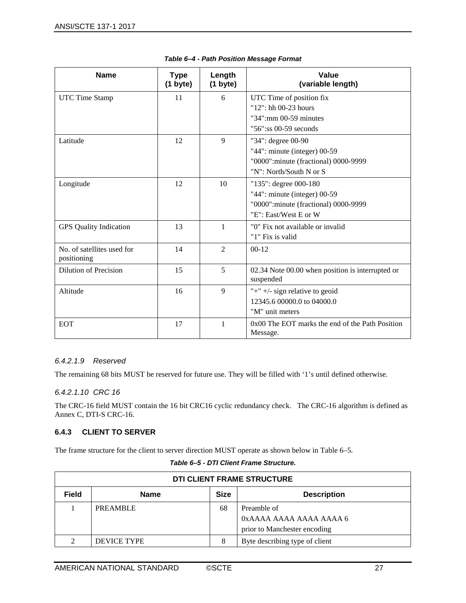<span id="page-26-1"></span>

| <b>Name</b>                               | <b>Type</b><br>$(1 \text{ byte})$ | Length<br>$(1 \text{ byte})$ | Value<br>(variable length)                                                                                                 |
|-------------------------------------------|-----------------------------------|------------------------------|----------------------------------------------------------------------------------------------------------------------------|
| <b>UTC Time Stamp</b>                     | 11                                | 6                            | UTC Time of position fix<br>"12": hh 00-23 hours<br>$"34"$ : mm 00-59 minutes<br>$"56"$ :ss 00-59 seconds                  |
| Latitude                                  | 12                                | 9                            | "34": degree 00-90<br>"44": minute (integer) $00-59$<br>"0000":minute (fractional) 0000-9999<br>"N": North/South N or S    |
| Longitude                                 | 12                                | 10                           | "135": degree 000-180<br>" $44$ ": minute (integer) 00-59<br>"0000":minute (fractional) 0000-9999<br>"E": East/West E or W |
| GPS Quality Indication                    | 13                                | 1                            | "0" Fix not available or invalid<br>"1" Fix is valid                                                                       |
| No. of satellites used for<br>positioning | 14                                | $\overline{2}$               | $00-12$                                                                                                                    |
| <b>Dilution of Precision</b>              | 15                                | 5                            | 02.34 Note 00.00 when position is interrupted or<br>suspended                                                              |
| Altitude                                  | 16                                | 9                            | "+" +/- sign relative to geoid<br>12345.6 00000.0 to 04000.0<br>"M" unit meters                                            |
| <b>EOT</b>                                | 17                                | $\mathbf{1}$                 | 0x00 The EOT marks the end of the Path Position<br>Message.                                                                |

| Table 6-4 - Path Position Message Format |  |  |  |  |
|------------------------------------------|--|--|--|--|
|------------------------------------------|--|--|--|--|

#### *6.4.2.1.9 Reserved*

The remaining 68 bits MUST be reserved for future use. They will be filled with '1's until defined otherwise.

#### *6.4.2.1.10 CRC 16*

The CRC-16 field MUST contain the 16 bit CRC16 cyclic redundancy check. The CRC-16 algorithm is defined as [Annex C, DTI-S CRC-16.](#page-71-0)

#### <span id="page-26-0"></span>**6.4.3 CLIENT TO SERVER**

<span id="page-26-2"></span>The frame structure for the client to server direction MUST operate as shown below in [Table](#page-26-2) 6–5.

*Table 6–5 - DTI Client Frame Structure.*

| DTI CLIENT FRAME STRUCTURE |                 |             |                                                                        |  |
|----------------------------|-----------------|-------------|------------------------------------------------------------------------|--|
| <b>Field</b>               | <b>Name</b>     | <b>Size</b> | <b>Description</b>                                                     |  |
|                            | <b>PREAMBLE</b> | 68          | Preamble of<br>0xAAAA AAAA AAAA AAAA 6<br>prior to Manchester encoding |  |
|                            | DEVICE TYPE     |             | Byte describing type of client                                         |  |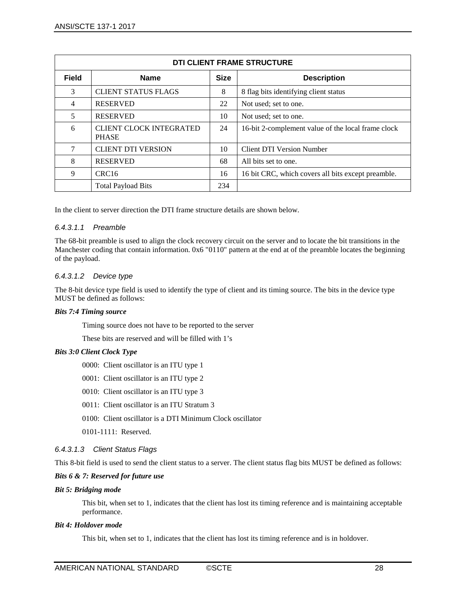| DTI CLIENT FRAME STRUCTURE |                                                |             |                                                    |  |  |
|----------------------------|------------------------------------------------|-------------|----------------------------------------------------|--|--|
| <b>Field</b>               | <b>Name</b>                                    | <b>Size</b> | <b>Description</b>                                 |  |  |
| 3                          | <b>CLIENT STATUS FLAGS</b>                     | 8           | 8 flag bits identifying client status              |  |  |
| 4                          | <b>RESERVED</b>                                | 22          | Not used; set to one.                              |  |  |
| 5                          | <b>RESERVED</b>                                | 10          | Not used; set to one.                              |  |  |
| 6                          | <b>CLIENT CLOCK INTEGRATED</b><br><b>PHASE</b> | 24          | 16-bit 2-complement value of the local frame clock |  |  |
|                            | <b>CLIENT DTI VERSION</b>                      | 10          | <b>Client DTI Version Number</b>                   |  |  |
| 8                          | <b>RESERVED</b>                                | 68          | All bits set to one.                               |  |  |
| 9                          | CRC <sub>16</sub>                              | 16          | 16 bit CRC, which covers all bits except preamble. |  |  |
|                            | <b>Total Payload Bits</b>                      | 234         |                                                    |  |  |

In the client to server direction the DTI frame structure details are shown below.

#### *6.4.3.1.1 Preamble*

The 68-bit preamble is used to align the clock recovery circuit on the server and to locate the bit transitions in the Manchester coding that contain information. 0x6 "0110" pattern at the end at of the preamble locates the beginning of the payload.

#### *6.4.3.1.2 Device type*

The 8-bit device type field is used to identify the type of client and its timing source. The bits in the device type MUST be defined as follows:

#### *Bits 7:4 Timing source*

Timing source does not have to be reported to the server

These bits are reserved and will be filled with 1's

#### *Bits 3:0 Client Clock Type*

- 0000: Client oscillator is an ITU type 1
- 0001: Client oscillator is an ITU type 2
- 0010: Client oscillator is an ITU type 3
- 0011: Client oscillator is an ITU Stratum 3
- 0100: Client oscillator is a DTI Minimum Clock oscillator
- 0101-1111: Reserved.

#### *6.4.3.1.3 Client Status Flags*

This 8-bit field is used to send the client status to a server. The client status flag bits MUST be defined as follows:

#### *Bits 6 & 7: Reserved for future use*

#### *Bit 5: Bridging mode*

This bit, when set to 1, indicates that the client has lost its timing reference and is maintaining acceptable performance.

#### *Bit 4: Holdover mode*

This bit, when set to 1, indicates that the client has lost its timing reference and is in holdover.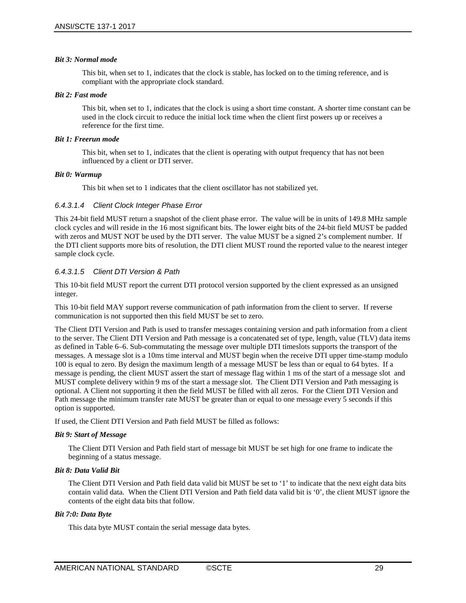#### *Bit 3: Normal mode*

This bit, when set to 1, indicates that the clock is stable, has locked on to the timing reference, and is compliant with the appropriate clock standard.

#### *Bit 2: Fast mode*

This bit, when set to 1, indicates that the clock is using a short time constant. A shorter time constant can be used in the clock circuit to reduce the initial lock time when the client first powers up or receives a reference for the first time.

#### *Bit 1: Freerun mode*

This bit, when set to 1, indicates that the client is operating with output frequency that has not been influenced by a client or DTI server.

#### *Bit 0: Warmup*

This bit when set to 1 indicates that the client oscillator has not stabilized yet.

#### *6.4.3.1.4 Client Clock Integer Phase Error*

This 24-bit field MUST return a snapshot of the client phase error. The value will be in units of 149.8 MHz sample clock cycles and will reside in the 16 most significant bits. The lower eight bits of the 24-bit field MUST be padded with zeros and MUST NOT be used by the DTI server. The value MUST be a signed 2's complement number. If the DTI client supports more bits of resolution, the DTI client MUST round the reported value to the nearest integer sample clock cycle.

#### *6.4.3.1.5 Client DTI Version & Path*

This 10-bit field MUST report the current DTI protocol version supported by the client expressed as an unsigned integer.

This 10-bit field MAY support reverse communication of path information from the client to server. If reverse communication is not supported then this field MUST be set to zero.

The Client DTI Version and Path is used to transfer messages containing version and path information from a client to the server. The Client DTI Version and Path message is a concatenated set of type, length, value (TLV) data items as defined i[n Table](#page-29-1) 6–6. Sub-commutating the message over multiple DTI timeslots supports the transport of the messages. A message slot is a 10ms time interval and MUST begin when the receive DTI upper time-stamp modulo 100 is equal to zero. By design the maximum length of a message MUST be less than or equal to 64 bytes. If a message is pending, the client MUST assert the start of message flag within 1 ms of the start of a message slot and MUST complete delivery within 9 ms of the start a message slot. The Client DTI Version and Path messaging is optional. A Client not supporting it then the field MUST be filled with all zeros. For the Client DTI Version and Path message the minimum transfer rate MUST be greater than or equal to one message every 5 seconds if this option is supported.

If used, the Client DTI Version and Path field MUST be filled as follows:

#### *Bit 9: Start of Message*

The Client DTI Version and Path field start of message bit MUST be set high for one frame to indicate the beginning of a status message.

#### *Bit 8: Data Valid Bit*

The Client DTI Version and Path field data valid bit MUST be set to '1' to indicate that the next eight data bits contain valid data. When the Client DTI Version and Path field data valid bit is '0', the client MUST ignore the contents of the eight data bits that follow.

#### *Bit 7:0: Data Byte*

This data byte MUST contain the serial message data bytes.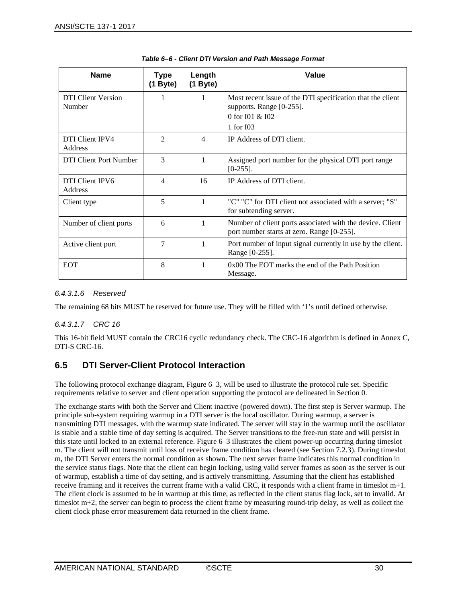<span id="page-29-1"></span>

| <b>Name</b>                         | <b>Type</b><br>$(1$ Byte) | Length<br>(1 Byte) | Value                                                                                                                    |
|-------------------------------------|---------------------------|--------------------|--------------------------------------------------------------------------------------------------------------------------|
| <b>DTI Client Version</b><br>Number | 1                         |                    | Most recent issue of the DTI specification that the client<br>supports. Range [0-255].<br>0 for $I01 & 102$<br>1 for I03 |
| DTI Client IPV4<br>Address          | $\mathcal{L}$             | $\overline{4}$     | IP Address of DTI client.                                                                                                |
| <b>DTI Client Port Number</b>       | 3                         |                    | Assigned port number for the physical DTI port range<br>$[0-255]$ .                                                      |
| DTI Client IPV6<br>Address          | 4                         | 16                 | IP Address of DTI client.                                                                                                |
| Client type                         | 5                         | 1                  | "C" "C" for DTI client not associated with a server; "S"<br>for subtending server.                                       |
| Number of client ports              | 6                         |                    | Number of client ports associated with the device. Client<br>port number starts at zero. Range [0-255].                  |
| Active client port                  | 7                         |                    | Port number of input signal currently in use by the client.<br>Range [0-255].                                            |
| <b>EOT</b>                          | 8                         |                    | 0x00 The EOT marks the end of the Path Position<br>Message.                                                              |

| Table 6-6 - Client DTI Version and Path Message Format |  |  |
|--------------------------------------------------------|--|--|
|--------------------------------------------------------|--|--|

## *6.4.3.1.6 Reserved*

The remaining 68 bits MUST be reserved for future use. They will be filled with '1's until defined otherwise.

## *6.4.3.1.7 CRC 16*

This 16-bit field MUST contain the CRC16 cyclic redundancy check. The CRC-16 algorithm is defined in [Annex C,](#page-71-0) [DTI-S CRC-16.](#page-71-0)

## <span id="page-29-0"></span>**6.5 DTI Server-Client Protocol Interaction**

The following protocol exchange diagram, [Figure](#page-30-0) 6–3, will be used to illustrate the protocol rule set. Specific requirements relative to server and client operation supporting the protocol are delineated in Section [0.](#page-30-1)

The exchange starts with both the Server and Client inactive (powered down). The first step is Server warmup. The principle sub-system requiring warmup in a DTI server is the local oscillator. During warmup, a server is transmitting DTI messages. with the warmup state indicated. The server will stay in the warmup until the oscillator is stable and a stable time of day setting is acquired. The Server transitions to the free-run state and will persist in this state until locked to an external reference. [Figure](#page-30-0) 6–3 illustrates the client power-up occurring during timeslot m. The client will not transmit until loss of receive frame condition has cleared (see Sectio[n 7.2.3\)](#page-40-0). During timeslot m, the DTI Server enters the normal condition as shown. The next server frame indicates this normal condition in the service status flags. Note that the client can begin locking, using valid server frames as soon as the server is out of warmup, establish a time of day setting, and is actively transmitting. Assuming that the client has established receive framing and it receives the current frame with a valid CRC, it responds with a client frame in timeslot m+1. The client clock is assumed to be in warmup at this time, as reflected in the client status flag lock, set to invalid. At timeslot m+2, the server can begin to process the client frame by measuring round-trip delay, as well as collect the client clock phase error measurement data returned in the client frame.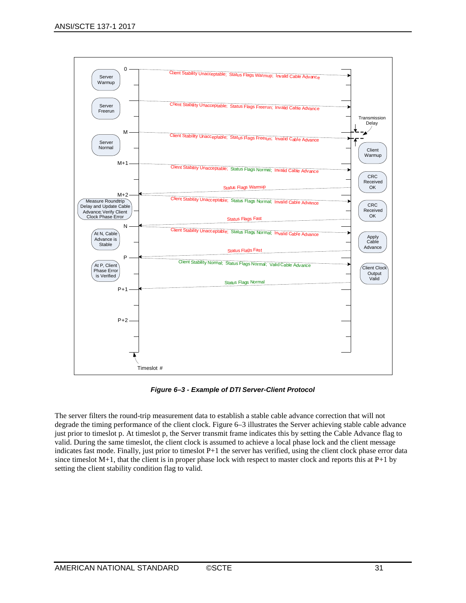

<span id="page-30-1"></span>*Figure 6–3 - Example of DTI Server-Client Protocol* 

<span id="page-30-0"></span>The server filters the round-trip measurement data to establish a stable cable advance correction that will not degrade the timing performance of the client clock. [Figure](#page-30-0) 6–3 illustrates the Server achieving stable cable advance just prior to timeslot p. At timeslot p, the Server transmit frame indicates this by setting the Cable Advance flag to valid. During the same timeslot, the client clock is assumed to achieve a local phase lock and the client message indicates fast mode. Finally, just prior to timeslot P+1 the server has verified, using the client clock phase error data since timeslot  $M+1$ , that the client is in proper phase lock with respect to master clock and reports this at  $P+1$  by setting the client stability condition flag to valid.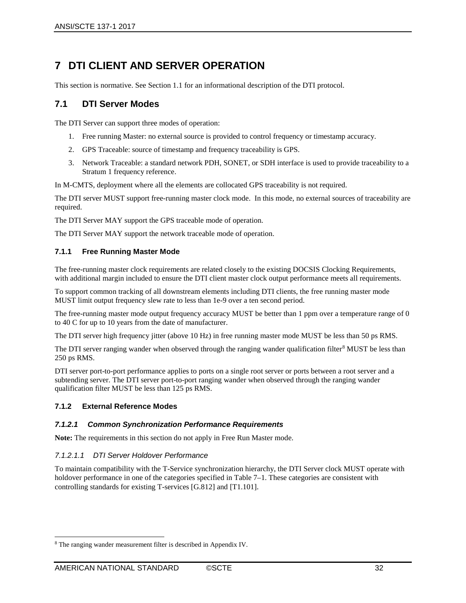## <span id="page-31-0"></span>**7 DTI CLIENT AND SERVER OPERATION**

This section is normative. See Section [1.1](#page-6-1) for an informational description of the DTI protocol.

## <span id="page-31-1"></span>**7.1 DTI Server Modes**

The DTI Server can support three modes of operation:

- 1. Free running Master: no external source is provided to control frequency or timestamp accuracy.
- 2. GPS Traceable: source of timestamp and frequency traceability is GPS.
- 3. Network Traceable: a standard network PDH, SONET, or SDH interface is used to provide traceability to a Stratum 1 frequency reference.

In M-CMTS, deployment where all the elements are collocated GPS traceability is not required.

The DTI server MUST support free-running master clock mode. In this mode, no external sources of traceability are required.

The DTI Server MAY support the GPS traceable mode of operation.

The DTI Server MAY support the network traceable mode of operation.

#### <span id="page-31-2"></span>**7.1.1 Free Running Master Mode**

The free-running master clock requirements are related closely to the existing DOCSIS Clocking Requirements, with additional margin included to ensure the DTI client master clock output performance meets all requirements.

To support common tracking of all downstream elements including DTI clients, the free running master mode MUST limit output frequency slew rate to less than 1e-9 over a ten second period.

The free-running master mode output frequency accuracy MUST be better than 1 ppm over a temperature range of 0 to 40 C for up to 10 years from the date of manufacturer.

The DTI server high frequency jitter (above 10 Hz) in free running master mode MUST be less than 50 ps RMS.

The DTI server ranging wander when observed through the ranging wander qualification filter<sup>[8](#page-31-4)</sup> MUST be less than 250 ps RMS.

DTI server port-to-port performance applies to ports on a single root server or ports between a root server and a subtending server. The DTI server port-to-port ranging wander when observed through the ranging wander qualification filter MUST be less than 125 ps RMS.

#### <span id="page-31-3"></span>**7.1.2 External Reference Modes**

#### *7.1.2.1 Common Synchronization Performance Requirements*

**Note:** The requirements in this section do not apply in Free Run Master mode.

#### *7.1.2.1.1 DTI Server Holdover Performance*

To maintain compatibility with the T-Service synchronization hierarchy, the DTI Server clock MUST operate with holdover performance in one of the categories specified i[n Table](#page-32-0) 7–1. These categories are consistent with controlling standards for existing T-services [\[G.812\]](#page-10-5) and [\[T1.101\].](#page-10-6)

<span id="page-31-4"></span> <sup>8</sup> The ranging wander measurement filter is described in [Appendix IV.](#page-82-0)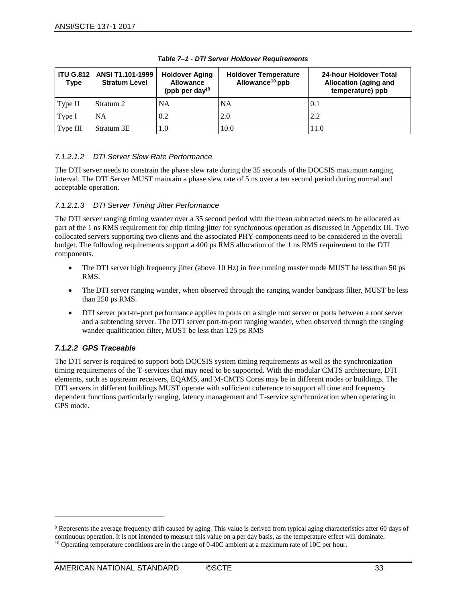<span id="page-32-0"></span>

| <b>ITU G.812</b><br>Type | ANSI T1.101-1999<br><b>Stratum Level</b> | <b>Holdover Aging</b><br><b>Allowance</b><br>(ppb per day) <sup>9</sup> | <b>Holdover Temperature</b><br>Allowance <sup>10</sup> ppb | 24-hour Holdover Total<br><b>Allocation (aging and</b><br>temperature) ppb |
|--------------------------|------------------------------------------|-------------------------------------------------------------------------|------------------------------------------------------------|----------------------------------------------------------------------------|
| Type II                  | Stratum 2                                | NA                                                                      | NA                                                         | 0.1                                                                        |
| Type I                   | NA                                       | 0.2                                                                     | 2.0                                                        | 2.2                                                                        |
| Type III                 | Stratum 3E                               | 1.0                                                                     | 10.0                                                       | 11.0                                                                       |

### *7.1.2.1.2 DTI Server Slew Rate Performance*

The DTI server needs to constrain the phase slew rate during the 35 seconds of the DOCSIS maximum ranging interval. The DTI Server MUST maintain a phase slew rate of 5 ns over a ten second period during normal and acceptable operation.

#### *7.1.2.1.3 DTI Server Timing Jitter Performance*

The DTI server ranging timing wander over a 35 second period with the mean subtracted needs to be allocated as part of the 1 ns RMS requirement for chip timing jitter for synchronous operation as discussed in Appendix III. Two collocated servers supporting two clients and the associated PHY components need to be considered in the overall budget. The following requirements support a 400 ps RMS allocation of the 1 ns RMS requirement to the DTI components.

- The DTI server high frequency jitter (above 10 Hz) in free running master mode MUST be less than 50 ps RMS.
- The DTI server ranging wander, when observed through the ranging wander bandpass filter, MUST be less than 250 ps RMS.
- DTI server port-to-port performance applies to ports on a single root server or ports between a root server and a subtending server. The DTI server port-to-port ranging wander, when observed through the ranging wander qualification filter, MUST be less than 125 ps RMS

#### *7.1.2.2 GPS Traceable*

 $\overline{a}$ 

The DTI server is required to support both DOCSIS system timing requirements as well as the synchronization timing requirements of the T-services that may need to be supported. With the modular CMTS architecture, DTI elements, such as upstream receivers, EQAMS, and M-CMTS Cores may be in different nodes or buildings. The DTI servers in different buildings MUST operate with sufficient coherence to support all time and frequency dependent functions particularly ranging, latency management and T-service synchronization when operating in GPS mode.

<span id="page-32-2"></span><span id="page-32-1"></span><sup>&</sup>lt;sup>9</sup> Represents the average frequency drift caused by aging. This value is derived from typical aging characteristics after 60 days of continuous operation. It is not intended to measure this value on a per day basis, as the temperature effect will dominate. <sup>10</sup> Operating temperature conditions are in the range of 0-40C ambient at a maximum rate of 10C per hour.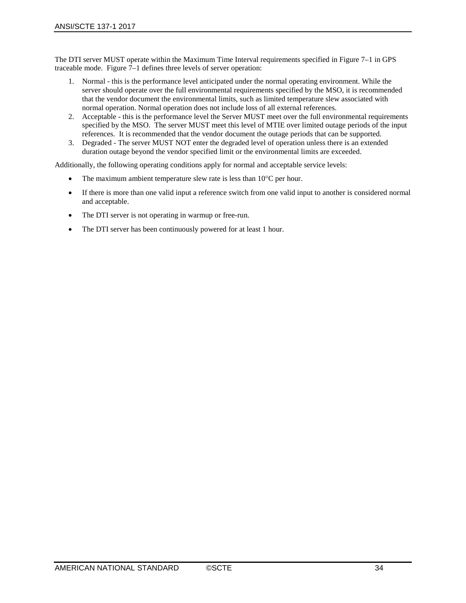The DTI server MUST operate within the Maximum Time Interval requirements specified in [Figure](#page-34-0) 7–1 in GPS traceable mode. [Figure](#page-34-0) 7–1 defines three levels of server operation:

- 1. Normal this is the performance level anticipated under the normal operating environment. While the server should operate over the full environmental requirements specified by the MSO, it is recommended that the vendor document the environmental limits, such as limited temperature slew associated with normal operation. Normal operation does not include loss of all external references.
- 2. Acceptable this is the performance level the Server MUST meet over the full environmental requirements specified by the MSO. The server MUST meet this level of MTIE over limited outage periods of the input references. It is recommended that the vendor document the outage periods that can be supported.
- 3. Degraded The server MUST NOT enter the degraded level of operation unless there is an extended duration outage beyond the vendor specified limit or the environmental limits are exceeded.

Additionally, the following operating conditions apply for normal and acceptable service levels:

- The maximum ambient temperature slew rate is less than  $10^{\circ}$ C per hour.
- If there is more than one valid input a reference switch from one valid input to another is considered normal and acceptable.
- The DTI server is not operating in warmup or free-run.
- The DTI server has been continuously powered for at least 1 hour.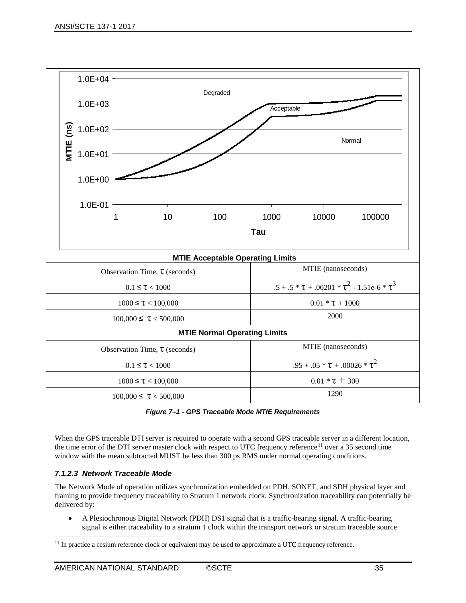

*Figure 7–1 - GPS Traceable Mode MTIE Requirements*

<span id="page-34-0"></span>When the GPS traceable DTI server is required to operate with a second GPS traceable server in a different location, the time error of the DTI server master clock with respect to UTC frequency reference<sup>[11](#page-34-1)</sup> over a 35 second time window with the mean subtracted MUST be less than 300 ps RMS under normal operating conditions.

## *7.1.2.3 Network Traceable Mode*

The Network Mode of operation utilizes synchronization embedded on PDH, SONET, and SDH physical layer and framing to provide frequency traceability to Stratum 1 network clock. Synchronization traceability can potentially be delivered by:

• A Plesiochronous Digital Network (PDH) DS1 signal that is a traffic-bearing signal. A traffic-bearing signal is either traceability to a stratum 1 clock within the transport network or stratum traceable source

<span id="page-34-1"></span><sup>&</sup>lt;sup>11</sup> In practice a cesium reference clock or equivalent may be used to approximate a UTC frequency reference.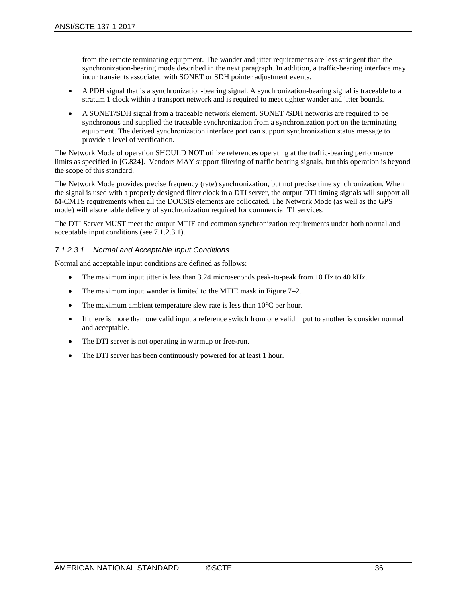from the remote terminating equipment. The wander and jitter requirements are less stringent than the synchronization-bearing mode described in the next paragraph. In addition, a traffic-bearing interface may incur transients associated with SONET or SDH pointer adjustment events.

- A PDH signal that is a synchronization-bearing signal. A synchronization-bearing signal is traceable to a stratum 1 clock within a transport network and is required to meet tighter wander and jitter bounds.
- A SONET/SDH signal from a traceable network element. SONET /SDH networks are required to be synchronous and supplied the traceable synchronization from a synchronization port on the terminating equipment. The derived synchronization interface port can support synchronization status message to provide a level of verification.

The Network Mode of operation SHOULD NOT utilize references operating at the traffic-bearing performance limits as specified in [\[G.824\].](#page-10-8) Vendors MAY support filtering of traffic bearing signals, but this operation is beyond the scope of this standard.

The Network Mode provides precise frequency (rate) synchronization, but not precise time synchronization. When the signal is used with a properly designed filter clock in a DTI server, the output DTI timing signals will support all M-CMTS requirements when all the DOCSIS elements are collocated. The Network Mode (as well as the GPS mode) will also enable delivery of synchronization required for commercial T1 services.

The DTI Server MUST meet the output MTIE and common synchronization requirements under both normal and acceptable input conditions (se[e 7.1.2.3.1\)](#page-35-0).

#### <span id="page-35-0"></span>*7.1.2.3.1 Normal and Acceptable Input Conditions*

Normal and acceptable input conditions are defined as follows:

- The maximum input jitter is less than 3.24 microseconds peak-to-peak from 10 Hz to 40 kHz.
- The maximum input wander is limited to the MTIE mask in [Figure](#page-36-0) 7–2.
- The maximum ambient temperature slew rate is less than  $10^{\circ}$ C per hour.
- If there is more than one valid input a reference switch from one valid input to another is consider normal and acceptable.
- The DTI server is not operating in warmup or free-run.
- The DTI server has been continuously powered for at least 1 hour.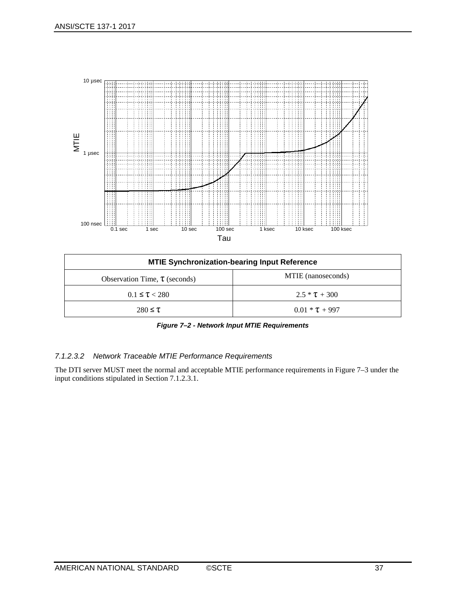

| <b>MTIE Synchronization-bearing Input Reference</b> |                    |  |
|-----------------------------------------------------|--------------------|--|
| Observation Time, $\tau$ (seconds)                  | MTIE (nanoseconds) |  |
| $0.1 \leq \tau < 280$                               | $2.5 * T + 300$    |  |
| $280 \leq \tau$                                     | $0.01 * T + 997$   |  |

*Figure 7–2 - Network Input MTIE Requirements*

## <span id="page-36-0"></span>*7.1.2.3.2 Network Traceable MTIE Performance Requirements*

The DTI server MUST meet the normal and acceptable MTIE performance requirements i[n Figure](#page-37-0) 7–3 under the input conditions stipulated in Section [7.1.2.3.1.](#page-35-0)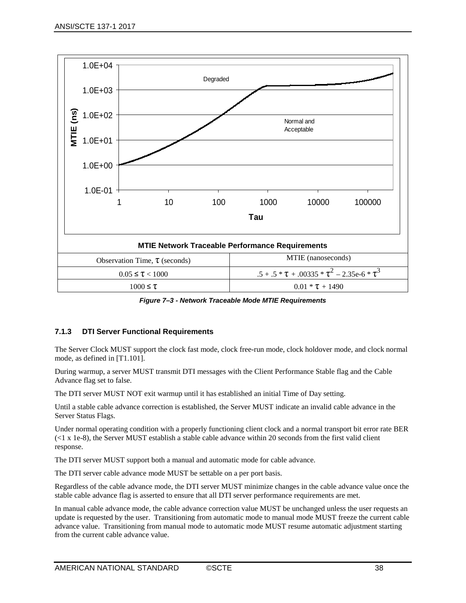

*Figure 7–3 - Network Traceable Mode MTIE Requirements*

## <span id="page-37-0"></span>**7.1.3 DTI Server Functional Requirements**

The Server Clock MUST support the clock fast mode, clock free-run mode, clock holdover mode, and clock normal mode, as defined in [\[T1.101\].](#page-10-0)

During warmup, a server MUST transmit DTI messages with the Client Performance Stable flag and the Cable Advance flag set to false.

The DTI server MUST NOT exit warmup until it has established an initial Time of Day setting.

Until a stable cable advance correction is established, the Server MUST indicate an invalid cable advance in the Server Status Flags.

Under normal operating condition with a properly functioning client clock and a normal transport bit error rate BER (<1 x 1e-8), the Server MUST establish a stable cable advance within 20 seconds from the first valid client response.

The DTI server MUST support both a manual and automatic mode for cable advance.

The DTI server cable advance mode MUST be settable on a per port basis.

Regardless of the cable advance mode, the DTI server MUST minimize changes in the cable advance value once the stable cable advance flag is asserted to ensure that all DTI server performance requirements are met.

In manual cable advance mode, the cable advance correction value MUST be unchanged unless the user requests an update is requested by the user. Transitioning from automatic mode to manual mode MUST freeze the current cable advance value. Transitioning from manual mode to automatic mode MUST resume automatic adjustment starting from the current cable advance value.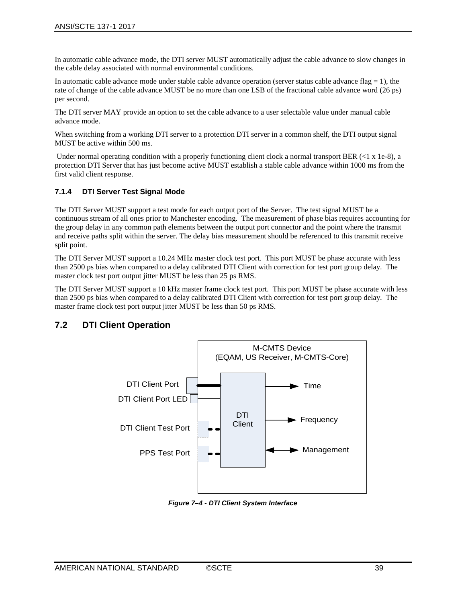In automatic cable advance mode, the DTI server MUST automatically adjust the cable advance to slow changes in the cable delay associated with normal environmental conditions.

In automatic cable advance mode under stable cable advance operation (server status cable advance flag  $= 1$ ), the rate of change of the cable advance MUST be no more than one LSB of the fractional cable advance word (26 ps) per second.

The DTI server MAY provide an option to set the cable advance to a user selectable value under manual cable advance mode.

When switching from a working DTI server to a protection DTI server in a common shelf, the DTI output signal MUST be active within 500 ms.

Under normal operating condition with a properly functioning client clock a normal transport BER ( $\lt 1$  x 1e-8), a protection DTI Server that has just become active MUST establish a stable cable advance within 1000 ms from the first valid client response.

#### **7.1.4 DTI Server Test Signal Mode**

The DTI Server MUST support a test mode for each output port of the Server. The test signal MUST be a continuous stream of all ones prior to Manchester encoding. The measurement of phase bias requires accounting for the group delay in any common path elements between the output port connector and the point where the transmit and receive paths split within the server. The delay bias measurement should be referenced to this transmit receive split point.

The DTI Server MUST support a 10.24 MHz master clock test port. This port MUST be phase accurate with less than 2500 ps bias when compared to a delay calibrated DTI Client with correction for test port group delay. The master clock test port output jitter MUST be less than 25 ps RMS.

The DTI Server MUST support a 10 kHz master frame clock test port. This port MUST be phase accurate with less than 2500 ps bias when compared to a delay calibrated DTI Client with correction for test port group delay. The master frame clock test port output jitter MUST be less than 50 ps RMS.



## **7.2 DTI Client Operation**

*Figure 7–4 - DTI Client System Interface*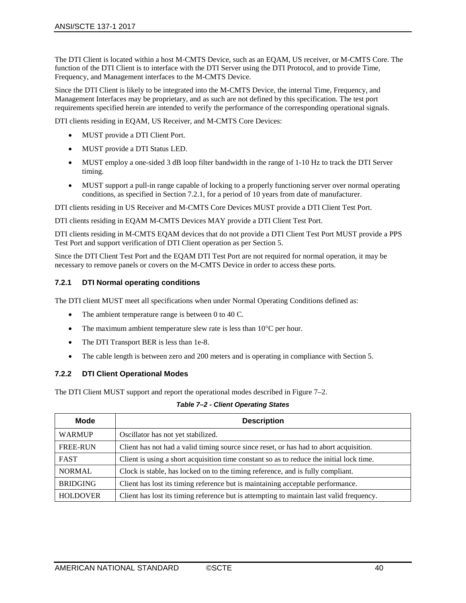The DTI Client is located within a host M-CMTS Device, such as an EQAM, US receiver, or M-CMTS Core. The function of the DTI Client is to interface with the DTI Server using the DTI Protocol, and to provide Time, Frequency, and Management interfaces to the M-CMTS Device.

Since the DTI Client is likely to be integrated into the M-CMTS Device, the internal Time, Frequency, and Management Interfaces may be proprietary, and as such are not defined by this specification. The test port requirements specified herein are intended to verify the performance of the corresponding operational signals.

DTI clients residing in EQAM, US Receiver, and M-CMTS Core Devices:

- MUST provide a DTI Client Port.
- MUST provide a DTI Status LED.
- MUST employ a one-sided 3 dB loop filter bandwidth in the range of 1-10 Hz to track the DTI Server timing.
- MUST support a pull-in range capable of locking to a properly functioning server over normal operating conditions, as specified in Section [7.2.1,](#page-39-0) for a period of 10 years from date of manufacturer.

DTI clients residing in US Receiver and M-CMTS Core Devices MUST provide a DTI Client Test Port.

DTI clients residing in EQAM M-CMTS Devices MAY provide a DTI Client Test Port.

DTI clients residing in M-CMTS EQAM devices that do not provide a DTI Client Test Port MUST provide a PPS Test Port and support verification of DTI Client operation as per Sectio[n 5.](#page-14-0)

Since the DTI Client Test Port and the EQAM DTI Test Port are not required for normal operation, it may be necessary to remove panels or covers on the M-CMTS Device in order to access these ports.

## <span id="page-39-0"></span>**7.2.1 DTI Normal operating conditions**

The DTI client MUST meet all specifications when under Normal Operating Conditions defined as:

- The ambient temperature range is between 0 to 40 C.
- The maximum ambient temperature slew rate is less than 10°C per hour.
- The DTI Transport BER is less than 1e-8.
- The cable length is between zero and 200 meters and is operating in compliance with Section [5.](#page-14-0)

## **7.2.2 DTI Client Operational Modes**

The DTI Client MUST support and report the operational modes described in [Figure](#page-36-0) 7–2.

*Table 7–2 - Client Operating States*

| <b>Mode</b>     | <b>Description</b>                                                                       |  |
|-----------------|------------------------------------------------------------------------------------------|--|
| <b>WARMUP</b>   | Oscillator has not yet stabilized.                                                       |  |
| <b>FREE-RUN</b> | Client has not had a valid timing source since reset, or has had to abort acquisition.   |  |
| <b>FAST</b>     | Client is using a short acquisition time constant so as to reduce the initial lock time. |  |
| <b>NORMAL</b>   | Clock is stable, has locked on to the timing reference, and is fully compliant.          |  |
| <b>BRIDGING</b> | Client has lost its timing reference but is maintaining acceptable performance.          |  |
| <b>HOLDOVER</b> | Client has lost its timing reference but is attempting to maintain last valid frequency. |  |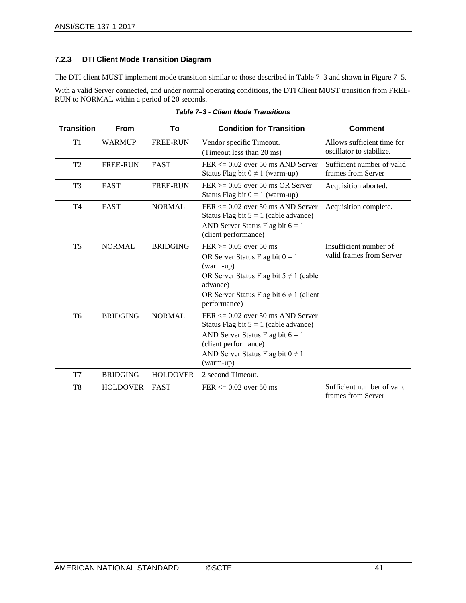## **7.2.3 DTI Client Mode Transition Diagram**

The DTI client MUST implement mode transition similar to those described i[n Table](#page-40-0) 7–3 and shown in [Figure](#page-41-0) 7–5.

With a valid Server connected, and under normal operating conditions, the DTI Client MUST transition from FREE-RUN to NORMAL within a period of 20 seconds.

<span id="page-40-0"></span>

| <b>Transition</b> | <b>From</b>     | To              | <b>Condition for Transition</b>                                                                                                                                                                        | <b>Comment</b>                                         |
|-------------------|-----------------|-----------------|--------------------------------------------------------------------------------------------------------------------------------------------------------------------------------------------------------|--------------------------------------------------------|
| T1                | <b>WARMUP</b>   | <b>FREE-RUN</b> | Vendor specific Timeout.<br>(Timeout less than 20 ms)                                                                                                                                                  | Allows sufficient time for<br>oscillator to stabilize. |
| T <sub>2</sub>    | <b>FREE-RUN</b> | FAST            | $FER \leq 0.02$ over 50 ms AND Server<br>Status Flag bit $0 \neq 1$ (warm-up)                                                                                                                          | Sufficient number of valid<br>frames from Server       |
| T <sub>3</sub>    | FAST            | <b>FREE-RUN</b> | $FER \ge 0.05$ over 50 ms OR Server<br>Status Flag bit $0 = 1$ (warm-up)                                                                                                                               | Acquisition aborted.                                   |
| T <sub>4</sub>    | <b>FAST</b>     | <b>NORMAL</b>   | $FER \leq 0.02$ over 50 ms AND Server<br>Status Flag bit $5 = 1$ (cable advance)<br>AND Server Status Flag bit $6 = 1$<br>(client performance)                                                         | Acquisition complete.                                  |
| T <sub>5</sub>    | <b>NORMAL</b>   | <b>BRIDGING</b> | $FER \ge 0.05$ over 50 ms<br>OR Server Status Flag bit $0 = 1$<br>(warm-up)<br>OR Server Status Flag bit $5 \neq 1$ (cable<br>advance)<br>OR Server Status Flag bit $6 \neq 1$ (client<br>performance) | Insufficient number of<br>valid frames from Server     |
| T <sub>6</sub>    | <b>BRIDGING</b> | <b>NORMAL</b>   | $FER \leq 0.02$ over 50 ms AND Server<br>Status Flag bit $5 = 1$ (cable advance)<br>AND Server Status Flag bit $6 = 1$<br>(client performance)<br>AND Server Status Flag bit $0 \neq 1$<br>(warm-up)   |                                                        |
| T <sub>7</sub>    | <b>BRIDGING</b> | <b>HOLDOVER</b> | 2 second Timeout.                                                                                                                                                                                      |                                                        |
| T <sub>8</sub>    | <b>HOLDOVER</b> | FAST            | $FER \leq 0.02$ over 50 ms                                                                                                                                                                             | Sufficient number of valid<br>frames from Server       |

*Table 7–3 - Client Mode Transitions*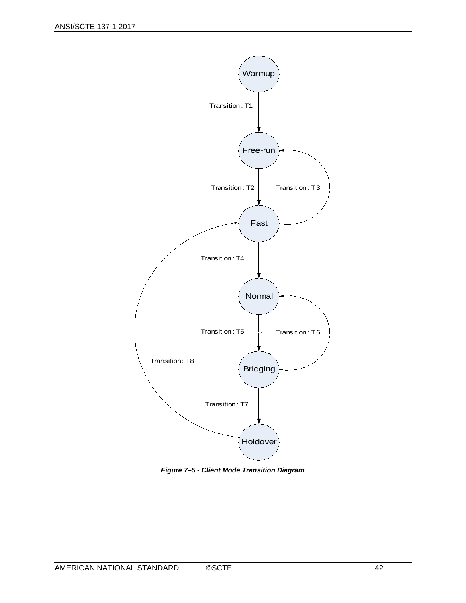

<span id="page-41-0"></span>*Figure 7–5 - Client Mode Transition Diagram*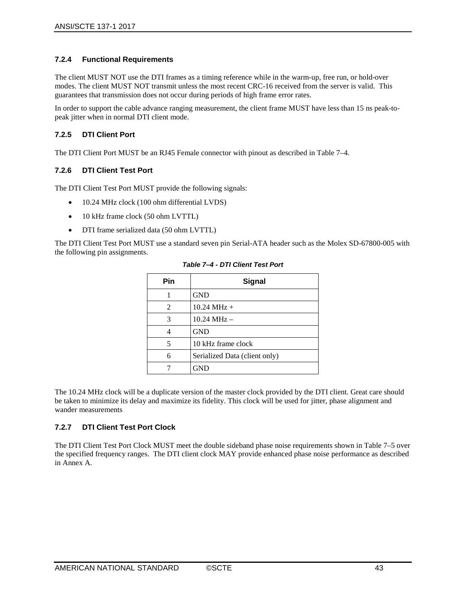## **7.2.4 Functional Requirements**

The client MUST NOT use the DTI frames as a timing reference while in the warm-up, free run, or hold-over modes. The client MUST NOT transmit unless the most recent CRC-16 received from the server is valid. This guarantees that transmission does not occur during periods of high frame error rates.

In order to support the cable advance ranging measurement, the client frame MUST have less than 15 ns peak-topeak jitter when in normal DTI client mode.

#### **7.2.5 DTI Client Port**

The DTI Client Port MUST be an RJ45 Female connector with pinout as described i[n Table](#page-42-0) 7–4.

#### **7.2.6 DTI Client Test Port**

The DTI Client Test Port MUST provide the following signals:

- 10.24 MHz clock (100 ohm differential LVDS)
- 10 kHz frame clock (50 ohm LVTTL)
- DTI frame serialized data (50 ohm LVTTL)

<span id="page-42-0"></span>The DTI Client Test Port MUST use a standard seven pin Serial-ATA header such as the Molex SD-67800-005 with the following pin assignments.

| Pin            | <b>Signal</b>                 |
|----------------|-------------------------------|
|                | <b>GND</b>                    |
| $\mathfrak{D}$ | $10.24$ MHz +                 |
| 3              | $10.24$ MHz $-$               |
|                | <b>GND</b>                    |
| 5              | 10 kHz frame clock            |
|                | Serialized Data (client only) |
|                | GND                           |

#### *Table 7–4 - DTI Client Test Port*

The 10.24 MHz clock will be a duplicate version of the master clock provided by the DTI client. Great care should be taken to minimize its delay and maximize its fidelity. This clock will be used for jitter, phase alignment and wander measurements

#### **7.2.7 DTI Client Test Port Clock**

The DTI Client Test Port Clock MUST meet the double sideband phase noise requirements shown i[n Table](#page-43-0) 7–5 over the specified frequency ranges. The DTI client clock MAY provide enhanced phase noise performance as described in Annex A.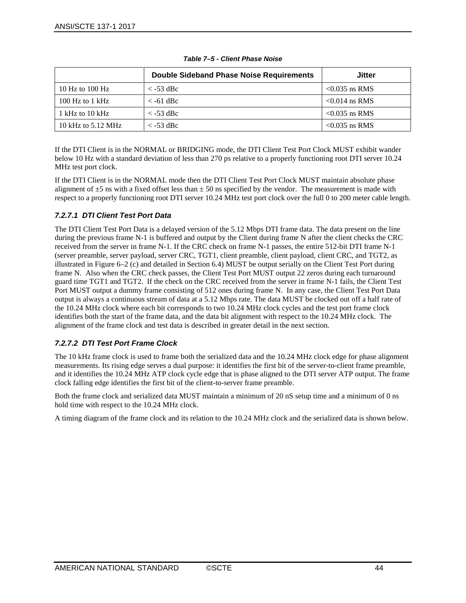<span id="page-43-0"></span>

|                      | <b>Double Sideband Phase Noise Requirements</b> | Jitter              |
|----------------------|-------------------------------------------------|---------------------|
| 10 Hz to $100$ Hz    | $\epsilon$ -53 dBc                              | $\leq 0.035$ ns RMS |
| 100 Hz to $1$ kHz    | $\epsilon$ -61 dBc                              | $\leq 0.014$ ns RMS |
| 1 kHz to 10 kHz      | $\epsilon$ -53 dBc                              | $\leq 0.035$ ns RMS |
| 10 kHz to $5.12$ MHz | $\epsilon$ -53 dBc                              | $\leq 0.035$ ns RMS |

| Table 7–5 - Client Phase Noise |
|--------------------------------|
|--------------------------------|

If the DTI Client is in the NORMAL or BRIDGING mode, the DTI Client Test Port Clock MUST exhibit wander below 10 Hz with a standard deviation of less than 270 ps relative to a properly functioning root DTI server 10.24 MHz test port clock.

If the DTI Client is in the NORMAL mode then the DTI Client Test Port Clock MUST maintain absolute phase alignment of  $\pm 5$  ns with a fixed offset less than  $\pm 50$  ns specified by the vendor. The measurement is made with respect to a properly functioning root DTI server 10.24 MHz test port clock over the full 0 to 200 meter cable length.

## *7.2.7.1 DTI Client Test Port Data*

The DTI Client Test Port Data is a delayed version of the 5.12 Mbps DTI frame data. The data present on the line during the previous frame N-1 is buffered and output by the Client during frame N after the client checks the CRC received from the server in frame N-1. If the CRC check on frame N-1 passes, the entire 512-bit DTI frame N-1 (server preamble, server payload, server CRC, TGT1, client preamble, client payload, client CRC, and TGT2, as illustrated in [Figure](#page-20-0) 6–2 (c) and detailed in Section [6.4\)](#page-19-0) MUST be output serially on the Client Test Port during frame N. Also when the CRC check passes, the Client Test Port MUST output 22 zeros during each turnaround guard time TGT1 and TGT2. If the check on the CRC received from the server in frame N-1 fails, the Client Test Port MUST output a dummy frame consisting of 512 ones during frame N. In any case, the Client Test Port Data output is always a continuous stream of data at a 5.12 Mbps rate. The data MUST be clocked out off a half rate of the 10.24 MHz clock where each bit corresponds to two 10.24 MHz clock cycles and the test port frame clock identifies both the start of the frame data, and the data bit alignment with respect to the 10.24 MHz clock. The alignment of the frame clock and test data is described in greater detail in the next section.

## *7.2.7.2 DTI Test Port Frame Clock*

The 10 kHz frame clock is used to frame both the serialized data and the 10.24 MHz clock edge for phase alignment measurements. Its rising edge serves a dual purpose: it identifies the first bit of the server-to-client frame preamble, and it identifies the 10.24 MHz ATP clock cycle edge that is phase aligned to the DTI server ATP output. The frame clock falling edge identifies the first bit of the client-to-server frame preamble.

Both the frame clock and serialized data MUST maintain a minimum of 20 nS setup time and a minimum of 0 ns hold time with respect to the 10.24 MHz clock.

A timing diagram of the frame clock and its relation to the 10.24 MHz clock and the serialized data is shown below.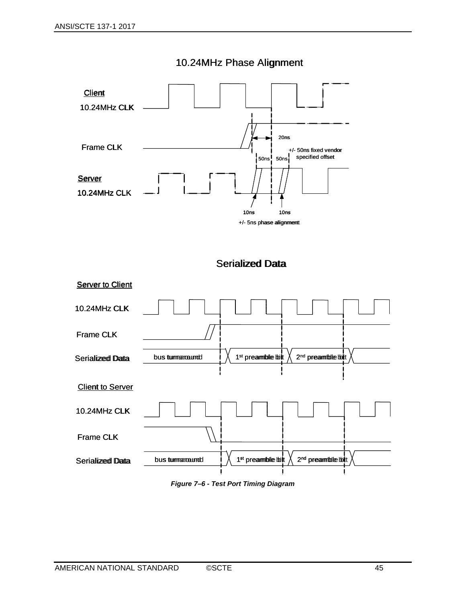

## 10.24MHz Phase Alignment





*Figure 7–6 - Test Port Timing Diagram*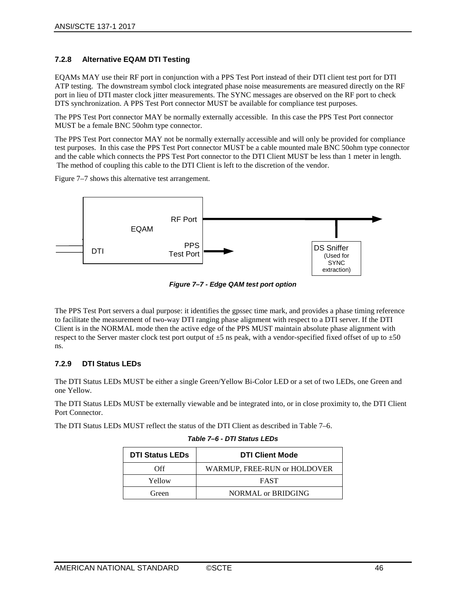## **7.2.8 Alternative EQAM DTI Testing**

EQAMs MAY use their RF port in conjunction with a PPS Test Port instead of their DTI client test port for DTI ATP testing. The downstream symbol clock integrated phase noise measurements are measured directly on the RF port in lieu of DTI master clock jitter measurements. The SYNC messages are observed on the RF port to check DTS synchronization. A PPS Test Port connector MUST be available for compliance test purposes.

The PPS Test Port connector MAY be normally externally accessible. In this case the PPS Test Port connector MUST be a female BNC 50ohm type connector.

The PPS Test Port connector MAY not be normally externally accessible and will only be provided for compliance test purposes. In this case the PPS Test Port connector MUST be a cable mounted male BNC 50ohm type connector and the cable which connects the PPS Test Port connector to the DTI Client MUST be less than 1 meter in length. The method of coupling this cable to the DTI Client is left to the discretion of the vendor.

[Figure](#page-45-0) 7–7 shows this alternative test arrangement.



*Figure 7–7 - Edge QAM test port option*

<span id="page-45-0"></span>The PPS Test Port servers a dual purpose: it identifies the gpssec time mark, and provides a phase timing reference to facilitate the measurement of two-way DTI ranging phase alignment with respect to a DTI server. If the DTI Client is in the NORMAL mode then the active edge of the PPS MUST maintain absolute phase alignment with respect to the Server master clock test port output of  $\pm 5$  ns peak, with a vendor-specified fixed offset of up to  $\pm 50$ ns.

## **7.2.9 DTI Status LEDs**

The DTI Status LEDs MUST be either a single Green/Yellow Bi-Color LED or a set of two LEDs, one Green and one Yellow.

The DTI Status LEDs MUST be externally viewable and be integrated into, or in close proximity to, the DTI Client Port Connector.

<span id="page-45-1"></span>The DTI Status LEDs MUST reflect the status of the DTI Client as described in [Table](#page-45-1) 7–6.

|  |  |  | Table 7-6 - DTI Status LEDs |  |
|--|--|--|-----------------------------|--|
|--|--|--|-----------------------------|--|

| <b>DTI Status LEDs</b><br><b>DTI Client Mode</b> |                              |
|--------------------------------------------------|------------------------------|
| Off                                              | WARMUP, FREE-RUN or HOLDOVER |
| Yellow                                           | <b>FAST</b>                  |
| Green                                            | <b>NORMAL or BRIDGING</b>    |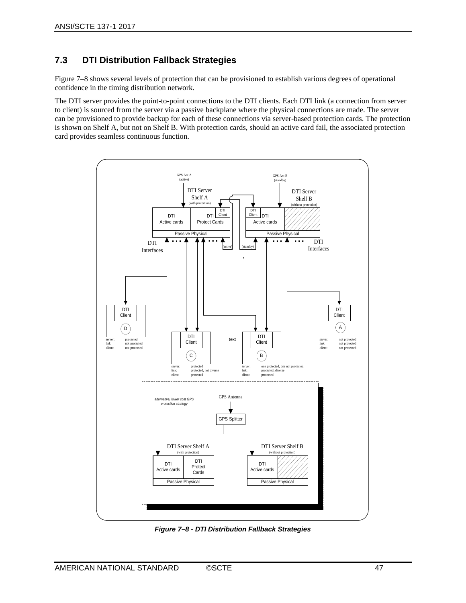## **7.3 DTI Distribution Fallback Strategies**

[Figure](#page-46-0) 7–8 shows several levels of protection that can be provisioned to establish various degrees of operational confidence in the timing distribution network.

The DTI server provides the point-to-point connections to the DTI clients. Each DTI link (a connection from server to client) is sourced from the server via a passive backplane where the physical connections are made. The server can be provisioned to provide backup for each of these connections via server-based protection cards. The protection is shown on Shelf A, but not on Shelf B. With protection cards, should an active card fail, the associated protection card provides seamless continuous function.



<span id="page-46-0"></span>*Figure 7–8 - DTI Distribution Fallback Strategies*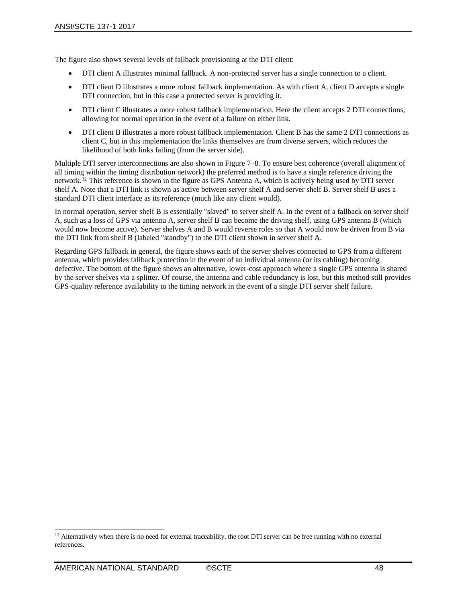The figure also shows several levels of fallback provisioning at the DTI client:

- DTI client A illustrates minimal fallback. A non-protected server has a single connection to a client.
- DTI client D illustrates a more robust fallback implementation. As with client A, client D accepts a single DTI connection, but in this case a protected server is providing it.
- DTI client C illustrates a more robust fallback implementation. Here the client accepts 2 DTI connections, allowing for normal operation in the event of a failure on either link.
- DTI client B illustrates a more robust fallback implementation. Client B has the same 2 DTI connections as client C, but in this implementation the links themselves are from diverse servers, which reduces the likelihood of both links failing (from the server side).

Multiple DTI server interconnections are also shown in [Figure](#page-46-0) 7–8. To ensure best coherence (overall alignment of all timing within the timing distribution network) the preferred method is to have a single reference driving the network.[12](#page-47-0) This reference is shown in the figure as GPS Antenna A, which is actively being used by DTI server shelf A. Note that a DTI link is shown as active between server shelf A and server shelf B. Server shelf B uses a standard DTI client interface as its reference (much like any client would).

In normal operation, server shelf B is essentially "slaved" to server shelf A. In the event of a fallback on server shelf A, such as a loss of GPS via antenna A, server shelf B can become the driving shelf, using GPS antenna B (which would now become active). Server shelves A and B would reverse roles so that A would now be driven from B via the DTI link from shelf B (labeled "standby") to the DTI client shown in server shelf A.

Regarding GPS fallback in general, the figure shows each of the server shelves connected to GPS from a different antenna, which provides fallback protection in the event of an individual antenna (or its cabling) becoming defective. The bottom of the figure shows an alternative, lower-cost approach where a single GPS antenna is shared by the server shelves via a splitter. Of course, the antenna and cable redundancy is lost, but this method still provides GPS-quality reference availability to the timing network in the event of a single DTI server shelf failure.

<span id="page-47-0"></span><sup>&</sup>lt;sup>12</sup> Alternatively when there is no need for external traceability, the root DTI server can be free running with no external references.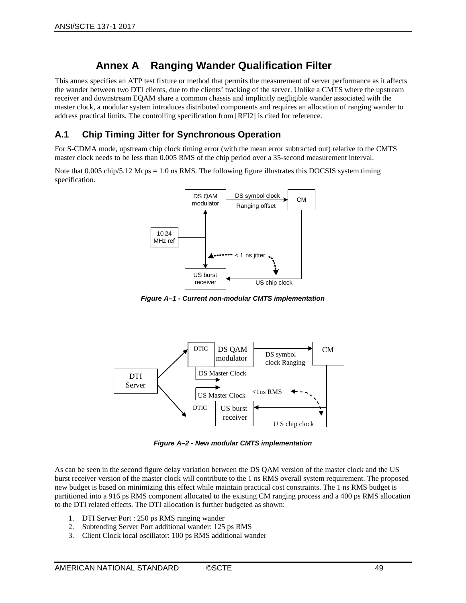# **Annex A Ranging Wander Qualification Filter**

This annex specifies an ATP test fixture or method that permits the measurement of server performance as it affects the wander between two DTI clients, due to the clients' tracking of the server. Unlike a CMTS where the upstream receiver and downstream EQAM share a common chassis and implicitly negligible wander associated with the master clock, a modular system introduces distributed components and requires an allocation of ranging wander to address practical limits. The controlling specification from [\[RFI2\]](#page-10-1) is cited for reference.

## **A.1 Chip Timing Jitter for Synchronous Operation**

For S-CDMA mode, upstream chip clock timing error (with the mean error subtracted out) relative to the CMTS master clock needs to be less than 0.005 RMS of the chip period over a 35-second measurement interval.

Note that 0.005 chip/5.12 Mcps = 1.0 ns RMS. The following figure illustrates this DOCSIS system timing specification.



*Figure A–1 - Current non-modular CMTS implementation*



*Figure A–2 - New modular CMTS implementation*

As can be seen in the second figure delay variation between the DS QAM version of the master clock and the US burst receiver version of the master clock will contribute to the 1 ns RMS overall system requirement. The proposed new budget is based on minimizing this effect while maintain practical cost constraints. The 1 ns RMS budget is partitioned into a 916 ps RMS component allocated to the existing CM ranging process and a 400 ps RMS allocation to the DTI related effects. The DTI allocation is further budgeted as shown:

- 1. DTI Server Port : 250 ps RMS ranging wander
- 2. Subtending Server Port additional wander: 125 ps RMS
- 3. Client Clock local oscillator: 100 ps RMS additional wander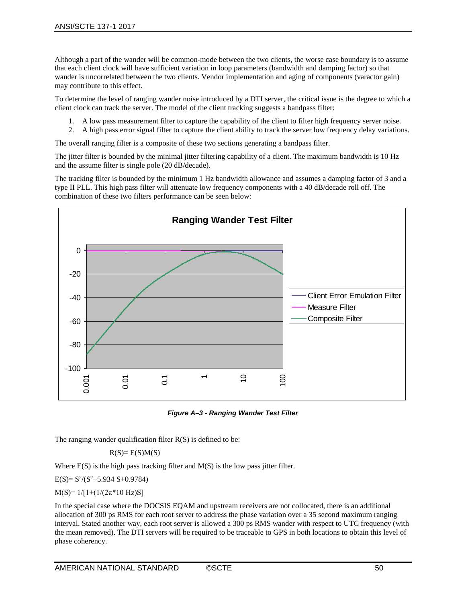Although a part of the wander will be common-mode between the two clients, the worse case boundary is to assume that each client clock will have sufficient variation in loop parameters (bandwidth and damping factor) so that wander is uncorrelated between the two clients. Vendor implementation and aging of components (varactor gain) may contribute to this effect.

To determine the level of ranging wander noise introduced by a DTI server, the critical issue is the degree to which a client clock can track the server. The model of the client tracking suggests a bandpass filter:

- 1. A low pass measurement filter to capture the capability of the client to filter high frequency server noise.
- 2. A high pass error signal filter to capture the client ability to track the server low frequency delay variations.

The overall ranging filter is a composite of these two sections generating a bandpass filter.

The jitter filter is bounded by the minimal jitter filtering capability of a client. The maximum bandwidth is 10 Hz and the assume filter is single pole (20 dB/decade).

The tracking filter is bounded by the minimum 1 Hz bandwidth allowance and assumes a damping factor of 3 and a type II PLL. This high pass filter will attenuate low frequency components with a 40 dB/decade roll off. The combination of these two filters performance can be seen below:



*Figure A–3 - Ranging Wander Test Filter*

The ranging wander qualification filter  $R(S)$  is defined to be:

 $R(S) = E(S)M(S)$ 

Where  $E(S)$  is the high pass tracking filter and  $M(S)$  is the low pass jitter filter.

 $E(S) = S^2/(S^2 + 5.934 S + 0.9784)$ 

M(S)=  $1/[1+(1/(2\pi^*10 \text{ Hz})S]$ 

In the special case where the DOCSIS EQAM and upstream receivers are not collocated, there is an additional allocation of 300 ps RMS for each root server to address the phase variation over a 35 second maximum ranging interval. Stated another way, each root server is allowed a 300 ps RMS wander with respect to UTC frequency (with the mean removed). The DTI servers will be required to be traceable to GPS in both locations to obtain this level of phase coherency.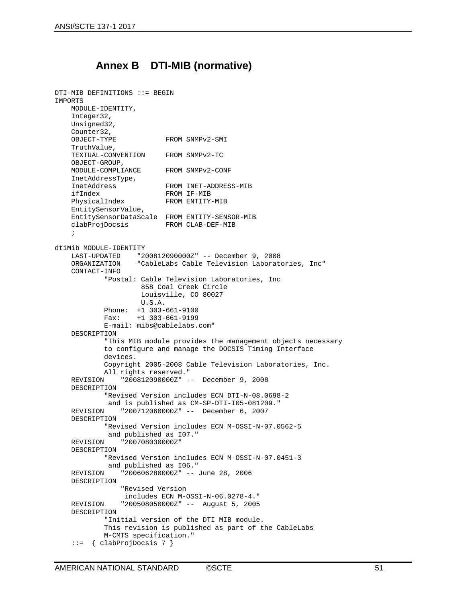# **Annex B DTI-MIB (normative)**

```
DTI-MIB DEFINITIONS ::= BEGIN
IMPORTS
     MODULE-IDENTITY,
     Integer32,
     Unsigned32,
     Counter32,
    OBJECT-TYPE FROM SNMPv2-SMI
     TruthValue,
     TEXTUAL-CONVENTION FROM SNMPv2-TC
     OBJECT-GROUP,
     MODULE-COMPLIANCE FROM SNMPv2-CONF 
     InetAddressType, 
    InetAddress FROM INET-ADDRESS-MIB<br>ifIndex FROM IF-MIR
    ifIndex FROM IF-MIB<br>PhysicalIndex FROM ENTITY
                              FROM ENTITY-MIB
     EntitySensorValue,
     EntitySensorDataScale FROM ENTITY-SENSOR-MIB
                               FROM CLAB-DEF-MIB
\mathcal{L} ; \mathcal{L}dtiMib MODULE-IDENTITY<br>1.AST-UPDATED = 12
     LAST-UPDATED "200812090000Z" -- December 9, 2008
                      "CableLabs Cable Television Laboratories, Inc"
     CONTACT-INFO 
              "Postal: Cable Television Laboratories, Inc 
                         858 Coal Creek Circle
                        Louisville, CO 80027
                       U.S.A.
             Phone: +1 303-661-9100<br>Fax: +1 303-661-9199
                       Fax: +1 303-661-9199
              E-mail: mibs@cablelabs.com"
     DESCRIPTION
               "This MIB module provides the management objects necessary
              to configure and manage the DOCSIS Timing Interface 
              devices.
              Copyright 2005-2008 Cable Television Laboratories, Inc.
    All rights reserved."<br>- "2008120900007"
                  "200812090000Z" -- December 9, 2008
     DESCRIPTION 
              "Revised Version includes ECN DTI-N-08.0698-2
    and is published as CM-SP-DTI-I05-081209."<br>REVISION = 2007120600007" -- December 6, 2007
                 "200712060000Z" -- December 6, 2007
     DESCRIPTION
              "Revised Version includes ECN M-OSSI-N-07.0562-5 
    and published as 107."<br>REVISION "2007080300002"
                   REVISION "200708030000Z"
     DESCRIPTION
               "Revised Version includes ECN M-OSSI-N-07.0451-3
                and published as I06."
     REVISION "200606280000Z" -- June 28, 2006 
     DESCRIPTION
                   "Revised Version
    includes ECN M-OSSI-N-06.0278-4."<br>REVISION "2005080500002" -- August 5, 2005
                   REVISION "200508050000Z" -- August 5, 2005 
     DESCRIPTION
               "Initial version of the DTI MIB module. 
              This revision is published as part of the CableLabs 
              M-CMTS specification."
     ::= { clabProjDocsis 7 }
```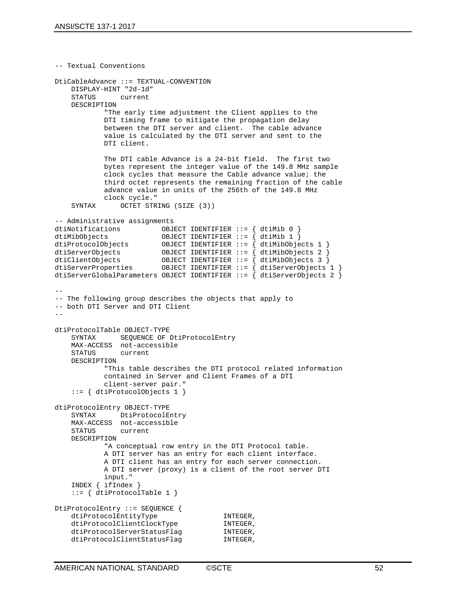```
-- Textual Conventions
DtiCableAdvance ::= TEXTUAL-CONVENTION
     DISPLAY-HINT "2d-1d"
                 current.
     DESCRIPTION
              "The early time adjustment the Client applies to the 
              DTI timing frame to mitigate the propagation delay 
              between the DTI server and client. The cable advance
              value is calculated by the DTI server and sent to the 
              DTI client.
              The DTI cable Advance is a 24-bit field. The first two 
              bytes represent the integer value of the 149.8 MHz sample 
              clock cycles that measure the Cable advance value; the 
              third octet represents the remaining fraction of the cable 
              advance value in units of the 256th of the 149.8 MHz 
    clock cycle."<br>SYNTAX OCTET STR
                 OCTET STRING (SIZE (3))
-- Administrative assignments<br>dtiNotifications OBJI
dtiNotifications OBJECT IDENTIFIER ::= { dtiMib 0 }
dtiMibObjects OBJECT IDENTIFIER ::= { dtiMib 1 }
                           OBJECT IDENTIFIER ::= { dtiMibObjects 1 }
dtiServerObjects OBJECT IDENTIFIER ::= { dtiMibObjects 2 }
dtiClientObjects OBJECT IDENTIFIER ::= { dtiMibObjects 3 }
                         OBJECT IDENTIFIER ::= { dtiServerObjects 1 }
dtiServerGlobalParameters OBJECT IDENTIFIER ::= \int dtiServerObjects 2 }
--
-- The following group describes the objects that apply to
-- both DTI Server and DTI Client
--
dtiProtocolTable OBJECT-TYPE<br>SYNTAX SEQUENCE OF
               SEQUENCE OF DtiProtocolEntry
    MAX-ACCESS not-accessible<br>STATUS current
                 current.
     DESCRIPTION
              "This table describes the DTI protocol related information
              contained in Server and Client Frames of a DTI 
              client-server pair."
     ::= { dtiProtocolObjects 1 }
dtiProtocolEntry OBJECT-TYPE
     SYNTAX DtiProtocolEntry
    MAX-ACCESS not-accessible<br>STATUS current
                current
     DESCRIPTION
              "A conceptual row entry in the DTI Protocol table. 
              A DTI server has an entry for each client interface. 
              A DTI client has an entry for each server connection. 
              A DTI server (proxy) is a client of the root server DTI 
              input."
     INDEX { ifIndex }
    ::= { dtiProtocolTable 1 }
DtiProtocolEntry ::= SEQUENCE {
    dtiProtocolEntityType INTEGER,<br>dtiProtocolClientClockType INTEGER,
    dtiProtocolClientClockType          INTEGER,<br>dtiProtocolServerStatusFlag         INTEGER.
    dtiProtocolServerStatusFlag      INTEGER,<br>dtiProtocolClientStatusFlag       INTEGER,
    dtiProtocolClientStatusFlag
```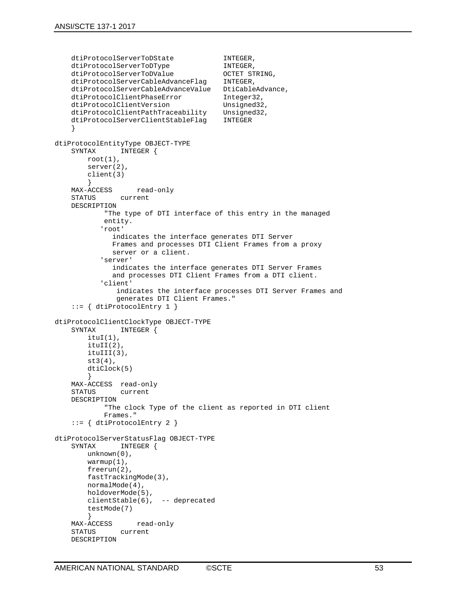```
dtiProtocolServerToDState INTEGER,<br>dtiProtocolServerToDType INTEGER,
    dtiProtocolServerToDType              INTEGER,<br>dtiProtocolServerToDValue                    OCTET STRING,
    dtiProtocolServerToDValue
     dtiProtocolServerCableAdvanceFlag INTEGER,
    dtiProtocolServerCableAdvanceValue DtiCableAdvance,<br>dtiProtocolClientPhaseError Integer32,
    dtiProtocolClientPhaseError Integer32,<br>dtiProtocolClientVersion Unsigned32,
    dtiProtocolClientVersion Unsigned32,<br>dtiProtocolClientPathTraceability Unsigned32,
    dtiProtocolClientPathTraceability Unsignee<br>dtiProtocolServerClientStableFlag INTEGER
    dtiProtocolServerClientStableFlag
 }
dtiProtocolEntityType OBJECT-TYPE<br>SYNTAX INTEGER {
                 INTEGER {
         root(1),
          server(2), 
         client(3)<br>}
 } 
    MAX-ACCESS read-only<br>STATUS current
               current
     DESCRIPTION
               "The type of DTI interface of this entry in the managed 
               entity. 
               'root' 
                  indicates the interface generates DTI Server
                  Frames and processes DTI Client Frames from a proxy 
                  server or a client. 
               'server' 
                  indicates the interface generates DTI Server Frames
                  and processes DTI Client Frames from a DTI client.
               'client' 
                   indicates the interface processes DTI Server Frames and 
                   generates DTI Client Frames."
     ::= { dtiProtocolEntry 1 }
dtiProtocolClientClockType OBJECT-TYPE
                  INTEGER {
         ituI(1),
           ituII(2), 
          ituIII(3), 
          st3(4), 
          dtiClock(5)
 }
 MAX-ACCESS read-only
     STATUS current
     DESCRIPTION
                "The clock Type of the client as reported in DTI client 
               Frames."
      ::= { dtiProtocolEntry 2 }
dtiProtocolServerStatusFlag OBJECT-TYPE<br>SYNTAX INTEGER {
                   INTEGER {
          unknown(0),
          warmup(1), 
          freerun(2), 
          fastTrackingMode(3), 
          normalMode(4), 
          holdoverMode(5), 
          clientStable(6), -- deprecated
          testMode(7)
 }
    MAX-ACCESS read-only<br>STATUS current
                   current
     DESCRIPTION
```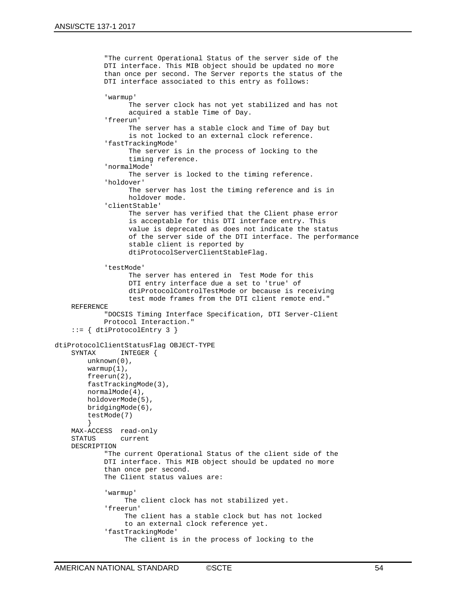```
 "The current Operational Status of the server side of the 
             DTI interface. This MIB object should be updated no more 
             than once per second. The Server reports the status of the
             DTI interface associated to this entry as follows: 
              'warmup' 
                    The server clock has not yet stabilized and has not 
                   acquired a stable Time of Day.
              'freerun'
                    The server has a stable clock and Time of Day but 
                   is not locked to an external clock reference.
              'fastTrackingMode'
                    The server is in the process of locking to the 
                   timing reference.
              'normalMode'
                    The server is locked to the timing reference.
              'holdover'
                    The server has lost the timing reference and is in 
                    holdover mode.
              'clientStable'
                    The server has verified that the Client phase error
                   is acceptable for this DTI interface entry. This 
                    value is deprecated as does not indicate the status
                    of the server side of the DTI interface. The performance 
                   stable client is reported by 
                  dtiProtocolServerClientStableFlag.
              'testMode'
                    The server has entered in Test Mode for this
                   DTI entry interface due a set to 'true' of 
                   dtiProtocolControlTestMode or because is receiving 
                   test mode frames from the DTI client remote end."
     REFERENCE
             "DOCSIS Timing Interface Specification, DTI Server-Client
             Protocol Interaction."
     ::= { dtiProtocolEntry 3 }
dtiProtocolClientStatusFlag OBJECT-TYPE<br>SYNTAX       INTEGER {
               INTEGER {
         unknown(0),
         warmup(1), 
         freerun(2), 
         fastTrackingMode(3), 
         normalMode(4), 
         holdoverMode(5), 
         bridgingMode(6),
         testMode(7)
 }
 MAX-ACCESS read-only
     STATUS current
     DESCRIPTION
              "The current Operational Status of the client side of the 
             DTI interface. This MIB object should be updated no more 
             than once per second.
             The Client status values are:
              'warmup' 
                  The client clock has not stabilized yet.
              'freerun'
                   The client has a stable clock but has not locked 
                  to an external clock reference yet.
              'fastTrackingMode'
                   The client is in the process of locking to the
```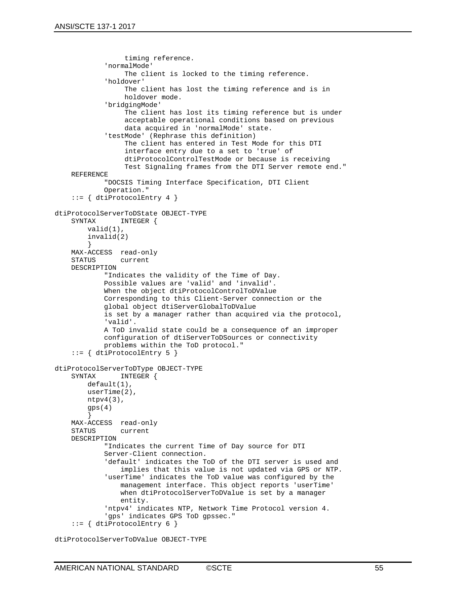```
 timing reference.
              'normalMode'
                   The client is locked to the timing reference.
              'holdover'
                   The client has lost the timing reference and is in 
                  holdover mode.
              'bridgingMode'
                   The client has lost its timing reference but is under
                  acceptable operational conditions based on previous 
                  data acquired in 'normalMode' state.
              'testMode' (Rephrase this definition)
                   The client has entered in Test Mode for this DTI 
                  interface entry due to a set to 'true' of 
                  dtiProtocolControlTestMode or because is receiving 
                  Test Signaling frames from the DTI Server remote end."
     REFERENCE
              "DOCSIS Timing Interface Specification, DTI Client 
             Operation."
    ::= { dtiProtocolEntry 4 }
dtiProtocolServerToDState OBJECT-TYPE
                 INTEGER {
         valid(1), 
         invalid(2) 
 }
    MAX-ACCESS read-only<br>STATUS current
                 current
     DESCRIPTION
              "Indicates the validity of the Time of Day.
             Possible values are 'valid' and 'invalid'.
             When the object dtiProtocolControlToDValue
             Corresponding to this Client-Server connection or the
             global object dtiServerGlobalToDValue 
             is set by a manager rather than acquired via the protocol,
             'valid'.
             A ToD invalid state could be a consequence of an improper 
             configuration of dtiServerToDSources or connectivity 
             problems within the ToD protocol."
     ::= { dtiProtocolEntry 5 }
dtiProtocolServerToDType OBJECT-TYPE<br>SYNTAX TNTEGER {
               INTEGER {
         default(1), 
         userTime(2),
         ntpv4(3),
        qps(4) }
    MAX-ACCESS read-only<br>STATUS current
    STATUS
     DESCRIPTION
              "Indicates the current Time of Day source for DTI 
             Server-Client connection.
              'default' indicates the ToD of the DTI server is used and 
                  implies that this value is not updated via GPS or NTP.
              'userTime' indicates the ToD value was configured by the 
                  management interface. This object reports 'userTime'
                  when dtiProtocolServerToDValue is set by a manager
                  entity.
              'ntpv4' indicates NTP, Network Time Protocol version 4.
              'gps' indicates GPS ToD gpssec."
    ::= { dtiProtocolEntry 6 }
```
dtiProtocolServerToDValue OBJECT-TYPE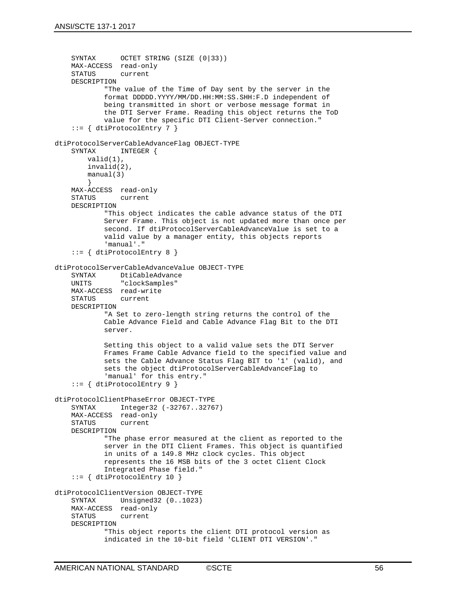```
 SYNTAX OCTET STRING (SIZE (0|33))
    MAX-ACCESS read-only<br>STATUS current
                  current
     DESCRIPTION
              "The value of the Time of Day sent by the server in the 
              format DDDDD.YYYY/MM/DD.HH:MM:SS.SHH:F.D independent of 
              being transmitted in short or verbose message format in
              the DTI Server Frame. Reading this object returns the ToD
              value for the specific DTI Client-Server connection."
     ::= { dtiProtocolEntry 7 }
dtiProtocolServerCableAdvanceFlag OBJECT-TYPE<br>SYNTAX     INTEGER {
                INTEGER {
          valid(1), 
          invalid(2),
         manual(3)
 }
    MAX-ACCESS read-only<br>STATUS current
                current
     DESCRIPTION
              "This object indicates the cable advance status of the DTI 
              Server Frame. This object is not updated more than once per
              second. If dtiProtocolServerCableAdvanceValue is set to a 
              valid value by a manager entity, this objects reports 
              'manual'."
    ::= { dtiProtocolEntry 8 }
dtiProtocolServerCableAdvanceValue OBJECT-TYPE
    SYNTAX DtiCableAdvance<br>UNITS "clockSamples"
                  "clockSamples"
    MAX-ACCESS read-write<br>STATUS current
                 current
     DESCRIPTION
              "A Set to zero-length string returns the control of the 
              Cable Advance Field and Cable Advance Flag Bit to the DTI
              server.
              Setting this object to a valid value sets the DTI Server 
              Frames Frame Cable Advance field to the specified value and
              sets the Cable Advance Status Flag BIT to '1' (valid), and
              sets the object dtiProtocolServerCableAdvanceFlag to 
              'manual' for this entry."
     ::= { dtiProtocolEntry 9 }
dtiProtocolClientPhaseError OBJECT-TYPE<br>SYNTAX Integer32 (-32767..3276)
                Integer32 (-32767..32767)
    MAX-ACCESS read-only<br>STATUS current
                 current
     DESCRIPTION
              "The phase error measured at the client as reported to the
              server in the DTI Client Frames. This object is quantified
              in units of a 149.8 MHz clock cycles. This object 
              represents the 16 MSB bits of the 3 octet Client Clock 
              Integrated Phase field."
     ::= { dtiProtocolEntry 10 }
dtiProtocolClientVersion OBJECT-TYPE<br>SYNTAX Unsigned32 (0..1023)
                Unsigned32 (0..1023)
    MAX-ACCESS read-only<br>STATUS current
                  current
     DESCRIPTION
              "This object reports the client DTI protocol version as 
              indicated in the 10-bit field 'CLIENT DTI VERSION'."
```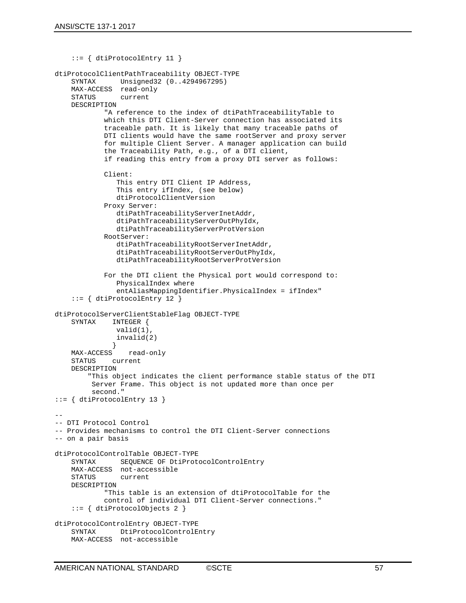```
 ::= { dtiProtocolEntry 11 }
dtiProtocolClientPathTraceability OBJECT-TYPE
     SYNTAX Unsigned32 (0..4294967295)
    MAX-ACCESS read-only<br>STATUS current
                current
     DESCRIPTION
             "A reference to the index of dtiPathTraceabilityTable to 
             which this DTI Client-Server connection has associated its
             traceable path. It is likely that many traceable paths of
             DTI clients would have the same rootServer and proxy server
             for multiple Client Server. A manager application can build
             the Traceability Path, e.g., of a DTI client,
             if reading this entry from a proxy DTI server as follows:
             Client:
                This entry DTI Client IP Address,
                This entry ifIndex, (see below) 
                dtiProtocolClientVersion
             Proxy Server:
                dtiPathTraceabilityServerInetAddr,
                dtiPathTraceabilityServerOutPhyIdx,
                dtiPathTraceabilityServerProtVersion
             RootServer:
                dtiPathTraceabilityRootServerInetAddr,
                dtiPathTraceabilityRootServerOutPhyIdx,
                dtiPathTraceabilityRootServerProtVersion
             For the DTI client the Physical port would correspond to:
                PhysicalIndex where
                entAliasMappingIdentifier.PhysicalIndex = ifIndex"
     ::= { dtiProtocolEntry 12 }
dtiProtocolServerClientStableFlag OBJECT-TYPE
            INTEGER {
                valid(1), 
                invalid(2)
 }
   MAX-ACCESS read-only<br>STATUS current
              current
     DESCRIPTION
         "This object indicates the client performance stable status of the DTI 
          Server Frame. This object is not updated more than once per
          second."
::= { dtiProtocolEntry 13 }
--
-- DTI Protocol Control
-- Provides mechanisms to control the DTI Client-Server connections
-- on a pair basis 
dtiProtocolControlTable OBJECT-TYPE
                SEQUENCE OF DtiProtocolControlEntry
     MAX-ACCESS not-accessible
                current
     DESCRIPTION
             "This table is an extension of dtiProtocolTable for the 
             control of individual DTI Client-Server connections." 
     ::= { dtiProtocolObjects 2 }
dtiProtocolControlEntry OBJECT-TYPE
               DtiProtocolControlEntry
     MAX-ACCESS not-accessible
```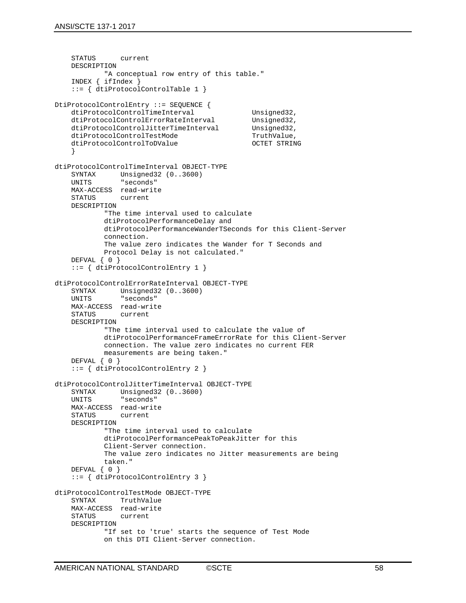```
 STATUS current
     DESCRIPTION
              "A conceptual row entry of this table."
     INDEX { ifIndex }
     ::= { dtiProtocolControlTable 1 }
DtiProtocolControlEntry ::= SEQUENCE {
    dtiProtocolControlTimeInterval Unsigned32,<br>dtiProtocolControlErrorRateInterval Unsigned32,
    dtiProtocolControlErrorRateInterval Unsigned32,<br>dtiProtocolControlJitterTimeInterval Unsigned32,
    dtiProtocolControlJitterTimeInterval Unsigned32,<br>dtiProtocolControlTestMode TruthValue,
     dtiProtocolControlTestMode TruthValue,
    dtiProtocolControlToDValue
 }
dtiProtocolControlTimeInterval OBJECT-TYPE<br>SYNTAX Unsigned32 (0..3600)
    SYNTAX Unsigned32 (0..3600)<br>
INITS "seconds"
                  "seconds"
     MAX-ACCESS read-write
                 current
     DESCRIPTION
               "The time interval used to calculate 
              dtiProtocolPerformanceDelay and 
              dtiProtocolPerformanceWanderTSeconds for this Client-Server
              connection.
              The value zero indicates the Wander for T Seconds and 
              Protocol Delay is not calculated."
     DEFVAL { 0 }
     ::= { dtiProtocolControlEntry 1 }
dtiProtocolControlErrorRateInterval OBJECT-TYPE
    SYNTAX Unsigned32 (0..3600)<br>UNITS "seconds"
                  "seconds"
    MAX-ACCESS read-write<br>STATUS current
                  current
     DESCRIPTION
               "The time interval used to calculate the value of 
              dtiProtocolPerformanceFrameErrorRate for this Client-Server
              connection. The value zero indicates no current FER 
              measurements are being taken."
     DEFVAL { 0 } 
     ::= { dtiProtocolControlEntry 2 }
dtiProtocolControlJitterTimeInterval OBJECT-TYPE
    SYNTAX Unsigned32 (0..3600)<br>UNITS "seconds"
                  "seconds"
     MAX-ACCESS read-write
                 current
     DESCRIPTION
               "The time interval used to calculate 
              dtiProtocolPerformancePeakToPeakJitter for this 
              Client-Server connection.
              The value zero indicates no Jitter measurements are being
               taken."
     DEFVAL { 0 } 
     ::= { dtiProtocolControlEntry 3 }
dtiProtocolControlTestMode OBJECT-TYPE
                TruthValue
    MAX-ACCESS read-write<br>STATUS current
                  current
     DESCRIPTION
               "If set to 'true' starts the sequence of Test Mode
              on this DTI Client-Server connection.
```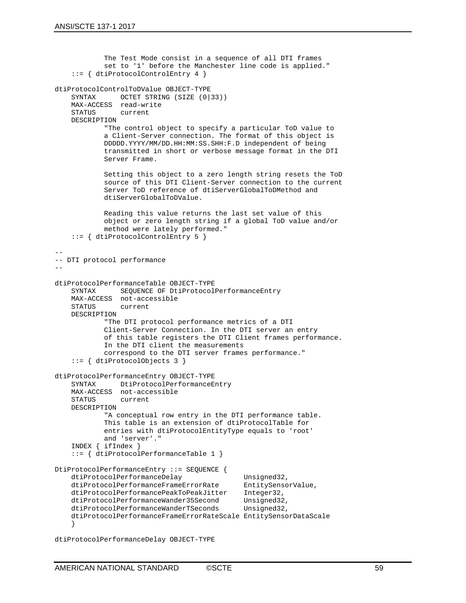```
 The Test Mode consist in a sequence of all DTI frames
              set to '1' before the Manchester line code is applied."
     ::= { dtiProtocolControlEntry 4 }
dtiProtocolControlToDValue OBJECT-TYPE
                OCTET STRING (SIZE (0|33))
    MAX-ACCESS read-write<br>STATUS current
                 current
     DESCRIPTION
              "The control object to specify a particular ToD value to 
              a Client-Server connection. The format of this object is 
              DDDDD.YYYY/MM/DD.HH:MM:SS.SHH:F.D independent of being
              transmitted in short or verbose message format in the DTI
              Server Frame.
              Setting this object to a zero length string resets the ToD
              source of this DTI Client-Server connection to the current
              Server ToD reference of dtiServerGlobalToDMethod and
              dtiServerGlobalToDValue.
              Reading this value returns the last set value of this 
              object or zero length string if a global ToD value and/or
              method were lately performed."
     ::= { dtiProtocolControlEntry 5 }
--
-- DTI protocol performance
--
dtiProtocolPerformanceTable OBJECT-TYPE
     SYNTAX SEQUENCE OF DtiProtocolPerformanceEntry
     MAX-ACCESS not-accessible
                 current
     DESCRIPTION
              "The DTI protocol performance metrics of a DTI 
              Client-Server Connection. In the DTI server an entry
              of this table registers the DTI Client frames performance.
              In the DTI client the measurements 
              correspond to the DTI server frames performance."
     ::= { dtiProtocolObjects 3 }
dtiProtocolPerformanceEntry OBJECT-TYPE
               DtiProtocolPerformanceEntry
     MAX-ACCESS not-accessible
                 current
     DESCRIPTION
              "A conceptual row entry in the DTI performance table.
              This table is an extension of dtiProtocolTable for 
              entries with dtiProtocolEntityType equals to 'root' 
              and 'server'."
     INDEX { ifIndex }
     ::= { dtiProtocolPerformanceTable 1 }
DtiProtocolPerformanceEntry ::= SEQUENCE {
    dtiProtocolPerformanceDelay Unsigned32,<br>dtiProtocolPerformanceFrameErrorRate EntitySensorValue,
    dtiProtocolPerformanceFrameErrorRate EntitySens<br>dtiProtocolPerformancePeakToPeakJitter Integer32,
    dtiProtocolPerformancePeakToPeakJitter Integer32,<br>dtiProtocolPerformanceWander35Second Unsigned32.
    dtiProtocolPerformanceWander35Second Unsigned32,<br>dtiProtocolPerformanceWanderTSeconds Unsigned32,
    dtiProtocolPerformanceWanderTSeconds
     dtiProtocolPerformanceFrameErrorRateScale EntitySensorDataScale
 }
```

```
dtiProtocolPerformanceDelay OBJECT-TYPE
```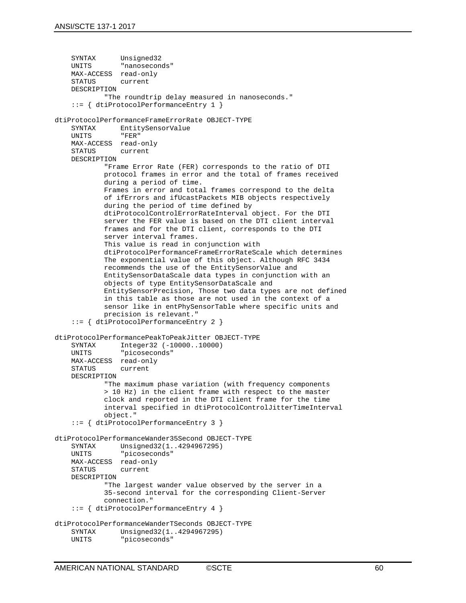```
SYNTAX Unsigned32<br>
UNITS "nanosecon
                 "nanoseconds"
     MAX-ACCESS read-only
     STATUS current
     DESCRIPTION
              "The roundtrip delay measured in nanoseconds."
     ::= { dtiProtocolPerformanceEntry 1 }
dtiProtocolPerformanceFrameErrorRate OBJECT-TYPE
                 EntitySensorValue<br>"FER"
    UNITS
    MAX-ACCESS read-only<br>STATUS current
                 current
     DESCRIPTION
              "Frame Error Rate (FER) corresponds to the ratio of DTI 
              protocol frames in error and the total of frames received
              during a period of time. 
              Frames in error and total frames correspond to the delta
              of ifErrors and ifUcastPackets MIB objects respectively 
              during the period of time defined by 
              dtiProtocolControlErrorRateInterval object. For the DTI 
              server the FER value is based on the DTI client interval
              frames and for the DTI client, corresponds to the DTI 
              server interval frames.
              This value is read in conjunction with 
              dtiProtocolPerformanceFrameErrorRateScale which determines
              The exponential value of this object. Although RFC 3434 
              recommends the use of the EntitySensorValue and
              EntitySensorDataScale data types in conjunction with an 
              objects of type EntitySensorDataScale and
              EntitySensorPrecision, Those two data types are not defined
              in this table as those are not used in the context of a 
              sensor like in entPhySensorTable where specific units and 
              precision is relevant."
     ::= { dtiProtocolPerformanceEntry 2 }
dtiProtocolPerformancePeakToPeakJitter OBJECT-TYPE
    SYNTAX Integer32 (-10000..10000)<br>UNITS "picoseconds"
                 "picoseconds"
    MAX-ACCESS read-only<br>STATUS current
                 current
     DESCRIPTION
              "The maximum phase variation (with frequency components 
              > 10 Hz) in the client frame with respect to the master 
              clock and reported in the DTI client frame for the time 
              interval specified in dtiProtocolControlJitterTimeInterval
              object."
     ::= { dtiProtocolPerformanceEntry 3 }
dtiProtocolPerformanceWander35Second OBJECT-TYPE
    SYNTAX Unsigned32(1..4294967295)<br>UNITS "picoseconds"
                 "picoseconds"
    MAX-ACCESS read-only<br>STATUS current
                 current
     DESCRIPTION
              "The largest wander value observed by the server in a 
              35-second interval for the corresponding Client-Server
              connection."
     ::= { dtiProtocolPerformanceEntry 4 }
dtiProtocolPerformanceWanderTSeconds OBJECT-TYPE
    SYNTAX Unsigned32(1..4294967295)<br>UNITS "picoseconds"
                 "picoseconds"
```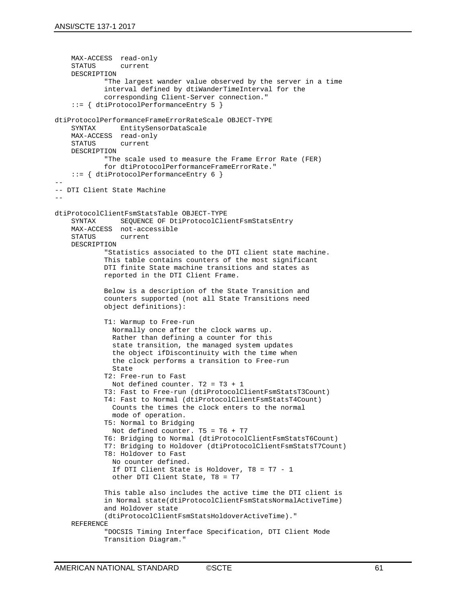```
MAX-ACCESS read-only<br>STATUS current
                 current
     DESCRIPTION
             "The largest wander value observed by the server in a time
             interval defined by dtiWanderTimeInterval for the 
             corresponding Client-Server connection."
     ::= { dtiProtocolPerformanceEntry 5 }
dtiProtocolPerformanceFrameErrorRateScale OBJECT-TYPE
                EntitySensorDataScale
    MAX-ACCESS read-only<br>STATUS current
                 current.
     DESCRIPTION
              "The scale used to measure the Frame Error Rate (FER)
             for dtiProtocolPerformanceFrameErrorRate."
     ::= { dtiProtocolPerformanceEntry 6 }
--
-- DTI Client State Machine
--
dtiProtocolClientFsmStatsTable OBJECT-TYPE
                 SEQUENCE OF DtiProtocolClientFsmStatsEntry
    MAX-ACCESS not-accessible<br>STATUS current
                 current
     DESCRIPTION
             "Statistics associated to the DTI client state machine.
             This table contains counters of the most significant
             DTI finite State machine transitions and states as 
             reported in the DTI Client Frame.
             Below is a description of the State Transition and 
             counters supported (not all State Transitions need 
             object definitions):
             T1: Warmup to Free-run
               Normally once after the clock warms up. 
               Rather than defining a counter for this 
                state transition, the managed system updates
                the object ifDiscontinuity with the time when
                the clock performs a transition to Free-run 
               State
             T2: Free-run to Fast 
               Not defined counter. T2 = T3 + 1
             T3: Fast to Free-run (dtiProtocolClientFsmStatsT3Count)
             T4: Fast to Normal (dtiProtocolClientFsmStatsT4Count)
               Counts the times the clock enters to the normal
               mode of operation.
             T5: Normal to Bridging
               Not defined counter. T5 = T6 + T7
             T6: Bridging to Normal (dtiProtocolClientFsmStatsT6Count)
             T7: Bridging to Holdover (dtiProtocolClientFsmStatsT7Count)
             T8: Holdover to Fast 
                No counter defined. 
                If DTI Client State is Holdover, T8 = T7 - 1 
               other DTI Client State, T8 = T7
             This table also includes the active time the DTI client is
             in Normal state(dtiProtocolClientFsmStatsNormalActiveTime)
             and Holdover state 
             (dtiProtocolClientFsmStatsHoldoverActiveTime)."
     REFERENCE
             "DOCSIS Timing Interface Specification, DTI Client Mode 
             Transition Diagram."
```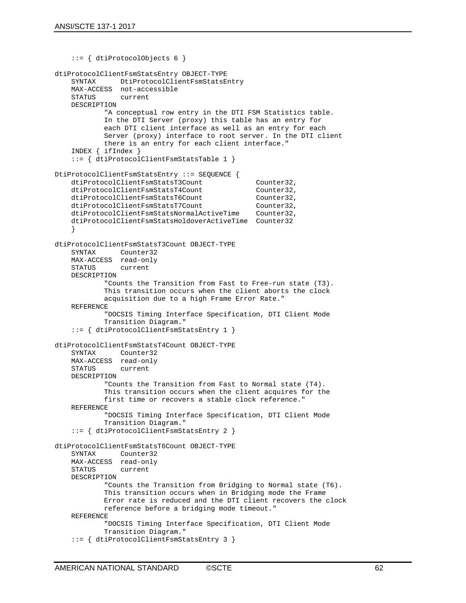```
 ::= { dtiProtocolObjects 6 }
dtiProtocolClientFsmStatsEntry OBJECT-TYPE
     SYNTAX DtiProtocolClientFsmStatsEntry
    MAX-ACCESS not-accessible<br>STATUS current
                 current
     DESCRIPTION
              "A conceptual row entry in the DTI FSM Statistics table.
              In the DTI Server (proxy) this table has an entry for 
              each DTI client interface as well as an entry for each 
              Server (proxy) interface to root server. In the DTI client
              there is an entry for each client interface."
     INDEX { ifIndex }
     ::= { dtiProtocolClientFsmStatsTable 1 }
DtiProtocolClientFsmStatsEntry ::= SEQUENCE {
    dtiProtocolClientFsmStatsT3Count Counter32,<br>dtiProtocolClientFsmStatsT4Count Counter32,
    dtiProtocolClientFsmStatsT4Count Counter32,<br>dtiProtocolClientFsmStatsT6Count Counter32.
    dtiProtocolClientFsmStatsT6Count Counter32,<br>dtiProtocolClientFsmStatsT7Count Counter32,
    dtiProtocolClientFsmStatsT7Count Counter32,<br>dtiProtocolClientFsmStatsNormalActiveTime Counter32.
    dtiProtocolClientFsmStatsNormalActiveTime
     dtiProtocolClientFsmStatsHoldoverActiveTime Counter32
     }
dtiProtocolClientFsmStatsT3Count OBJECT-TYPE
     SYNTAX Counter32
    MAX-ACCESS read-only<br>STATUS current
                  current
     DESCRIPTION
              "Counts the Transition from Fast to Free-run state (T3).
              This transition occurs when the client aborts the clock
              acquisition due to a high Frame Error Rate."
     REFERENCE
              "DOCSIS Timing Interface Specification, DTI Client Mode 
              Transition Diagram."
     ::= { dtiProtocolClientFsmStatsEntry 1 }
dtiProtocolClientFsmStatsT4Count OBJECT-TYPE
                 Counter32
    MAX-ACCESS read-only<br>STATUS current
                 current
     DESCRIPTION
              "Counts the Transition from Fast to Normal state (T4).
              This transition occurs when the client acquires for the 
              first time or recovers a stable clock reference."
     REFERENCE
              "DOCSIS Timing Interface Specification, DTI Client Mode 
              Transition Diagram."
     ::= { dtiProtocolClientFsmStatsEntry 2 }
dtiProtocolClientFsmStatsT6Count OBJECT-TYPE
                 Counter32
    MAX-ACCESS read-only<br>STATUS current
                  current
     DESCRIPTION
              "Counts the Transition from Bridging to Normal state (T6).
              This transition occurs when in Bridging mode the Frame 
              Error rate is reduced and the DTI client recovers the clock
              reference before a bridging mode timeout."
     REFERENCE
              "DOCSIS Timing Interface Specification, DTI Client Mode 
              Transition Diagram."
     ::= { dtiProtocolClientFsmStatsEntry 3 }
```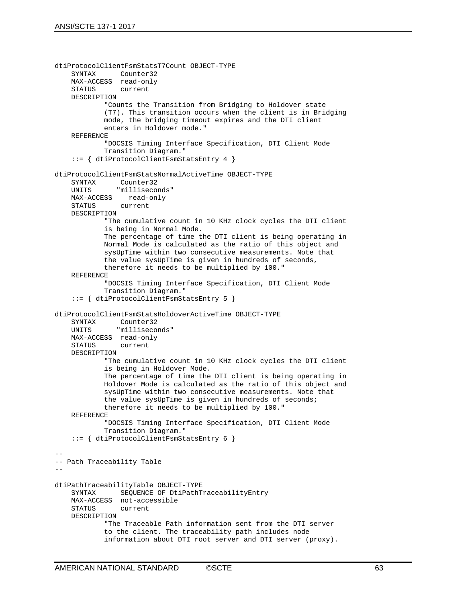```
dtiProtocolClientFsmStatsT7Count OBJECT-TYPE
                Counter32
     MAX-ACCESS read-only
                 current
     DESCRIPTION
              "Counts the Transition from Bridging to Holdover state 
              (T7). This transition occurs when the client is in Bridging
             mode, the bridging timeout expires and the DTI client 
              enters in Holdover mode."
     REFERENCE
              "DOCSIS Timing Interface Specification, DTI Client Mode 
             Transition Diagram."
     ::= { dtiProtocolClientFsmStatsEntry 4 }
dtiProtocolClientFsmStatsNormalActiveTime OBJECT-TYPE
    SYNTAX Counter32<br>UNITS "milliseco
    UNITS "milliseconds"<br>
MAX-ACCESS read-only
    MAX-ACCESS read-only<br>STATUS current
                current
     DESCRIPTION
              "The cumulative count in 10 KHz clock cycles the DTI client
              is being in Normal Mode.
             The percentage of time the DTI client is being operating in
             Normal Mode is calculated as the ratio of this object and 
              sysUpTime within two consecutive measurements. Note that 
             the value sysUpTime is given in hundreds of seconds, 
             therefore it needs to be multiplied by 100."
     REFERENCE
             "DOCSIS Timing Interface Specification, DTI Client Mode 
             Transition Diagram."
     ::= { dtiProtocolClientFsmStatsEntry 5 }
dtiProtocolClientFsmStatsHoldoverActiveTime OBJECT-TYPE
    SYNTAX Counter32<br>UNITS "milliseco
                "milliseconds"
    MAX-ACCESS read-only<br>STATUS current
                 current
     DESCRIPTION
              "The cumulative count in 10 KHz clock cycles the DTI client
             is being in Holdover Mode.
             The percentage of time the DTI client is being operating in
             Holdover Mode is calculated as the ratio of this object and
             sysUpTime within two consecutive measurements. Note that 
             the value sysUpTime is given in hundreds of seconds; 
             therefore it needs to be multiplied by 100."
     REFERENCE
              "DOCSIS Timing Interface Specification, DTI Client Mode 
             Transition Diagram."
     ::= { dtiProtocolClientFsmStatsEntry 6 }
--
-- Path Traceability Table
--
dtiPathTraceabilityTable OBJECT-TYPE
                 SEQUENCE OF DtiPathTraceabilityEntry
     MAX-ACCESS not-accessible
                 current
     DESCRIPTION
              "The Traceable Path information sent from the DTI server
              to the client. The traceability path includes node 
              information about DTI root server and DTI server (proxy).
```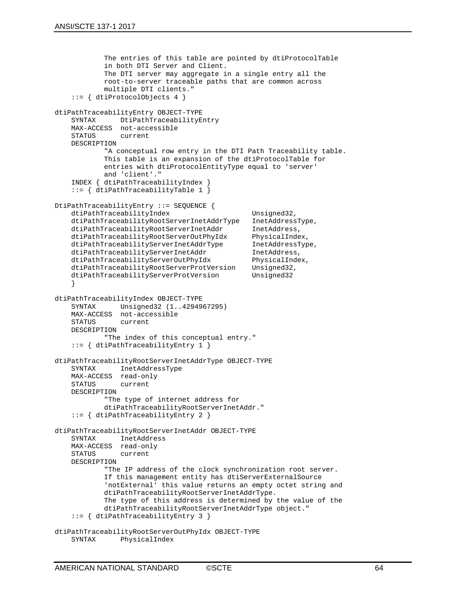```
 The entries of this table are pointed by dtiProtocolTable
               in both DTI Server and Client.
               The DTI server may aggregate in a single entry all the 
               root-to-server traceable paths that are common across
               multiple DTI clients."
      ::= { dtiProtocolObjects 4 }
dtiPathTraceabilityEntry OBJECT-TYPE
                  DtiPathTraceabilityEntry
     MAX-ACCESS not-accessible
                   current
     DESCRIPTION
               "A conceptual row entry in the DTI Path Traceability table.
               This table is an expansion of the dtiProtocolTable for 
               entries with dtiProtocolEntityType equal to 'server' 
               and 'client'."
     INDEX { dtiPathTraceabilityIndex }
     ::= { dtiPathTraceabilityTable 1 }
DtiPathTraceabilityEntry ::= SEQUENCE {
    dtiPathTraceabilityIndex Unsigned32,<br>dtiPathTraceabilityRootServerInetAddrType InetAddressType,
    dtiPathTraceabilityRootServerInetAddrType InetAddressT<br>dtiPathTraceabilityRootServerInetAddr InetAddress,
    dtiPathTraceabilityRootServerInetAddr   InetAddress,<br>dtiPathTraceabilityRootServerOutPhyIdx   PhysicalIndex.
    dtiPathTraceabilityRootServerOutPhyIdx PhysicalIndex,<br>dtiPathTraceabilityServerInetAddrType InetAddressType,
    dtiPathTraceabilityServerInetAddrType
    dtiPathTraceabilityServerInetAddr            InetAddress,<br>dtiPathTraceabilityServerOutPhyIdx              PhysicalIndex,
    dtiPathTraceabilityServerOutPhyIdx PhysicalInd<br>dtiPathTraceabilityRootServerProtVersion Unsigned32,
    dtiPathTraceabilityRootServerProtVersion Unsigned32<br>dtiPathTraceabilityServerProtVersion Unsigned32
    dtiPathTraceabilityServerProtVersion
 }
dtiPathTraceabilityIndex OBJECT-TYPE
                Unsigned32 (1..4294967295)
     MAX-ACCESS not-accessible
    STATUS
     DESCRIPTION
               "The index of this conceptual entry."
      ::= { dtiPathTraceabilityEntry 1 }
dtiPathTraceabilityRootServerInetAddrType OBJECT-TYPE
                 InetAddressType
    MAX-ACCESS read-only<br>STATUS current
                  current
     DESCRIPTION
               "The type of internet address for 
               dtiPathTraceabilityRootServerInetAddr."
      ::= { dtiPathTraceabilityEntry 2 }
dtiPathTraceabilityRootServerInetAddr OBJECT-TYPE
                 InetAddress
    MAX-ACCESS read-only<br>STATUS current
                  current
     DESCRIPTION
               "The IP address of the clock synchronization root server. 
               If this management entity has dtiServerExternalSource 
               'notExternal' this value returns an empty octet string and
               dtiPathTraceabilityRootServerInetAddrType. 
               The type of this address is determined by the value of the
               dtiPathTraceabilityRootServerInetAddrType object."
      ::= { dtiPathTraceabilityEntry 3 }
dtiPathTraceabilityRootServerOutPhyIdx OBJECT-TYPE
```

```
PhysicalIndex
```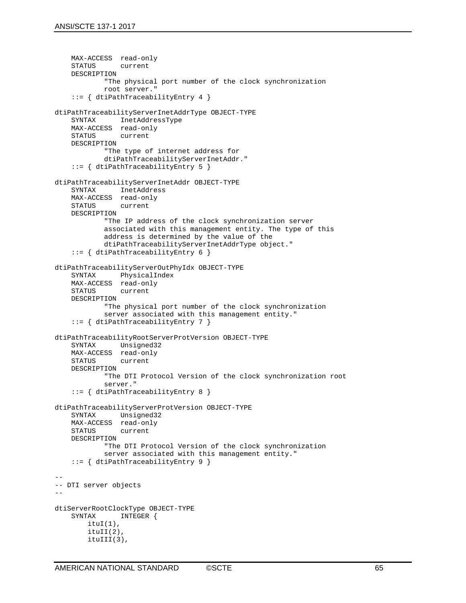```
MAX-ACCESS read-only<br>STATUS current
                 current
     DESCRIPTION
              "The physical port number of the clock synchronization 
              root server."
     ::= { dtiPathTraceabilityEntry 4 }
dtiPathTraceabilityServerInetAddrType OBJECT-TYPE
                 InetAddressType
    MAX-ACCESS read-only<br>STATUS current
                 current
     DESCRIPTION
              "The type of internet address for 
              dtiPathTraceabilityServerInetAddr."
     ::= { dtiPathTraceabilityEntry 5 }
dtiPathTraceabilityServerInetAddr OBJECT-TYPE
                InetAddress
    MAX-ACCESS read-only<br>STATUS current
                 current
     DESCRIPTION
              "The IP address of the clock synchronization server 
              associated with this management entity. The type of this
              address is determined by the value of the 
              dtiPathTraceabilityServerInetAddrType object."
     ::= { dtiPathTraceabilityEntry 6 }
dtiPathTraceabilityServerOutPhyIdx OBJECT-TYPE
                PhysicalIndex
    MAX-ACCESS read-only<br>STATUS current
                 current
     DESCRIPTION
              "The physical port number of the clock synchronization 
              server associated with this management entity."
     ::= { dtiPathTraceabilityEntry 7 }
dtiPathTraceabilityRootServerProtVersion OBJECT-TYPE
                 Unsigned32
    MAX-ACCESS read-only<br>STATUS current
                 current
     DESCRIPTION
              "The DTI Protocol Version of the clock synchronization root
              server."
     ::= { dtiPathTraceabilityEntry 8 }
dtiPathTraceabilityServerProtVersion OBJECT-TYPE
             Unsigned32
    MAX-ACCESS read-only<br>STATUS current
                 current
     DESCRIPTION
              "The DTI Protocol Version of the clock synchronization 
              server associated with this management entity."
     ::= { dtiPathTraceabilityEntry 9 }
--
-- DTI server objects 
--
dtiServerRootClockType OBJECT-TYPE<br>SYNTAX INTEGER {
                 INTEGER {
         ituI(1), 
         ituII(2), 
         ituIII(3),
```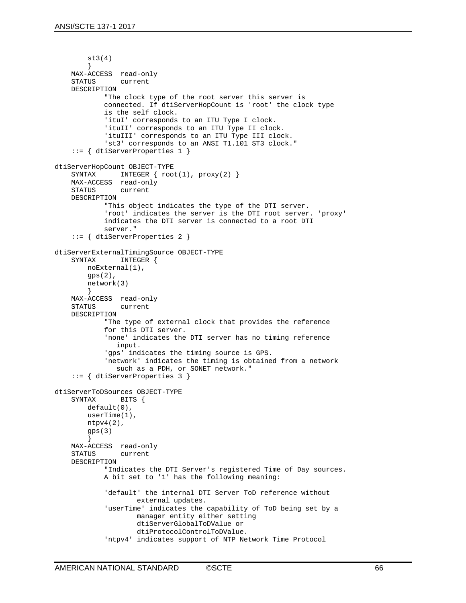```
 st3(4)
 }
     MAX-ACCESS read-only
     STATUS current
     DESCRIPTION
              "The clock type of the root server this server is 
              connected. If dtiServerHopCount is 'root' the clock type
              is the self clock.
              'ituI' corresponds to an ITU Type I clock. 
             'ituII' corresponds to an ITU Type II clock.
              'ituIII' corresponds to an ITU Type III clock.
             'st3' corresponds to an ANSI T1.101 ST3 clock."
     ::= { dtiServerProperties 1 }
dtiServerHopCount OBJECT-TYPE<br>SYNTAX INTEGER { root
               INTEGER \{root(1), prox(Y(2))\}MAX-ACCESS read-only<br>STATUS current
               current
     DESCRIPTION
              "This object indicates the type of the DTI server.
              'root' indicates the server is the DTI root server. 'proxy'
              indicates the DTI server is connected to a root DTI 
              server."
     ::= { dtiServerProperties 2 }
dtiServerExternalTimingSource OBJECT-TYPE
     SYNTAX INTEGER { 
         noExternal(1), 
        qps(2),
         network(3)
 } 
    MAX-ACCESS read-only<br>STATUS current
                current
     DESCRIPTION
              "The type of external clock that provides the reference 
              for this DTI server.
              'none' indicates the DTI server has no timing reference 
                 input.
              'gps' indicates the timing source is GPS.
              'network' indicates the timing is obtained from a network
                such as a PDH, or SONET network."
     ::= { dtiServerProperties 3 }
dtiServerToDSources OBJECT-TYPE<br>SYNTAX BITS {
               BITS {
         default(0), 
         userTime(1),
         ntpv4(2),
         gps(3)
 } 
    MAX-ACCESS read-only<br>STATUS current
                 current
     DESCRIPTION
              "Indicates the DTI Server's registered Time of Day sources.
              A bit set to '1' has the following meaning:
              'default' the internal DTI Server ToD reference without 
                      external updates.
              'userTime' indicates the capability of ToD being set by a
                      manager entity either setting 
                     dtiServerGlobalToDValue or 
                     dtiProtocolControlToDValue. 
              'ntpv4' indicates support of NTP Network Time Protocol
```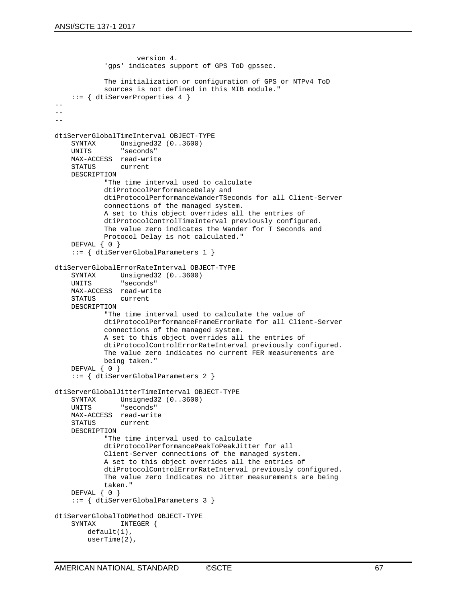```
 version 4.
              'gps' indicates support of GPS ToD gpssec.
              The initialization or configuration of GPS or NTPv4 ToD 
              sources is not defined in this MIB module."
     ::= { dtiServerProperties 4 }
--
--
--
dtiServerGlobalTimeInterval OBJECT-TYPE<br>SYNTAX Unsigned32 (0..3600)
    SYNTAX Unsigned32 (0..3600)<br>
INITS "seconds"
                 "seconds"
     MAX-ACCESS read-write
    STATUS
     DESCRIPTION
              "The time interval used to calculate 
              dtiProtocolPerformanceDelay and 
              dtiProtocolPerformanceWanderTSeconds for all Client-Server
              connections of the managed system.
              A set to this object overrides all the entries of 
              dtiProtocolControlTimeInterval previously configured.
              The value zero indicates the Wander for T Seconds and 
              Protocol Delay is not calculated."
     DEFVAL { 0 }
     ::= { dtiServerGlobalParameters 1 }
dtiServerGlobalErrorRateInterval OBJECT-TYPE<br>SYNTAX Unsigned32 (0 3600)
    SYNTAX Unsigned32 (0..3600)<br>
INITS "seconds"
                 "seconds"
     MAX-ACCESS read-write
                 current
     DESCRIPTION
              "The time interval used to calculate the value of 
              dtiProtocolPerformanceFrameErrorRate for all Client-Server
              connections of the managed system.
              A set to this object overrides all the entries of 
              dtiProtocolControlErrorRateInterval previously configured.
              The value zero indicates no current FER measurements are 
              being taken."
     DEFVAL { 0 } 
     ::= { dtiServerGlobalParameters 2 }
dtiServerGlobalJitterTimeInterval OBJECT-TYPE
    SYNTAX Unsigned32 (0..3600)<br>UNITS "seconds"
                 "seconds"
     MAX-ACCESS read-write
     STATUS current
     DESCRIPTION
              "The time interval used to calculate 
              dtiProtocolPerformancePeakToPeakJitter for all 
              Client-Server connections of the managed system.
              A set to this object overrides all the entries of 
              dtiProtocolControlErrorRateInterval previously configured.
              The value zero indicates no Jitter measurements are being 
              taken."
    DEFVAL { 0 }
     ::= { dtiServerGlobalParameters 3 }
dtiServerGlobalToDMethod OBJECT-TYPE<br>SYNTAX INTEGER {
                 INTEGER {
         default(1), 
         userTime(2),
```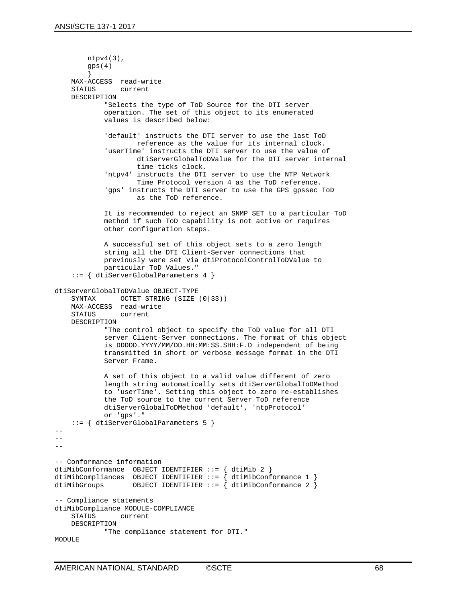```
 ntpv4(3),
        qps(4) }
     MAX-ACCESS read-write
                 current
     DESCRIPTION
              "Selects the type of ToD Source for the DTI server 
              operation. The set of this object to its enumerated
              values is described below:
              'default' instructs the DTI server to use the last ToD 
                      reference as the value for its internal clock.
              'userTime' instructs the DTI server to use the value of 
                      dtiServerGlobalToDValue for the DTI server internal
                     time ticks clock. 
              'ntpv4' instructs the DTI server to use the NTP Network 
                      Time Protocol version 4 as the ToD reference.
              'gps' instructs the DTI server to use the GPS gpssec ToD
                      as the ToD reference.
              It is recommended to reject an SNMP SET to a particular ToD
              method if such ToD capability is not active or requires 
              other configuration steps.
              A successful set of this object sets to a zero length 
              string all the DTI Client-Server connections that 
             previously were set via dtiProtocolControlToDValue to 
              particular ToD Values."
     ::= { dtiServerGlobalParameters 4 }
dtiServerGlobalToDValue OBJECT-TYPE
                OCTET STRING (SIZE (0|33))
    MAX-ACCESS read-write<br>STATUS current
                 current
     DESCRIPTION
              "The control object to specify the ToD value for all DTI 
              server Client-Server connections. The format of this object
              is DDDDD.YYYY/MM/DD.HH:MM:SS.SHH:F.D independent of being
              transmitted in short or verbose message format in the DTI
              Server Frame.
              A set of this object to a valid value different of zero 
              length string automatically sets dtiServerGlobalToDMethod
              to 'userTime'. Setting this object to zero re-establishes
              the ToD source to the current Server ToD reference 
              dtiServerGlobalToDMethod 'default', 'ntpProtocol' 
              or 'gps'."
     ::= { dtiServerGlobalParameters 5 }
--
--
--
-- Conformance information
dtiMibConformance OBJECT IDENTIFIER ::= { dtiMib 2 }
dtiMibCompliances OBJECT IDENTIFIER ::= { dtiMibConformance 1 dtiMibGroups OBJECT IDENTIFIER ::= { dtiMibConformance 2
                   OBJECT IDENTIFIER ::= \begin{cases} \text{dt} \\ \text{dt} \end{cases}-- Compliance statements
dtiMibCompliance MODULE-COMPLIANCE
                 current
     DESCRIPTION
              "The compliance statement for DTI."
M\bigcapIIII.F
```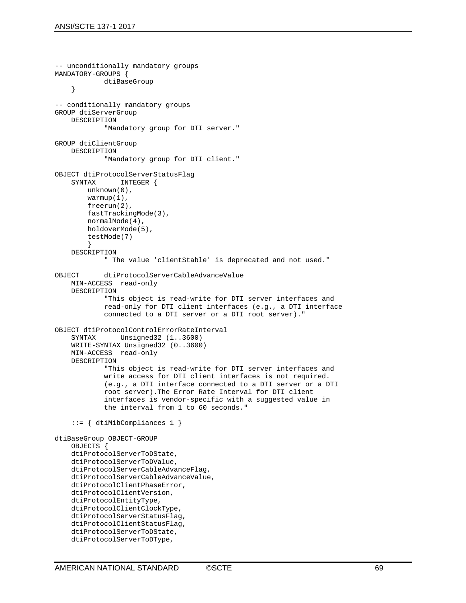```
-- unconditionally mandatory groups
MANDATORY-GROUPS {
             dtiBaseGroup
     }
-- conditionally mandatory groups
GROUP dtiServerGroup
     DESCRIPTION
              "Mandatory group for DTI server."
GROUP dtiClientGroup 
     DESCRIPTION
              "Mandatory group for DTI client."
OBJECT dtiProtocolServerStatusFlag<br>SYNTAX INTEGER {
                 INTEGER {
         unknown(0),
         warmup(1), 
         freerun(2), 
         fastTrackingMode(3), 
         normalMode(4), 
         holdoverMode(5), 
         testMode(7)
         }
     DESCRIPTION
              " The value 'clientStable' is deprecated and not used." 
OBJECT dtiProtocolServerCableAdvanceValue
     MIN-ACCESS read-only
     DESCRIPTION
              "This object is read-write for DTI server interfaces and 
              read-only for DTI client interfaces (e.g., a DTI interface 
              connected to a DTI server or a DTI root server)."
OBJECT dtiProtocolControlErrorRateInterval<br>SYNTAX Unsigned32 (1..3600)
               Unsigned32 (1..3600) WRITE-SYNTAX Unsigned32 (0..3600)
     MIN-ACCESS read-only
     DESCRIPTION
              "This object is read-write for DTI server interfaces and 
              write access for DTI client interfaces is not required.
              (e.g., a DTI interface connected to a DTI server or a DTI 
              root server).The Error Rate Interval for DTI client 
              interfaces is vendor-specific with a suggested value in 
              the interval from 1 to 60 seconds."
     ::= { dtiMibCompliances 1 }
dtiBaseGroup OBJECT-GROUP
     OBJECTS {
     dtiProtocolServerToDState,
     dtiProtocolServerToDValue,
     dtiProtocolServerCableAdvanceFlag,
     dtiProtocolServerCableAdvanceValue,
     dtiProtocolClientPhaseError,
     dtiProtocolClientVersion,
     dtiProtocolEntityType,
     dtiProtocolClientClockType,
     dtiProtocolServerStatusFlag,
     dtiProtocolClientStatusFlag,
     dtiProtocolServerToDState,
     dtiProtocolServerToDType,
```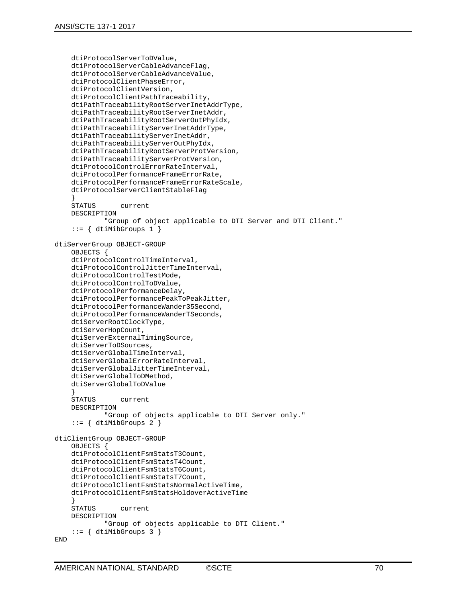```
 dtiProtocolServerToDValue,
     dtiProtocolServerCableAdvanceFlag,
     dtiProtocolServerCableAdvanceValue,
     dtiProtocolClientPhaseError,
     dtiProtocolClientVersion,
     dtiProtocolClientPathTraceability,
     dtiPathTraceabilityRootServerInetAddrType,
     dtiPathTraceabilityRootServerInetAddr,
     dtiPathTraceabilityRootServerOutPhyIdx,
     dtiPathTraceabilityServerInetAddrType,
     dtiPathTraceabilityServerInetAddr,
     dtiPathTraceabilityServerOutPhyIdx,
     dtiPathTraceabilityRootServerProtVersion,
     dtiPathTraceabilityServerProtVersion,
     dtiProtocolControlErrorRateInterval,
     dtiProtocolPerformanceFrameErrorRate,
     dtiProtocolPerformanceFrameErrorRateScale,
     dtiProtocolServerClientStableFlag
    }<br>Status
                current
     DESCRIPTION
             "Group of object applicable to DTI Server and DTI Client."
    ::= { dtiMibGroups 1 }
dtiServerGroup OBJECT-GROUP
     OBJECTS {
     dtiProtocolControlTimeInterval,
     dtiProtocolControlJitterTimeInterval,
    dtiProtocolControlTestMode,
     dtiProtocolControlToDValue,
     dtiProtocolPerformanceDelay,
     dtiProtocolPerformancePeakToPeakJitter,
     dtiProtocolPerformanceWander35Second,
     dtiProtocolPerformanceWanderTSeconds,
     dtiServerRootClockType,
     dtiServerHopCount,
     dtiServerExternalTimingSource,
     dtiServerToDSources,
     dtiServerGlobalTimeInterval,
     dtiServerGlobalErrorRateInterval,
     dtiServerGlobalJitterTimeInterval,
     dtiServerGlobalToDMethod,
     dtiServerGlobalToDValue
 }
     STATUS current
     DESCRIPTION
             "Group of objects applicable to DTI Server only."
     ::= { dtiMibGroups 2 } 
dtiClientGroup OBJECT-GROUP
     OBJECTS {
     dtiProtocolClientFsmStatsT3Count,
     dtiProtocolClientFsmStatsT4Count,
     dtiProtocolClientFsmStatsT6Count,
     dtiProtocolClientFsmStatsT7Count,
     dtiProtocolClientFsmStatsNormalActiveTime,
     dtiProtocolClientFsmStatsHoldoverActiveTime
 }
     STATUS current
     DESCRIPTION
             "Group of objects applicable to DTI Client."
     ::= { dtiMibGroups 3 } 
END
```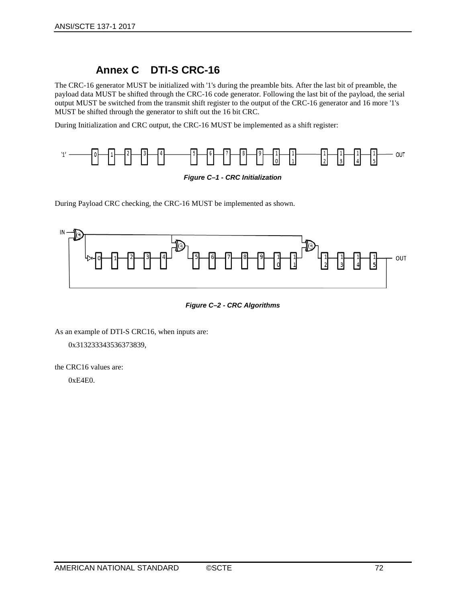# **Annex C DTI-S CRC-16**

The CRC-16 generator MUST be initialized with '1's during the preamble bits. After the last bit of preamble, the payload data MUST be shifted through the CRC-16 code generator. Following the last bit of the payload, the serial output MUST be switched from the transmit shift register to the output of the CRC-16 generator and 16 more '1's MUST be shifted through the generator to shift out the 16 bit CRC.

During Initialization and CRC output, the CRC-16 MUST be implemented as a shift register:



*Figure C–1 - CRC Initialization*

During Payload CRC checking, the CRC-16 MUST be implemented as shown.



*Figure C–2 - CRC Algorithms*

As an example of DTI-S CRC16, when inputs are:

0x313233343536373839,

the CRC16 values are:

0xE4E0.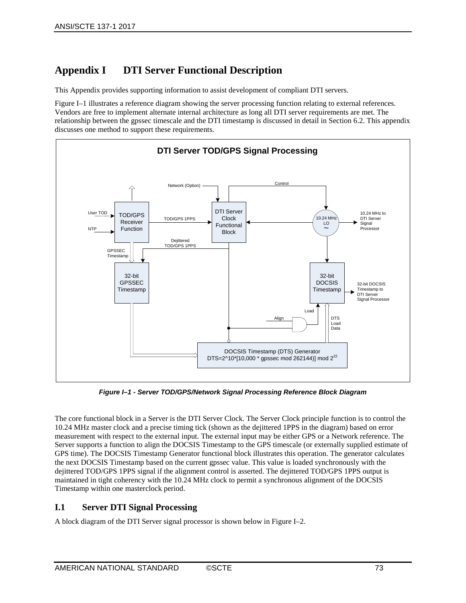# **Appendix I DTI Server Functional Description**

This Appendix provides supporting information to assist development of compliant DTI servers.

[Figure](#page-72-0) I–1 illustrates a reference diagram showing the server processing function relating to external references. Vendors are free to implement alternate internal architecture as long all DTI server requirements are met. The relationship between the gpssec timescale and the DTI timestamp is discussed in detail in Section [6.2.](#page-17-0) This appendix discusses one method to support these requirements.



*Figure I–1 - Server TOD/GPS/Network Signal Processing Reference Block Diagram*

<span id="page-72-0"></span>The core functional block in a Server is the DTI Server Clock. The Server Clock principle function is to control the 10.24 MHz master clock and a precise timing tick (shown as the dejittered 1PPS in the diagram) based on error measurement with respect to the external input. The external input may be either GPS or a Network reference. The Server supports a function to align the DOCSIS Timestamp to the GPS timescale (or externally supplied estimate of GPS time). The DOCSIS Timestamp Generator functional block illustrates this operation. The generator calculates the next DOCSIS Timestamp based on the current gpssec value. This value is loaded synchronously with the dejittered TOD/GPS 1PPS signal if the alignment control is asserted. The dejittered TOD/GPS 1PPS output is maintained in tight coherency with the 10.24 MHz clock to permit a synchronous alignment of the DOCSIS Timestamp within one masterclock period.

### **I.1 Server DTI Signal Processing**

A block diagram of the DTI Server signal processor is shown below in [Figure](#page-73-0) I–2.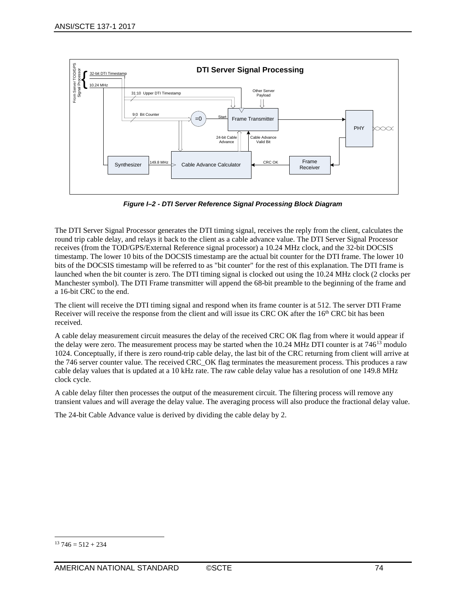

*Figure I–2 - DTI Server Reference Signal Processing Block Diagram*

<span id="page-73-0"></span>The DTI Server Signal Processor generates the DTI timing signal, receives the reply from the client, calculates the round trip cable delay, and relays it back to the client as a cable advance value. The DTI Server Signal Processor receives (from the TOD/GPS/External Reference signal processor) a 10.24 MHz clock, and the 32-bit DOCSIS timestamp. The lower 10 bits of the DOCSIS timestamp are the actual bit counter for the DTI frame. The lower 10 bits of the DOCSIS timestamp will be referred to as "bit counter" for the rest of this explanation. The DTI frame is launched when the bit counter is zero. The DTI timing signal is clocked out using the 10.24 MHz clock (2 clocks per Manchester symbol). The DTI Frame transmitter will append the 68-bit preamble to the beginning of the frame and a 16-bit CRC to the end.

The client will receive the DTI timing signal and respond when its frame counter is at 512. The server DTI Frame Receiver will receive the response from the client and will issue its CRC OK after the 16<sup>th</sup> CRC bit has been received.

A cable delay measurement circuit measures the delay of the received CRC OK flag from where it would appear if the delay were zero. The measurement process may be started when the  $10.24$  MHz DTI counter is at  $746^{13}$  $746^{13}$  $746^{13}$  modulo 1024. Conceptually, if there is zero round-trip cable delay, the last bit of the CRC returning from client will arrive at the 746 server counter value. The received CRC\_OK flag terminates the measurement process. This produces a raw cable delay values that is updated at a 10 kHz rate. The raw cable delay value has a resolution of one 149.8 MHz clock cycle.

A cable delay filter then processes the output of the measurement circuit. The filtering process will remove any transient values and will average the delay value. The averaging process will also produce the fractional delay value.

The 24-bit Cable Advance value is derived by dividing the cable delay by 2.

<span id="page-73-1"></span> $13746 = 512 + 234$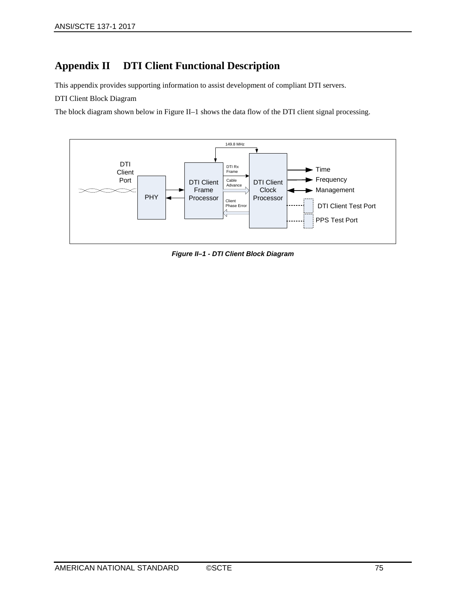# **Appendix II DTI Client Functional Description**

This appendix provides supporting information to assist development of compliant DTI servers.

DTI Client Block Diagram

The block diagram shown below in [Figure](#page-74-0) II–1 shows the data flow of the DTI client signal processing.

<span id="page-74-0"></span>

*Figure II–1 - DTI Client Block Diagram*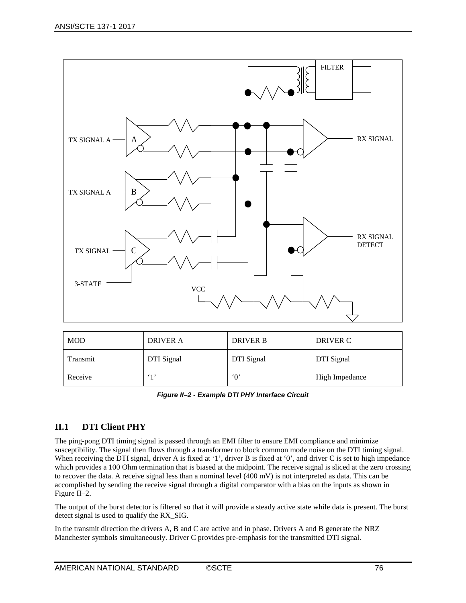

| <b>MOD</b> | <b>DRIVER A</b> | <b>DRIVER B</b> | DRIVER C       |
|------------|-----------------|-----------------|----------------|
| Transmit   | DTI Signal      | DTI Signal      | DTI Signal     |
| Receive    | 61,             | $\lq 0$         | High Impedance |

*Figure II–2 - Example DTI PHY Interface Circuit*

## <span id="page-75-0"></span>**II.1 DTI Client PHY**

The ping-pong DTI timing signal is passed through an EMI filter to ensure EMI compliance and minimize susceptibility. The signal then flows through a transformer to block common mode noise on the DTI timing signal. When receiving the DTI signal, driver A is fixed at '1', driver B is fixed at '0', and driver C is set to high impedance which provides a 100 Ohm termination that is biased at the midpoint. The receive signal is sliced at the zero crossing to recover the data. A receive signal less than a nominal level (400 mV) is not interpreted as data. This can be accomplished by sending the receive signal through a digital comparator with a bias on the inputs as shown in [Figure](#page-75-0) II–2.

The output of the burst detector is filtered so that it will provide a steady active state while data is present. The burst detect signal is used to qualify the RX\_SIG.

In the transmit direction the drivers A, B and C are active and in phase. Drivers A and B generate the NRZ Manchester symbols simultaneously. Driver C provides pre-emphasis for the transmitted DTI signal.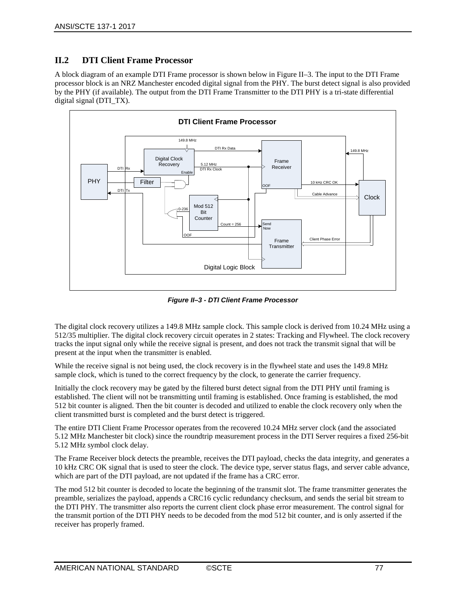### **II.2 DTI Client Frame Processor**

A block diagram of an example DTI Frame processor is shown below in [Figure](#page-76-0) II–3. The input to the DTI Frame processor block is an NRZ Manchester encoded digital signal from the PHY. The burst detect signal is also provided by the PHY (if available). The output from the DTI Frame Transmitter to the DTI PHY is a tri-state differential digital signal (DTI\_TX).



*Figure II–3 - DTI Client Frame Processor*

<span id="page-76-0"></span>The digital clock recovery utilizes a 149.8 MHz sample clock. This sample clock is derived from 10.24 MHz using a 512/35 multiplier. The digital clock recovery circuit operates in 2 states: Tracking and Flywheel. The clock recovery tracks the input signal only while the receive signal is present, and does not track the transmit signal that will be present at the input when the transmitter is enabled.

While the receive signal is not being used, the clock recovery is in the flywheel state and uses the 149.8 MHz sample clock, which is tuned to the correct frequency by the clock, to generate the carrier frequency.

Initially the clock recovery may be gated by the filtered burst detect signal from the DTI PHY until framing is established. The client will not be transmitting until framing is established. Once framing is established, the mod 512 bit counter is aligned. Then the bit counter is decoded and utilized to enable the clock recovery only when the client transmitted burst is completed and the burst detect is triggered.

The entire DTI Client Frame Processor operates from the recovered 10.24 MHz server clock (and the associated 5.12 MHz Manchester bit clock) since the roundtrip measurement process in the DTI Server requires a fixed 256-bit 5.12 MHz symbol clock delay.

The Frame Receiver block detects the preamble, receives the DTI payload, checks the data integrity, and generates a 10 kHz CRC OK signal that is used to steer the clock. The device type, server status flags, and server cable advance, which are part of the DTI payload, are not updated if the frame has a CRC error.

The mod 512 bit counter is decoded to locate the beginning of the transmit slot. The frame transmitter generates the preamble, serializes the payload, appends a CRC16 cyclic redundancy checksum, and sends the serial bit stream to the DTI PHY. The transmitter also reports the current client clock phase error measurement. The control signal for the transmit portion of the DTI PHY needs to be decoded from the mod 512 bit counter, and is only asserted if the receiver has properly framed.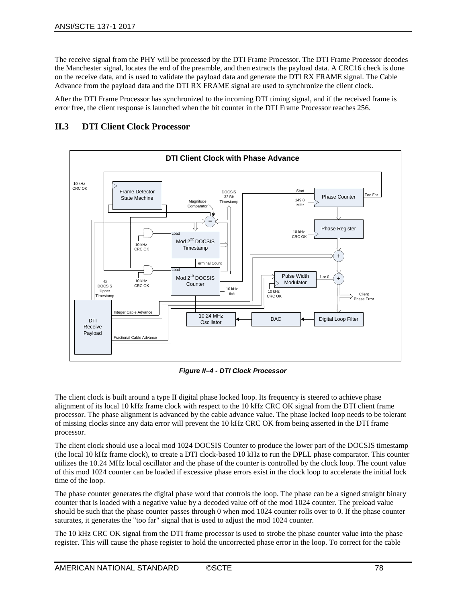The receive signal from the PHY will be processed by the DTI Frame Processor. The DTI Frame Processor decodes the Manchester signal, locates the end of the preamble, and then extracts the payload data. A CRC16 check is done on the receive data, and is used to validate the payload data and generate the DTI RX FRAME signal. The Cable Advance from the payload data and the DTI RX FRAME signal are used to synchronize the client clock.

After the DTI Frame Processor has synchronized to the incoming DTI timing signal, and if the received frame is error free, the client response is launched when the bit counter in the DTI Frame Processor reaches 256.



## **II.3 DTI Client Clock Processor**

*Figure II–4 - DTI Clock Processor*

The client clock is built around a type II digital phase locked loop. Its frequency is steered to achieve phase alignment of its local 10 kHz frame clock with respect to the 10 kHz CRC OK signal from the DTI client frame processor. The phase alignment is advanced by the cable advance value. The phase locked loop needs to be tolerant of missing clocks since any data error will prevent the 10 kHz CRC OK from being asserted in the DTI frame processor.

The client clock should use a local mod 1024 DOCSIS Counter to produce the lower part of the DOCSIS timestamp (the local 10 kHz frame clock), to create a DTI clock-based 10 kHz to run the DPLL phase comparator. This counter utilizes the 10.24 MHz local oscillator and the phase of the counter is controlled by the clock loop. The count value of this mod 1024 counter can be loaded if excessive phase errors exist in the clock loop to accelerate the initial lock time of the loop.

The phase counter generates the digital phase word that controls the loop. The phase can be a signed straight binary counter that is loaded with a negative value by a decoded value off of the mod 1024 counter. The preload value should be such that the phase counter passes through 0 when mod 1024 counter rolls over to 0. If the phase counter saturates, it generates the "too far" signal that is used to adjust the mod 1024 counter.

The 10 kHz CRC OK signal from the DTI frame processor is used to strobe the phase counter value into the phase register. This will cause the phase register to hold the uncorrected phase error in the loop. To correct for the cable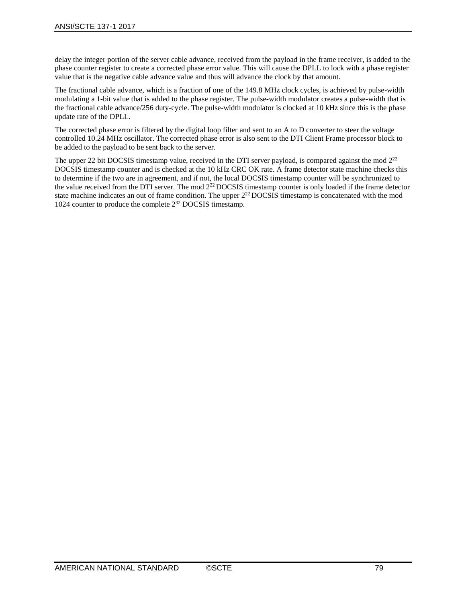delay the integer portion of the server cable advance, received from the payload in the frame receiver, is added to the phase counter register to create a corrected phase error value. This will cause the DPLL to lock with a phase register value that is the negative cable advance value and thus will advance the clock by that amount.

The fractional cable advance, which is a fraction of one of the 149.8 MHz clock cycles, is achieved by pulse-width modulating a 1-bit value that is added to the phase register. The pulse-width modulator creates a pulse-width that is the fractional cable advance/256 duty-cycle. The pulse-width modulator is clocked at 10 kHz since this is the phase update rate of the DPLL.

The corrected phase error is filtered by the digital loop filter and sent to an A to D converter to steer the voltage controlled 10.24 MHz oscillator. The corrected phase error is also sent to the DTI Client Frame processor block to be added to the payload to be sent back to the server.

The upper 22 bit DOCSIS timestamp value, received in the DTI server payload, is compared against the mod  $2^{22}$ DOCSIS timestamp counter and is checked at the 10 kHz CRC OK rate. A frame detector state machine checks this to determine if the two are in agreement, and if not, the local DOCSIS timestamp counter will be synchronized to the value received from the DTI server. The mod  $2<sup>22</sup>$  DOCSIS timestamp counter is only loaded if the frame detector state machine indicates an out of frame condition. The upper  $2^{22}$  DOCSIS timestamp is concatenated with the mod 1024 counter to produce the complete 232 DOCSIS timestamp.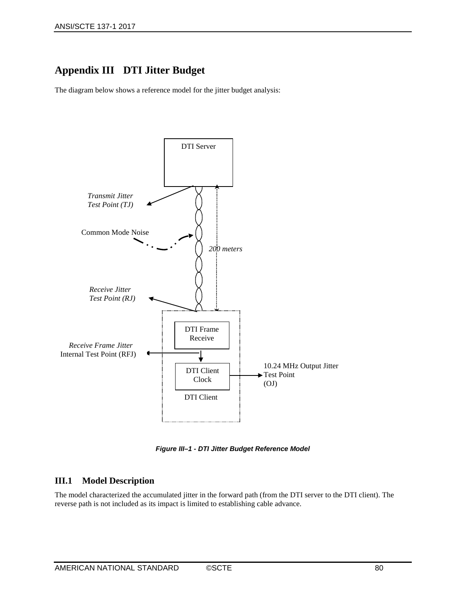# **Appendix III DTI Jitter Budget**

The diagram below shows a reference model for the jitter budget analysis:



*Figure III–1 - DTI Jitter Budget Reference Model*

## **III.1 Model Description**

The model characterized the accumulated jitter in the forward path (from the DTI server to the DTI client). The reverse path is not included as its impact is limited to establishing cable advance.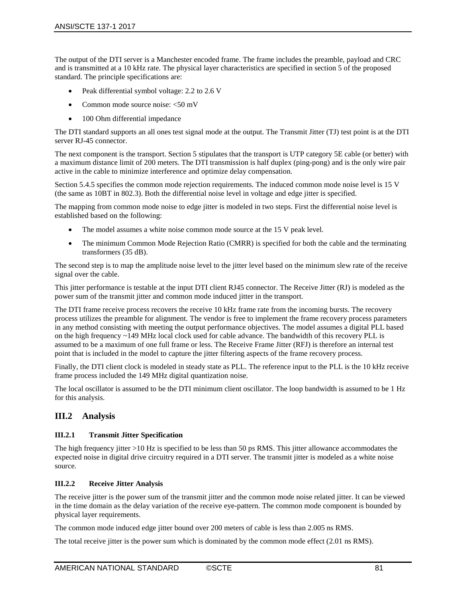The output of the DTI server is a Manchester encoded frame. The frame includes the preamble, payload and CRC and is transmitted at a 10 kHz rate. The physical layer characteristics are specified in section 5 of the proposed standard. The principle specifications are:

- Peak differential symbol voltage: 2.2 to 2.6 V
- Common mode source noise: <50 mV
- 100 Ohm differential impedance

The DTI standard supports an all ones test signal mode at the output. The Transmit Jitter (TJ) test point is at the DTI server RJ-45 connector.

The next component is the transport. Sectio[n 5](#page-14-0) stipulates that the transport is UTP category 5E cable (or better) with a maximum distance limit of 200 meters. The DTI transmission is half duplex (ping-pong) and is the only wire pair active in the cable to minimize interference and optimize delay compensation.

Section [5.4.5](#page-15-0) specifies the common mode rejection requirements. The induced common mode noise level is 15 V (the same as 10BT in 802.3). Both the differential noise level in voltage and edge jitter is specified.

The mapping from common mode noise to edge jitter is modeled in two steps. First the differential noise level is established based on the following:

- The model assumes a white noise common mode source at the 15 V peak level.
- The minimum Common Mode Rejection Ratio (CMRR) is specified for both the cable and the terminating transformers (35 dB).

The second step is to map the amplitude noise level to the jitter level based on the minimum slew rate of the receive signal over the cable.

This jitter performance is testable at the input DTI client RJ45 connector. The Receive Jitter (RJ) is modeled as the power sum of the transmit jitter and common mode induced jitter in the transport.

The DTI frame receive process recovers the receive 10 kHz frame rate from the incoming bursts. The recovery process utilizes the preamble for alignment. The vendor is free to implement the frame recovery process parameters in any method consisting with meeting the output performance objectives. The model assumes a digital PLL based on the high frequency ~149 MHz local clock used for cable advance. The bandwidth of this recovery PLL is assumed to be a maximum of one full frame or less. The Receive Frame Jitter (RFJ) is therefore an internal test point that is included in the model to capture the jitter filtering aspects of the frame recovery process.

Finally, the DTI client clock is modeled in steady state as PLL. The reference input to the PLL is the 10 kHz receive frame process included the 149 MHz digital quantization noise.

The local oscillator is assumed to be the DTI minimum client oscillator. The loop bandwidth is assumed to be 1 Hz for this analysis.

### **III.2 Analysis**

#### **III.2.1 Transmit Jitter Specification**

The high frequency jitter >10 Hz is specified to be less than 50 ps RMS. This jitter allowance accommodates the expected noise in digital drive circuitry required in a DTI server. The transmit jitter is modeled as a white noise source.

#### **III.2.2 Receive Jitter Analysis**

The receive jitter is the power sum of the transmit jitter and the common mode noise related jitter. It can be viewed in the time domain as the delay variation of the receive eye-pattern. The common mode component is bounded by physical layer requirements.

The common mode induced edge jitter bound over 200 meters of cable is less than 2.005 ns RMS.

The total receive jitter is the power sum which is dominated by the common mode effect (2.01 ns RMS).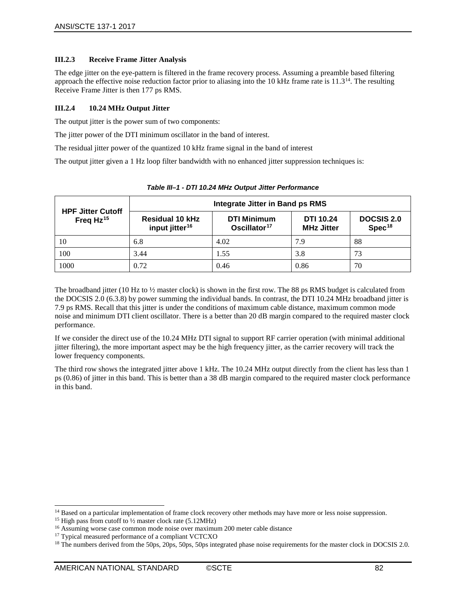#### **III.2.3 Receive Frame Jitter Analysis**

The edge jitter on the eye-pattern is filtered in the frame recovery process. Assuming a preamble based filtering approach the effective noise reduction factor prior to aliasing into the 10 kHz frame rate is  $11.3^{14}$  $11.3^{14}$  $11.3^{14}$ . The resulting Receive Frame Jitter is then 177 ps RMS.

#### **III.2.4 10.24 MHz Output Jitter**

The output jitter is the power sum of two components:

The jitter power of the DTI minimum oscillator in the band of interest.

The residual jitter power of the quantized 10 kHz frame signal in the band of interest

The output jitter given a 1 Hz loop filter bandwidth with no enhanced jitter suppression techniques is:

| <b>HPF Jitter Cutoff</b><br>Freq $Hz^{15}$ | Integrate Jitter in Band ps RMS                      |                                                |                                       |                                         |
|--------------------------------------------|------------------------------------------------------|------------------------------------------------|---------------------------------------|-----------------------------------------|
|                                            | <b>Residual 10 kHz</b><br>input jitter <sup>16</sup> | <b>DTI Minimum</b><br>Oscillator <sup>17</sup> | <b>DTI 10.24</b><br><b>MHz Jitter</b> | <b>DOCSIS 2.0</b><br>Spec <sup>18</sup> |
| 10                                         | 6.8                                                  | 4.02                                           | 7.9                                   | 88                                      |
| 100                                        | 3.44                                                 | 1.55                                           | 3.8                                   | 73                                      |
| 1000                                       | 0.72                                                 | 0.46                                           | 0.86                                  | 70                                      |

*Table III–1 - DTI 10.24 MHz Output Jitter Performance*

The broadband jitter (10 Hz to  $\frac{1}{2}$  master clock) is shown in the first row. The 88 ps RMS budget is calculated from the DOCSIS 2.0 (6.3.8) by power summing the individual bands. In contrast, the DTI 10.24 MHz broadband jitter is 7.9 ps RMS. Recall that this jitter is under the conditions of maximum cable distance, maximum common mode noise and minimum DTI client oscillator. There is a better than 20 dB margin compared to the required master clock performance.

If we consider the direct use of the 10.24 MHz DTI signal to support RF carrier operation (with minimal additional jitter filtering), the more important aspect may be the high frequency jitter, as the carrier recovery will track the lower frequency components.

The third row shows the integrated jitter above 1 kHz. The 10.24 MHz output directly from the client has less than 1 ps (0.86) of jitter in this band. This is better than a 38 dB margin compared to the required master clock performance in this band.

<span id="page-81-0"></span><sup>&</sup>lt;sup>14</sup> Based on a particular implementation of frame clock recovery other methods may have more or less noise suppression.

<span id="page-81-1"></span><sup>&</sup>lt;sup>15</sup> High pass from cutoff to  $\frac{1}{2}$  master clock rate (5.12MHz)

<span id="page-81-2"></span><sup>16</sup> Assuming worse case common mode noise over maximum 200 meter cable distance

<span id="page-81-3"></span><sup>17</sup> Typical measured performance of a compliant VCTCXO

<span id="page-81-4"></span><sup>&</sup>lt;sup>18</sup> The numbers derived from the 50ps, 20ps, 50ps, 50ps integrated phase noise requirements for the master clock in DOCSIS 2.0.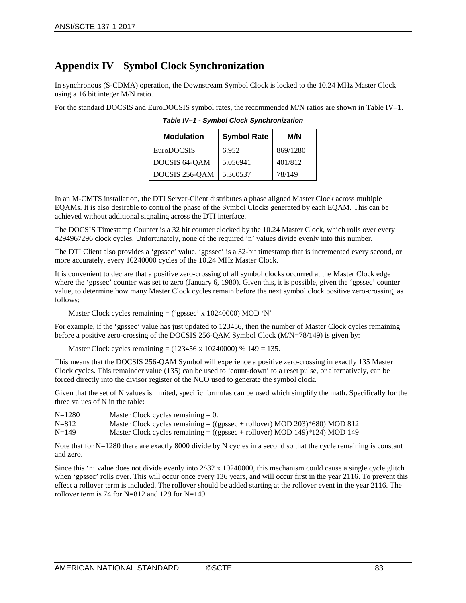# **Appendix IV Symbol Clock Synchronization**

In synchronous (S-CDMA) operation, the Downstream Symbol Clock is locked to the 10.24 MHz Master Clock using a 16 bit integer M/N ratio.

<span id="page-82-0"></span>For the standard DOCSIS and EuroDOCSIS symbol rates, the recommended M/N ratios are shown in [Table](#page-82-0) IV–1.

| <b>Modulation</b> | <b>Symbol Rate</b> | M/N      |
|-------------------|--------------------|----------|
| <b>EuroDOCSIS</b> | 6.952              | 869/1280 |
| DOCSIS 64-QAM     | 5.056941           | 401/812  |
| DOCSIS 256-QAM    | 5.360537           | 78/149   |

*Table IV–1 - Symbol Clock Synchronization*

In an M-CMTS installation, the DTI Server-Client distributes a phase aligned Master Clock across multiple EQAMs. It is also desirable to control the phase of the Symbol Clocks generated by each EQAM. This can be achieved without additional signaling across the DTI interface.

The DOCSIS Timestamp Counter is a 32 bit counter clocked by the 10.24 Master Clock, which rolls over every 4294967296 clock cycles. Unfortunately, none of the required 'n' values divide evenly into this number.

The DTI Client also provides a 'gpssec' value. 'gpssec' is a 32-bit timestamp that is incremented every second, or more accurately, every 10240000 cycles of the 10.24 MHz Master Clock.

It is convenient to declare that a positive zero-crossing of all symbol clocks occurred at the Master Clock edge where the 'gpssec' counter was set to zero (January 6, 1980). Given this, it is possible, given the 'gpssec' counter value, to determine how many Master Clock cycles remain before the next symbol clock positive zero-crossing, as follows:

Master Clock cycles remaining = ('gpssec' x 10240000) MOD 'N'

For example, if the 'gpssec' value has just updated to 123456, then the number of Master Clock cycles remaining before a positive zero-crossing of the DOCSIS 256-QAM Symbol Clock (M/N=78/149) is given by:

Master Clock cycles remaining = (123456 x 10240000) % 149 = 135.

This means that the DOCSIS 256-QAM Symbol will experience a positive zero-crossing in exactly 135 Master Clock cycles. This remainder value (135) can be used to 'count-down' to a reset pulse, or alternatively, can be forced directly into the divisor register of the NCO used to generate the symbol clock.

Given that the set of N values is limited, specific formulas can be used which simplify the math. Specifically for the three values of N in the table:

| $N=1280$  | Master Clock cycles remaining $= 0$ .                                                                          |
|-----------|----------------------------------------------------------------------------------------------------------------|
| $N = 812$ | Master Clock cycles remaining = $((\text{gpssec} + \text{rollover}) \text{ MOD } 203)^* 680) \text{ MOD } 812$ |
| $N = 149$ | Master Clock cycles remaining = $((\text{gpssec} + \text{rollover}) \text{ MOD } 149)^*124) \text{ MOD } 149$  |

Note that for N=1280 there are exactly 8000 divide by N cycles in a second so that the cycle remaining is constant and zero.

Since this 'n' value does not divide evenly into 2^32 x 10240000, this mechanism could cause a single cycle glitch when 'gpssec' rolls over. This will occur once every 136 years, and will occur first in the year 2116. To prevent this effect a rollover term is included. The rollover should be added starting at the rollover event in the year 2116. The rollover term is 74 for  $N=812$  and 129 for  $N=149$ .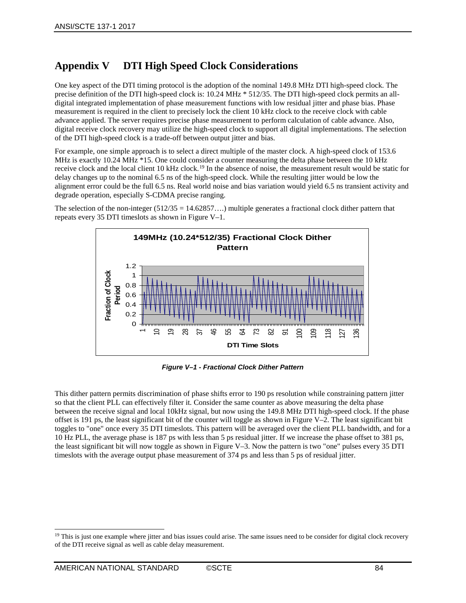# **Appendix V DTI High Speed Clock Considerations**

One key aspect of the DTI timing protocol is the adoption of the nominal 149.8 MHz DTI high-speed clock. The precise definition of the DTI high-speed clock is: 10.24 MHz \* 512/35. The DTI high-speed clock permits an alldigital integrated implementation of phase measurement functions with low residual jitter and phase bias. Phase measurement is required in the client to precisely lock the client 10 kHz clock to the receive clock with cable advance applied. The server requires precise phase measurement to perform calculation of cable advance. Also, digital receive clock recovery may utilize the high-speed clock to support all digital implementations. The selection of the DTI high-speed clock is a trade-off between output jitter and bias.

For example, one simple approach is to select a direct multiple of the master clock. A high-speed clock of 153.6 MHz is exactly 10.24 MHz \*15. One could consider a counter measuring the delta phase between the 10 kHz receive clock and the local client 10 kHz clock.<sup>[19](#page-83-1)</sup> In the absence of noise, the measurement result would be static for delay changes up to the nominal 6.5 ns of the high-speed clock. While the resulting jitter would be low the alignment error could be the full 6.5 ns. Real world noise and bias variation would yield 6.5 ns transient activity and degrade operation, especially S-CDMA precise ranging.

The selection of the non-integer  $(512/35 = 14.62857...)$  multiple generates a fractional clock dither pattern that repeats every 35 DTI timeslots as shown in [Figure](#page-83-0) V–1.



*Figure V–1 - Fractional Clock Dither Pattern*

<span id="page-83-0"></span>This dither pattern permits discrimination of phase shifts error to 190 ps resolution while constraining pattern jitter so that the client PLL can effectively filter it. Consider the same counter as above measuring the delta phase between the receive signal and local 10kHz signal, but now using the 149.8 MHz DTI high-speed clock. If the phase offset is 191 ps, the least significant bit of the counter will toggle as shown in [Figure](#page-84-0) V–2. The least significant bit toggles to "one" once every 35 DTI timeslots. This pattern will be averaged over the client PLL bandwidth, and for a 10 Hz PLL, the average phase is 187 ps with less than 5 ps residual jitter. If we increase the phase offset to 381 ps, the least significant bit will now toggle as shown in [Figure](#page-84-1) V–3. Now the pattern is two "one" pulses every 35 DTI timeslots with the average output phase measurement of 374 ps and less than 5 ps of residual jitter.

<span id="page-83-1"></span><sup>&</sup>lt;sup>19</sup> This is just one example where jitter and bias issues could arise. The same issues need to be consider for digital clock recovery of the DTI receive signal as well as cable delay measurement.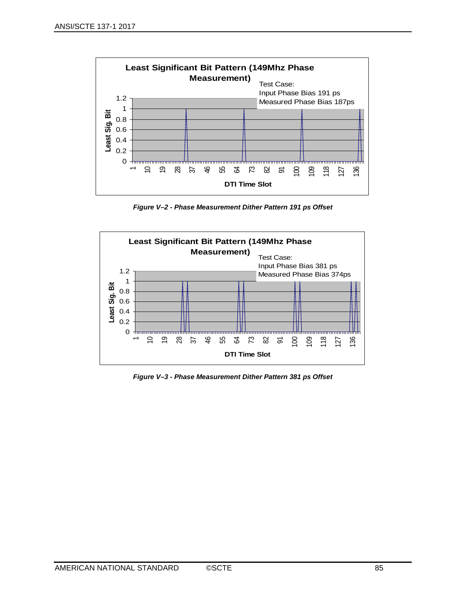

*Figure V–2 - Phase Measurement Dither Pattern 191 ps Offset*

<span id="page-84-0"></span>

<span id="page-84-1"></span>*Figure V–3 - Phase Measurement Dither Pattern 381 ps Offset*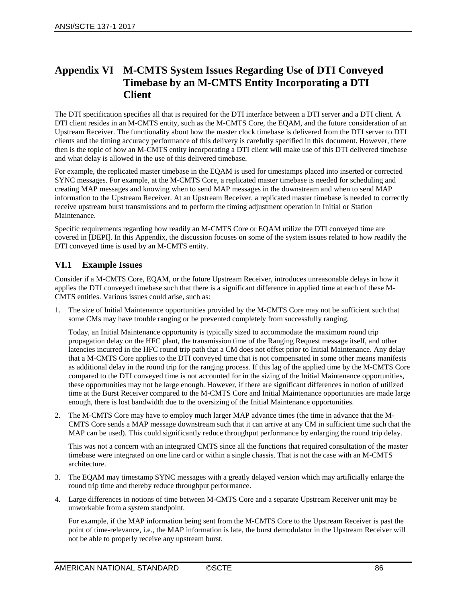# **Appendix VI M-CMTS System Issues Regarding Use of DTI Conveyed Timebase by an M-CMTS Entity Incorporating a DTI Client**

The DTI specification specifies all that is required for the DTI interface between a DTI server and a DTI client. A DTI client resides in an M-CMTS entity, such as the M-CMTS Core, the EQAM, and the future consideration of an Upstream Receiver. The functionality about how the master clock timebase is delivered from the DTI server to DTI clients and the timing accuracy performance of this delivery is carefully specified in this document. However, there then is the topic of how an M-CMTS entity incorporating a DTI client will make use of this DTI delivered timebase and what delay is allowed in the use of this delivered timebase.

For example, the replicated master timebase in the EQAM is used for timestamps placed into inserted or corrected SYNC messages. For example, at the M-CMTS Core, a replicated master timebase is needed for scheduling and creating MAP messages and knowing when to send MAP messages in the downstream and when to send MAP information to the Upstream Receiver. At an Upstream Receiver, a replicated master timebase is needed to correctly receive upstream burst transmissions and to perform the timing adjustment operation in Initial or Station Maintenance.

Specific requirements regarding how readily an M-CMTS Core or EQAM utilize the DTI conveyed time are covered in [\[DEPI\].](#page-10-0) In this Appendix, the discussion focuses on some of the system issues related to how readily the DTI conveyed time is used by an M-CMTS entity.

### **VI.1 Example Issues**

Consider if a M-CMTS Core, EQAM, or the future Upstream Receiver, introduces unreasonable delays in how it applies the DTI conveyed timebase such that there is a significant difference in applied time at each of these M-CMTS entities. Various issues could arise, such as:

1. The size of Initial Maintenance opportunities provided by the M-CMTS Core may not be sufficient such that some CMs may have trouble ranging or be prevented completely from successfully ranging.

Today, an Initial Maintenance opportunity is typically sized to accommodate the maximum round trip propagation delay on the HFC plant, the transmission time of the Ranging Request message itself, and other latencies incurred in the HFC round trip path that a CM does not offset prior to Initial Maintenance. Any delay that a M-CMTS Core applies to the DTI conveyed time that is not compensated in some other means manifests as additional delay in the round trip for the ranging process. If this lag of the applied time by the M-CMTS Core compared to the DTI conveyed time is not accounted for in the sizing of the Initial Maintenance opportunities, these opportunities may not be large enough. However, if there are significant differences in notion of utilized time at the Burst Receiver compared to the M-CMTS Core and Initial Maintenance opportunities are made large enough, there is lost bandwidth due to the oversizing of the Initial Maintenance opportunities.

2. The M-CMTS Core may have to employ much larger MAP advance times (the time in advance that the M-CMTS Core sends a MAP message downstream such that it can arrive at any CM in sufficient time such that the MAP can be used). This could significantly reduce throughput performance by enlarging the round trip delay.

This was not a concern with an integrated CMTS since all the functions that required consultation of the master timebase were integrated on one line card or within a single chassis. That is not the case with an M-CMTS architecture.

- 3. The EQAM may timestamp SYNC messages with a greatly delayed version which may artificially enlarge the round trip time and thereby reduce throughput performance.
- 4. Large differences in notions of time between M-CMTS Core and a separate Upstream Receiver unit may be unworkable from a system standpoint.

For example, if the MAP information being sent from the M-CMTS Core to the Upstream Receiver is past the point of time-relevance, i.e., the MAP information is late, the burst demodulator in the Upstream Receiver will not be able to properly receive any upstream burst.